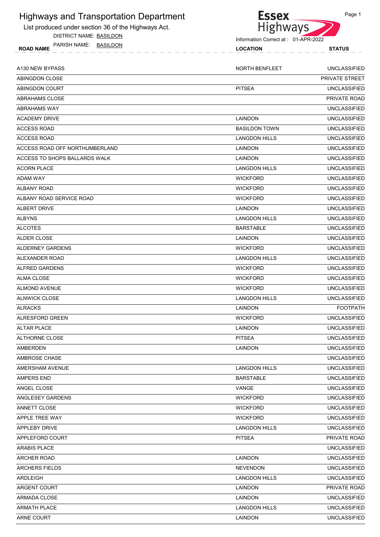List produced under section 36 of the Highways Act.

DISTRICT NAME: BASILDON

ROAD NAME LOCATION STATUS PARISH NAME: BASILDON



| A130 NEW BYPASS                | <b>NORTH BENFLEET</b> | <b>UNCLASSIFIED</b> |
|--------------------------------|-----------------------|---------------------|
| ABINGDON CLOSE                 |                       | PRIVATE STREET      |
| ABINGDON COURT                 | <b>PITSEA</b>         | <b>UNCLASSIFIED</b> |
| ABRAHAMS CLOSE                 |                       | PRIVATE ROAD        |
| ABRAHAMS WAY                   |                       | <b>UNCLASSIFIED</b> |
| <b>ACADEMY DRIVE</b>           | LAINDON               | <b>UNCLASSIFIED</b> |
| <b>ACCESS ROAD</b>             | <b>BASILDON TOWN</b>  | <b>UNCLASSIFIED</b> |
| <b>ACCESS ROAD</b>             | <b>LANGDON HILLS</b>  | <b>UNCLASSIFIED</b> |
| ACCESS ROAD OFF NORTHUMBERLAND | <b>LAINDON</b>        | <b>UNCLASSIFIED</b> |
| ACCESS TO SHOPS BALLARDS WALK  | LAINDON               | <b>UNCLASSIFIED</b> |
| <b>ACORN PLACE</b>             | <b>LANGDON HILLS</b>  | <b>UNCLASSIFIED</b> |
| <b>ADAM WAY</b>                | <b>WICKFORD</b>       | <b>UNCLASSIFIED</b> |
| <b>ALBANY ROAD</b>             | <b>WICKFORD</b>       | <b>UNCLASSIFIED</b> |
| ALBANY ROAD SERVICE ROAD       | <b>WICKFORD</b>       | <b>UNCLASSIFIED</b> |
| <b>ALBERT DRIVE</b>            | LAINDON               | <b>UNCLASSIFIED</b> |
| <b>ALBYNS</b>                  | <b>LANGDON HILLS</b>  | <b>UNCLASSIFIED</b> |
| <b>ALCOTES</b>                 | <b>BARSTABLE</b>      | <b>UNCLASSIFIED</b> |
| ALDER CLOSE                    | <b>LAINDON</b>        | <b>UNCLASSIFIED</b> |
| ALDERNEY GARDENS               | <b>WICKFORD</b>       | <b>UNCLASSIFIED</b> |
| ALEXANDER ROAD                 | <b>LANGDON HILLS</b>  | <b>UNCLASSIFIED</b> |
| ALFRED GARDENS                 | <b>WICKFORD</b>       | <b>UNCLASSIFIED</b> |
| ALMA CLOSE                     | <b>WICKFORD</b>       | <b>UNCLASSIFIED</b> |
| ALMOND AVENUE                  | <b>WICKFORD</b>       | <b>UNCLASSIFIED</b> |
| <b>ALNWICK CLOSE</b>           | <b>LANGDON HILLS</b>  | <b>UNCLASSIFIED</b> |
| <b>ALRACKS</b>                 | LAINDON               | <b>FOOTPATH</b>     |
| <b>ALRESFORD GREEN</b>         | <b>WICKFORD</b>       | <b>UNCLASSIFIED</b> |
| <b>ALTAR PLACE</b>             | LAINDON               | <b>UNCLASSIFIED</b> |
| ALTHORNE CLOSE                 | <b>PITSEA</b>         | <b>UNCLASSIFIED</b> |
| AMBERDEN                       | LAINDON               | <b>UNCLASSIFIED</b> |
| AMBROSE CHASE                  |                       | <b>UNCLASSIFIED</b> |
| AMERSHAM AVENUE                | <b>LANGDON HILLS</b>  | <b>UNCLASSIFIED</b> |
| AMPERS END                     | <b>BARSTABLE</b>      | <b>UNCLASSIFIED</b> |
| ANGEL CLOSE                    | VANGE                 | <b>UNCLASSIFIED</b> |
| ANGLESEY GARDENS               | <b>WICKFORD</b>       | <b>UNCLASSIFIED</b> |
| ANNETT CLOSE                   | <b>WICKFORD</b>       | <b>UNCLASSIFIED</b> |
| APPLE TREE WAY                 | <b>WICKFORD</b>       | <b>UNCLASSIFIED</b> |
| APPLEBY DRIVE                  | <b>LANGDON HILLS</b>  | <b>UNCLASSIFIED</b> |
| APPLEFORD COURT                | <b>PITSEA</b>         | PRIVATE ROAD        |
| ARABIS PLACE                   |                       | <b>UNCLASSIFIED</b> |
| <b>ARCHER ROAD</b>             | LAINDON               | <b>UNCLASSIFIED</b> |
| <b>ARCHERS FIELDS</b>          | <b>NEVENDON</b>       | <b>UNCLASSIFIED</b> |
| ARDLEIGH                       | <b>LANGDON HILLS</b>  | <b>UNCLASSIFIED</b> |
| ARGENT COURT                   | LAINDON               | PRIVATE ROAD        |
| ARMADA CLOSE                   | <b>LAINDON</b>        | <b>UNCLASSIFIED</b> |
| ARMATH PLACE                   | <b>LANGDON HILLS</b>  | <b>UNCLASSIFIED</b> |
| ARNE COURT                     | LAINDON               | <b>UNCLASSIFIED</b> |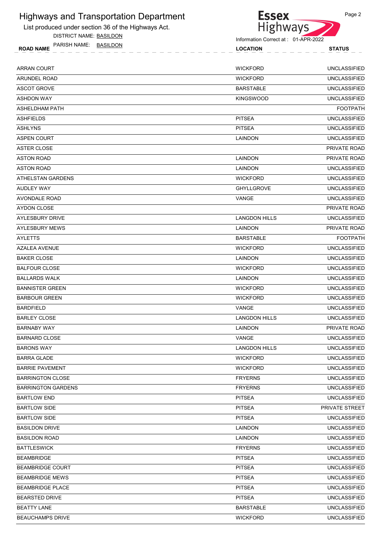

DISTRICT NAME: BASILDON

**Essex** Highways Information Correct at : 01-APR-2022

|--|--|

| ARRAN COURT            | <b>WICKFORD</b>      | <b>UNCLASSIFIED</b>   |
|------------------------|----------------------|-----------------------|
| ARUNDEL ROAD           | <b>WICKFORD</b>      | <b>UNCLASSIFIED</b>   |
| ASCOT GROVE            | <b>BARSTABLE</b>     | <b>UNCLASSIFIED</b>   |
| ASHDON WAY             | <b>KINGSWOOD</b>     | <b>UNCLASSIFIED</b>   |
| ASHELDHAM PATH         |                      | <b>FOOTPATH</b>       |
| ASHFIELDS              | <b>PITSEA</b>        | <b>UNCLASSIFIED</b>   |
| ASHLYNS                | <b>PITSEA</b>        | <b>UNCLASSIFIED</b>   |
| ASPEN COURT            | <b>LAINDON</b>       | <b>UNCLASSIFIED</b>   |
| ASTER CLOSE            |                      | PRIVATE ROAD          |
| ASTON ROAD             | LAINDON              | PRIVATE ROAD          |
| ASTON ROAD             | LAINDON              | <b>UNCLASSIFIED</b>   |
| ATHELSTAN GARDENS      | <b>WICKFORD</b>      | <b>UNCLASSIFIED</b>   |
| AUDLEY WAY             | <b>GHYLLGROVE</b>    | <b>UNCLASSIFIED</b>   |
| AVONDALE ROAD          | VANGE                | <b>UNCLASSIFIED</b>   |
| AYDON CLOSE            |                      | PRIVATE ROAD          |
| AYLESBURY DRIVE        | <b>LANGDON HILLS</b> | <b>UNCLASSIFIED</b>   |
| AYLESBURY MEWS         | <b>LAINDON</b>       | PRIVATE ROAD          |
| AYLETTS                | <b>BARSTABLE</b>     | <b>FOOTPATH</b>       |
| AZALEA AVENUE          | <b>WICKFORD</b>      | <b>UNCLASSIFIED</b>   |
| BAKER CLOSE            | LAINDON              | <b>UNCLASSIFIED</b>   |
| BALFOUR CLOSE          | <b>WICKFORD</b>      | <b>UNCLASSIFIED</b>   |
| BALLARDS WALK          | <b>LAINDON</b>       | <b>UNCLASSIFIED</b>   |
| BANNISTER GREEN        | <b>WICKFORD</b>      | <b>UNCLASSIFIED</b>   |
| BARBOUR GREEN          | <b>WICKFORD</b>      | <b>UNCLASSIFIED</b>   |
| BARDFIELD              | VANGE                | <b>UNCLASSIFIED</b>   |
| BARLEY CLOSE           | <b>LANGDON HILLS</b> | <b>UNCLASSIFIED</b>   |
| BARNABY WAY            | LAINDON              | PRIVATE ROAD          |
| BARNARD CLOSE          | VANGE                | <b>UNCLASSIFIED</b>   |
| BARONS WAY             | <b>LANGDON HILLS</b> | UNCLASSIFIED          |
| BARRA GLADE            | <b>WICKFORD</b>      | <b>UNCLASSIFIED</b>   |
| <b>BARRIE PAVEMENT</b> | <b>WICKFORD</b>      | <b>UNCLASSIFIED</b>   |
| BARRINGTON CLOSE       | <b>FRYERNS</b>       | <b>UNCLASSIFIED</b>   |
| BARRINGTON GARDENS     | <b>FRYERNS</b>       | <b>UNCLASSIFIED</b>   |
| BARTLOW END            | <b>PITSEA</b>        | <b>UNCLASSIFIED</b>   |
| BARTLOW SIDE           | <b>PITSEA</b>        | <b>PRIVATE STREET</b> |
| <b>BARTLOW SIDE</b>    | <b>PITSEA</b>        | <b>UNCLASSIFIED</b>   |
| BASILDON DRIVE         | LAINDON              | <b>UNCLASSIFIED</b>   |
| BASILDON ROAD          | LAINDON              | <b>UNCLASSIFIED</b>   |
| BATTLESWICK            | <b>FRYERNS</b>       | <b>UNCLASSIFIED</b>   |
| BEAMBRIDGE             | <b>PITSEA</b>        | <b>UNCLASSIFIED</b>   |
| BEAMBRIDGE COURT       | <b>PITSEA</b>        | <b>UNCLASSIFIED</b>   |
| BEAMBRIDGE MEWS        | <b>PITSEA</b>        | <b>UNCLASSIFIED</b>   |
| BEAMBRIDGE PLACE       | <b>PITSEA</b>        | <b>UNCLASSIFIED</b>   |
| BEARSTED DRIVE         | <b>PITSEA</b>        | <b>UNCLASSIFIED</b>   |
| BEATTY LANE            | <b>BARSTABLE</b>     | <b>UNCLASSIFIED</b>   |
|                        |                      |                       |

ROAD NAME LOCATION STATUS PARISH NAME: BASILDON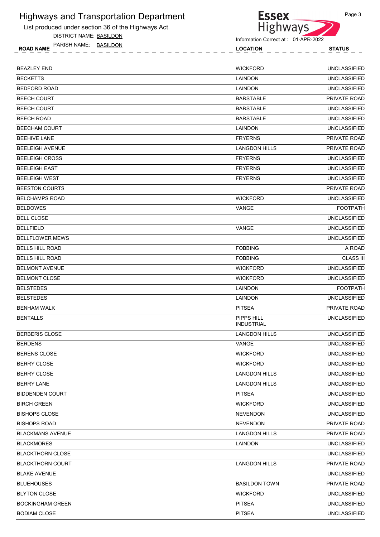

DISTRICT NAME: BASILDON



Page 3

| <b>ROAD NAME</b> | PARISH NAME: | <b>BASILDON</b> |  | <b>LOCATION</b> | <b>STATUS</b> |                     |
|------------------|--------------|-----------------|--|-----------------|---------------|---------------------|
|                  |              |                 |  |                 |               |                     |
| BEAZLEY END      |              |                 |  | <b>WICKFORD</b> |               | <b>UNCLASSIFIED</b> |

| <b>BECKETTS</b>         | LAINDON                         | <b>UNCLASSIFIED</b> |
|-------------------------|---------------------------------|---------------------|
| <b>BEDFORD ROAD</b>     | <b>LAINDON</b>                  | <b>UNCLASSIFIED</b> |
| <b>BEECH COURT</b>      | <b>BARSTABLE</b>                | PRIVATE ROAD        |
| <b>BEECH COURT</b>      | <b>BARSTABLE</b>                | <b>UNCLASSIFIED</b> |
| <b>BEECH ROAD</b>       | <b>BARSTABLE</b>                | <b>UNCLASSIFIED</b> |
| <b>BEECHAM COURT</b>    | LAINDON                         | <b>UNCLASSIFIED</b> |
| <b>BEEHIVE LANE</b>     | <b>FRYERNS</b>                  | PRIVATE ROAD        |
| <b>BEELEIGH AVENUE</b>  | <b>LANGDON HILLS</b>            | PRIVATE ROAD        |
| <b>BEELEIGH CROSS</b>   | <b>FRYERNS</b>                  | <b>UNCLASSIFIED</b> |
| <b>BEELEIGH EAST</b>    | <b>FRYERNS</b>                  | <b>UNCLASSIFIED</b> |
| <b>BEELEIGH WEST</b>    | <b>FRYERNS</b>                  | <b>UNCLASSIFIED</b> |
| <b>BEESTON COURTS</b>   |                                 | PRIVATE ROAD        |
| <b>BELCHAMPS ROAD</b>   | <b>WICKFORD</b>                 | <b>UNCLASSIFIED</b> |
| <b>BELDOWES</b>         | VANGE                           | <b>FOOTPATH</b>     |
| BELL CLOSE              |                                 | <b>UNCLASSIFIED</b> |
| <b>BELLFIELD</b>        | VANGE                           | <b>UNCLASSIFIED</b> |
| <b>BELLFLOWER MEWS</b>  |                                 | <b>UNCLASSIFIED</b> |
| <b>BELLS HILL ROAD</b>  | <b>FOBBING</b>                  | A ROAD              |
| <b>BELLS HILL ROAD</b>  | <b>FOBBING</b>                  | <b>CLASS III</b>    |
| <b>BELMONT AVENUE</b>   | <b>WICKFORD</b>                 | <b>UNCLASSIFIED</b> |
| <b>BELMONT CLOSE</b>    | <b>WICKFORD</b>                 | <b>UNCLASSIFIED</b> |
| <b>BELSTEDES</b>        | LAINDON                         | <b>FOOTPATH</b>     |
| <b>BELSTEDES</b>        | LAINDON                         | <b>UNCLASSIFIED</b> |
| <b>BENHAM WALK</b>      | <b>PITSEA</b>                   | PRIVATE ROAD        |
| <b>BENTALLS</b>         | PIPPS HILL<br><b>INDUSTRIAL</b> | <b>UNCLASSIFIED</b> |
| <b>BERBERIS CLOSE</b>   | <b>LANGDON HILLS</b>            | <b>UNCLASSIFIED</b> |
| <b>BERDENS</b>          | VANGE                           | <b>UNCLASSIFIED</b> |
| <b>BERENS CLOSE</b>     | <b>WICKFORD</b>                 | <b>UNCLASSIFIED</b> |
| BERRY CLOSE             | <b>WICKFORD</b>                 | <b>UNCLASSIFIED</b> |
| <b>BERRY CLOSE</b>      | <b>LANGDON HILLS</b>            | <b>UNCLASSIFIED</b> |
| <b>BERRY LANE</b>       | <b>LANGDON HILLS</b>            | <b>UNCLASSIFIED</b> |
| <b>BIDDENDEN COURT</b>  | <b>PITSEA</b>                   | UNCLASSIFIED        |
| <b>BIRCH GREEN</b>      | <b>WICKFORD</b>                 | <b>UNCLASSIFIED</b> |
| <b>BISHOPS CLOSE</b>    | <b>NEVENDON</b>                 | <b>UNCLASSIFIED</b> |
| <b>BISHOPS ROAD</b>     | <b>NEVENDON</b>                 | PRIVATE ROAD        |
| <b>BLACKMANS AVENUE</b> | <b>LANGDON HILLS</b>            | PRIVATE ROAD        |
| <b>BLACKMORES</b>       | <b>LAINDON</b>                  | <b>UNCLASSIFIED</b> |
| <b>BLACKTHORN CLOSE</b> |                                 | <b>UNCLASSIFIED</b> |
| <b>BLACKTHORN COURT</b> | <b>LANGDON HILLS</b>            | PRIVATE ROAD        |
| <b>BLAKE AVENUE</b>     |                                 | <b>UNCLASSIFIED</b> |
| <b>BLUEHOUSES</b>       | <b>BASILDON TOWN</b>            | PRIVATE ROAD        |
| <b>BLYTON CLOSE</b>     | <b>WICKFORD</b>                 | <b>UNCLASSIFIED</b> |
| <b>BOCKINGHAM GREEN</b> | <b>PITSEA</b>                   | <b>UNCLASSIFIED</b> |
| <b>BODIAM CLOSE</b>     | <b>PITSEA</b>                   | <b>UNCLASSIFIED</b> |
|                         |                                 |                     |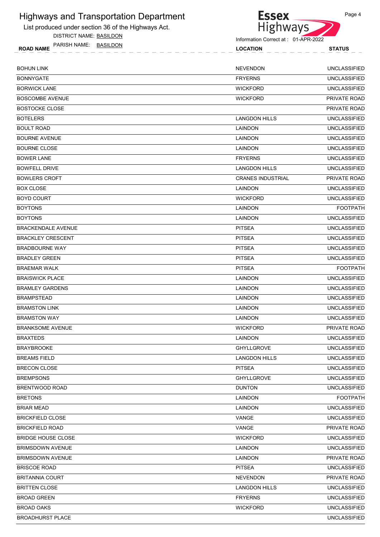

DISTRICT NAME: BASILDON



Page 4

| PARISH NAME: BASILDON<br><b>ROAD NAME</b> | <b>LOCATION</b> | <b>STATUS</b>       |
|-------------------------------------------|-----------------|---------------------|
| BOHUN LINK                                | <b>NEVENDON</b> | UNCLASSIFIED        |
| BONNYGATE                                 | <b>FRYERNS</b>  | <b>UNCLASSIFIED</b> |
| BORWICK LANE                              | <b>WICKFORD</b> | UNCLASSIFIED        |

| ם ו השני וייניש           | ,,,,,,,,,                | טוויטרהטטוו ובט     |
|---------------------------|--------------------------|---------------------|
| <b>BORWICK LANE</b>       | <b>WICKFORD</b>          | <b>UNCLASSIFIED</b> |
| <b>BOSCOMBE AVENUE</b>    | <b>WICKFORD</b>          | <b>PRIVATE ROAD</b> |
| <b>BOSTOCKE CLOSE</b>     |                          | PRIVATE ROAD        |
| <b>BOTELERS</b>           | <b>LANGDON HILLS</b>     | <b>UNCLASSIFIED</b> |
| <b>BOULT ROAD</b>         | LAINDON                  | <b>UNCLASSIFIED</b> |
| <b>BOURNE AVENUE</b>      | LAINDON                  | <b>UNCLASSIFIED</b> |
| <b>BOURNE CLOSE</b>       | LAINDON                  | <b>UNCLASSIFIED</b> |
| <b>BOWER LANE</b>         | <b>FRYERNS</b>           | <b>UNCLASSIFIED</b> |
| <b>BOWFELL DRIVE</b>      | <b>LANGDON HILLS</b>     | <b>UNCLASSIFIED</b> |
| <b>BOWLERS CROFT</b>      | <b>CRANES INDUSTRIAL</b> | PRIVATE ROAD        |
| <b>BOX CLOSE</b>          | LAINDON                  | <b>UNCLASSIFIED</b> |
| <b>BOYD COURT</b>         | <b>WICKFORD</b>          | <b>UNCLASSIFIED</b> |
| <b>BOYTONS</b>            | LAINDON                  | <b>FOOTPATH</b>     |
| <b>BOYTONS</b>            | LAINDON                  | UNCLASSIFIED        |
| <b>BRACKENDALE AVENUE</b> | PITSEA                   | <b>UNCLASSIFIED</b> |
| <b>BRACKLEY CRESCENT</b>  | <b>PITSEA</b>            | <b>UNCLASSIFIED</b> |
| <b>BRADBOURNE WAY</b>     | <b>PITSEA</b>            | <b>UNCLASSIFIED</b> |
| <b>BRADLEY GREEN</b>      | PITSEA                   | <b>UNCLASSIFIED</b> |
| <b>BRAEMAR WALK</b>       | PITSEA                   | <b>FOOTPATH</b>     |
| <b>BRAISWICK PLACE</b>    | LAINDON                  | <b>UNCLASSIFIED</b> |
| <b>BRAMLEY GARDENS</b>    | LAINDON                  | <b>UNCLASSIFIED</b> |
| <b>BRAMPSTEAD</b>         | LAINDON                  | <b>UNCLASSIFIED</b> |
| <b>BRAMSTON LINK</b>      | LAINDON                  | <b>UNCLASSIFIED</b> |
| <b>BRAMSTON WAY</b>       | LAINDON                  | <b>UNCLASSIFIED</b> |
| <b>BRANKSOME AVENUE</b>   | <b>WICKFORD</b>          | PRIVATE ROAD        |
| <b>BRAXTEDS</b>           | LAINDON                  | <b>UNCLASSIFIED</b> |
| <b>BRAYBROOKE</b>         | <b>GHYLLGROVE</b>        | <b>UNCLASSIFIED</b> |
| <b>BREAMS FIELD</b>       | <b>LANGDON HILLS</b>     | <b>UNCLASSIFIED</b> |
| <b>BRECON CLOSE</b>       | <b>PITSEA</b>            | <b>UNCLASSIFIED</b> |
| <b>BREMPSONS</b>          | <b>GHYLLGROVE</b>        | <b>UNCLASSIFIED</b> |
| BRENTWOOD ROAD            | <b>DUNTON</b>            | UNCLASSIFIED        |
| <b>BRETONS</b>            | LAINDON                  | <b>FOOTPATH</b>     |
| <b>BRIAR MEAD</b>         | LAINDON                  | UNCLASSIFIED        |
| <b>BRICKFIELD CLOSE</b>   | VANGE                    | <b>UNCLASSIFIED</b> |
| <b>BRICKFIELD ROAD</b>    | VANGE                    | PRIVATE ROAD        |
| <b>BRIDGE HOUSE CLOSE</b> | <b>WICKFORD</b>          | <b>UNCLASSIFIED</b> |
| <b>BRIMSDOWN AVENUE</b>   | <b>LAINDON</b>           | UNCLASSIFIED        |
| <b>BRIMSDOWN AVENUE</b>   | LAINDON                  | PRIVATE ROAD        |
| <b>BRISCOE ROAD</b>       | <b>PITSEA</b>            | <b>UNCLASSIFIED</b> |
| <b>BRITANNIA COURT</b>    | <b>NEVENDON</b>          | PRIVATE ROAD        |
| <b>BRITTEN CLOSE</b>      | <b>LANGDON HILLS</b>     | <b>UNCLASSIFIED</b> |
| <b>BROAD GREEN</b>        | <b>FRYERNS</b>           | <b>UNCLASSIFIED</b> |
| <b>BROAD OAKS</b>         | <b>WICKFORD</b>          | UNCLASSIFIED        |
| <b>BROADHURST PLACE</b>   |                          | <b>UNCLASSIFIED</b> |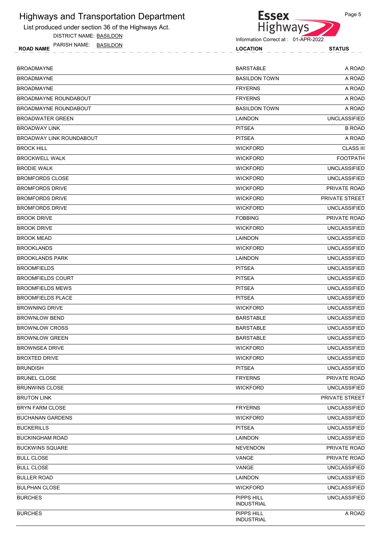List produced under section 36 of the Highways Act.

DISTRICT NAME: BASILDON



| ROAI<br>. <b>.</b> |  | SII | וחר |  |  |  |  |  |  |  |  |  |  |  |  |  |
|--------------------|--|-----|-----|--|--|--|--|--|--|--|--|--|--|--|--|--|
|                    |  |     |     |  |  |  |  |  |  |  |  |  |  |  |  |  |

| <b>BROADMAYNE</b><br><b>BASILDON TOWN</b><br>A ROAD<br><b>BROADMAYNE</b><br><b>FRYERNS</b><br>A ROAD<br><b>BROADMAYNE ROUNDABOUT</b><br><b>FRYERNS</b><br>A ROAD<br>BROADMAYNE ROUNDABOUT<br><b>BASILDON TOWN</b><br>A ROAD<br><b>UNCLASSIFIED</b><br><b>BROADWATER GREEN</b><br>LAINDON<br><b>BROADWAY LINK</b><br><b>PITSEA</b><br><b>B ROAD</b><br>BROADWAY LINK ROUNDABOUT<br><b>PITSEA</b><br>A ROAD<br><b>CLASS III</b><br><b>BROCK HILL</b><br><b>WICKFORD</b><br><b>BROCKWELL WALK</b><br><b>WICKFORD</b><br><b>FOOTPATH</b><br><b>BRODIE WALK</b><br><b>UNCLASSIFIED</b><br><b>WICKFORD</b><br><b>UNCLASSIFIED</b><br><b>BROMFORDS CLOSE</b><br><b>WICKFORD</b><br><b>BROMFORDS DRIVE</b><br><b>WICKFORD</b><br>PRIVATE ROAD<br>PRIVATE STREET<br><b>BROMFORDS DRIVE</b><br><b>WICKFORD</b><br><b>UNCLASSIFIED</b><br><b>BROMFORDS DRIVE</b><br><b>WICKFORD</b><br><b>BROOK DRIVE</b><br><b>FOBBING</b><br><b>PRIVATE ROAD</b><br><b>BROOK DRIVE</b><br><b>WICKFORD</b><br><b>UNCLASSIFIED</b><br><b>UNCLASSIFIED</b><br><b>BROOK MEAD</b><br><b>LAINDON</b><br><b>UNCLASSIFIED</b><br><b>BROOKLANDS</b><br><b>WICKFORD</b><br><b>UNCLASSIFIED</b><br><b>BROOKLANDS PARK</b><br>LAINDON<br><b>BROOMFIELDS</b><br><b>PITSEA</b><br><b>UNCLASSIFIED</b><br><b>BROOMFIELDS COURT</b><br><b>PITSEA</b><br><b>UNCLASSIFIED</b><br><b>BROOMFIELDS MEWS</b><br><b>PITSEA</b><br><b>UNCLASSIFIED</b><br><b>BROOMFIELDS PLACE</b><br><b>PITSEA</b><br><b>UNCLASSIFIED</b><br><b>UNCLASSIFIED</b><br><b>BROWNING DRIVE</b><br><b>WICKFORD</b><br><b>BROWNLOW BEND</b><br><b>BARSTABLE</b><br><b>UNCLASSIFIED</b><br><b>BROWNLOW CROSS</b><br><b>BARSTABLE</b><br><b>UNCLASSIFIED</b><br><b>UNCLASSIFIED</b><br><b>BROWNLOW GREEN</b><br><b>BARSTABLE</b><br><b>UNCLASSIFIED</b><br><b>BROWNSEA DRIVE</b><br><b>WICKFORD</b><br><b>UNCLASSIFIED</b><br><b>BROXTED DRIVE</b><br><b>WICKFORD</b><br><b>PITSEA</b><br><b>UNCLASSIFIED</b><br><b>BRUNDISH</b><br>PRIVATE ROAD<br><b>BRUNEL CLOSE</b><br><b>FRYERNS</b><br><b>UNCLASSIFIED</b><br><b>BRUNWINS CLOSE</b><br><b>WICKFORD</b><br>PRIVATE STREET<br><b>BRUTON LINK</b><br><b>BRYN FARM CLOSE</b><br><b>FRYERNS</b><br><b>UNCLASSIFIED</b><br><b>UNCLASSIFIED</b><br><b>BUCHANAN GARDENS</b><br><b>WICKFORD</b><br><b>UNCLASSIFIED</b><br><b>BUCKERILLS</b><br><b>PITSEA</b><br><b>UNCLASSIFIED</b><br><b>BUCKINGHAM ROAD</b><br>LAINDON<br><b>BUCKWINS SQUARE</b><br><b>NEVENDON</b><br>PRIVATE ROAD<br><b>BULL CLOSE</b><br>PRIVATE ROAD<br>VANGE<br><b>BULL CLOSE</b><br><b>UNCLASSIFIED</b><br>VANGE<br><b>UNCLASSIFIED</b><br><b>BULLER ROAD</b><br>LAINDON<br><b>UNCLASSIFIED</b><br><b>BULPHAN CLOSE</b><br><b>WICKFORD</b><br><b>UNCLASSIFIED</b><br><b>BURCHES</b><br>PIPPS HILL<br><b>INDUSTRIAL</b><br>PIPPS HILL<br>A ROAD<br><b>BURCHES</b><br><b>INDUSTRIAL</b> | <b>BROADMAYNE</b> | <b>BARSTABLE</b> | A ROAD |
|-----------------------------------------------------------------------------------------------------------------------------------------------------------------------------------------------------------------------------------------------------------------------------------------------------------------------------------------------------------------------------------------------------------------------------------------------------------------------------------------------------------------------------------------------------------------------------------------------------------------------------------------------------------------------------------------------------------------------------------------------------------------------------------------------------------------------------------------------------------------------------------------------------------------------------------------------------------------------------------------------------------------------------------------------------------------------------------------------------------------------------------------------------------------------------------------------------------------------------------------------------------------------------------------------------------------------------------------------------------------------------------------------------------------------------------------------------------------------------------------------------------------------------------------------------------------------------------------------------------------------------------------------------------------------------------------------------------------------------------------------------------------------------------------------------------------------------------------------------------------------------------------------------------------------------------------------------------------------------------------------------------------------------------------------------------------------------------------------------------------------------------------------------------------------------------------------------------------------------------------------------------------------------------------------------------------------------------------------------------------------------------------------------------------------------------------------------------------------------------------------------------------------------------------------------------------------------------------------------------------------------------------------------------------------------------------------------------------------------------------------------------------------------------------------------------------------------------|-------------------|------------------|--------|
|                                                                                                                                                                                                                                                                                                                                                                                                                                                                                                                                                                                                                                                                                                                                                                                                                                                                                                                                                                                                                                                                                                                                                                                                                                                                                                                                                                                                                                                                                                                                                                                                                                                                                                                                                                                                                                                                                                                                                                                                                                                                                                                                                                                                                                                                                                                                                                                                                                                                                                                                                                                                                                                                                                                                                                                                                                   |                   |                  |        |
|                                                                                                                                                                                                                                                                                                                                                                                                                                                                                                                                                                                                                                                                                                                                                                                                                                                                                                                                                                                                                                                                                                                                                                                                                                                                                                                                                                                                                                                                                                                                                                                                                                                                                                                                                                                                                                                                                                                                                                                                                                                                                                                                                                                                                                                                                                                                                                                                                                                                                                                                                                                                                                                                                                                                                                                                                                   |                   |                  |        |
|                                                                                                                                                                                                                                                                                                                                                                                                                                                                                                                                                                                                                                                                                                                                                                                                                                                                                                                                                                                                                                                                                                                                                                                                                                                                                                                                                                                                                                                                                                                                                                                                                                                                                                                                                                                                                                                                                                                                                                                                                                                                                                                                                                                                                                                                                                                                                                                                                                                                                                                                                                                                                                                                                                                                                                                                                                   |                   |                  |        |
|                                                                                                                                                                                                                                                                                                                                                                                                                                                                                                                                                                                                                                                                                                                                                                                                                                                                                                                                                                                                                                                                                                                                                                                                                                                                                                                                                                                                                                                                                                                                                                                                                                                                                                                                                                                                                                                                                                                                                                                                                                                                                                                                                                                                                                                                                                                                                                                                                                                                                                                                                                                                                                                                                                                                                                                                                                   |                   |                  |        |
|                                                                                                                                                                                                                                                                                                                                                                                                                                                                                                                                                                                                                                                                                                                                                                                                                                                                                                                                                                                                                                                                                                                                                                                                                                                                                                                                                                                                                                                                                                                                                                                                                                                                                                                                                                                                                                                                                                                                                                                                                                                                                                                                                                                                                                                                                                                                                                                                                                                                                                                                                                                                                                                                                                                                                                                                                                   |                   |                  |        |
|                                                                                                                                                                                                                                                                                                                                                                                                                                                                                                                                                                                                                                                                                                                                                                                                                                                                                                                                                                                                                                                                                                                                                                                                                                                                                                                                                                                                                                                                                                                                                                                                                                                                                                                                                                                                                                                                                                                                                                                                                                                                                                                                                                                                                                                                                                                                                                                                                                                                                                                                                                                                                                                                                                                                                                                                                                   |                   |                  |        |
|                                                                                                                                                                                                                                                                                                                                                                                                                                                                                                                                                                                                                                                                                                                                                                                                                                                                                                                                                                                                                                                                                                                                                                                                                                                                                                                                                                                                                                                                                                                                                                                                                                                                                                                                                                                                                                                                                                                                                                                                                                                                                                                                                                                                                                                                                                                                                                                                                                                                                                                                                                                                                                                                                                                                                                                                                                   |                   |                  |        |
|                                                                                                                                                                                                                                                                                                                                                                                                                                                                                                                                                                                                                                                                                                                                                                                                                                                                                                                                                                                                                                                                                                                                                                                                                                                                                                                                                                                                                                                                                                                                                                                                                                                                                                                                                                                                                                                                                                                                                                                                                                                                                                                                                                                                                                                                                                                                                                                                                                                                                                                                                                                                                                                                                                                                                                                                                                   |                   |                  |        |
|                                                                                                                                                                                                                                                                                                                                                                                                                                                                                                                                                                                                                                                                                                                                                                                                                                                                                                                                                                                                                                                                                                                                                                                                                                                                                                                                                                                                                                                                                                                                                                                                                                                                                                                                                                                                                                                                                                                                                                                                                                                                                                                                                                                                                                                                                                                                                                                                                                                                                                                                                                                                                                                                                                                                                                                                                                   |                   |                  |        |
|                                                                                                                                                                                                                                                                                                                                                                                                                                                                                                                                                                                                                                                                                                                                                                                                                                                                                                                                                                                                                                                                                                                                                                                                                                                                                                                                                                                                                                                                                                                                                                                                                                                                                                                                                                                                                                                                                                                                                                                                                                                                                                                                                                                                                                                                                                                                                                                                                                                                                                                                                                                                                                                                                                                                                                                                                                   |                   |                  |        |
|                                                                                                                                                                                                                                                                                                                                                                                                                                                                                                                                                                                                                                                                                                                                                                                                                                                                                                                                                                                                                                                                                                                                                                                                                                                                                                                                                                                                                                                                                                                                                                                                                                                                                                                                                                                                                                                                                                                                                                                                                                                                                                                                                                                                                                                                                                                                                                                                                                                                                                                                                                                                                                                                                                                                                                                                                                   |                   |                  |        |
|                                                                                                                                                                                                                                                                                                                                                                                                                                                                                                                                                                                                                                                                                                                                                                                                                                                                                                                                                                                                                                                                                                                                                                                                                                                                                                                                                                                                                                                                                                                                                                                                                                                                                                                                                                                                                                                                                                                                                                                                                                                                                                                                                                                                                                                                                                                                                                                                                                                                                                                                                                                                                                                                                                                                                                                                                                   |                   |                  |        |
|                                                                                                                                                                                                                                                                                                                                                                                                                                                                                                                                                                                                                                                                                                                                                                                                                                                                                                                                                                                                                                                                                                                                                                                                                                                                                                                                                                                                                                                                                                                                                                                                                                                                                                                                                                                                                                                                                                                                                                                                                                                                                                                                                                                                                                                                                                                                                                                                                                                                                                                                                                                                                                                                                                                                                                                                                                   |                   |                  |        |
|                                                                                                                                                                                                                                                                                                                                                                                                                                                                                                                                                                                                                                                                                                                                                                                                                                                                                                                                                                                                                                                                                                                                                                                                                                                                                                                                                                                                                                                                                                                                                                                                                                                                                                                                                                                                                                                                                                                                                                                                                                                                                                                                                                                                                                                                                                                                                                                                                                                                                                                                                                                                                                                                                                                                                                                                                                   |                   |                  |        |
|                                                                                                                                                                                                                                                                                                                                                                                                                                                                                                                                                                                                                                                                                                                                                                                                                                                                                                                                                                                                                                                                                                                                                                                                                                                                                                                                                                                                                                                                                                                                                                                                                                                                                                                                                                                                                                                                                                                                                                                                                                                                                                                                                                                                                                                                                                                                                                                                                                                                                                                                                                                                                                                                                                                                                                                                                                   |                   |                  |        |
|                                                                                                                                                                                                                                                                                                                                                                                                                                                                                                                                                                                                                                                                                                                                                                                                                                                                                                                                                                                                                                                                                                                                                                                                                                                                                                                                                                                                                                                                                                                                                                                                                                                                                                                                                                                                                                                                                                                                                                                                                                                                                                                                                                                                                                                                                                                                                                                                                                                                                                                                                                                                                                                                                                                                                                                                                                   |                   |                  |        |
|                                                                                                                                                                                                                                                                                                                                                                                                                                                                                                                                                                                                                                                                                                                                                                                                                                                                                                                                                                                                                                                                                                                                                                                                                                                                                                                                                                                                                                                                                                                                                                                                                                                                                                                                                                                                                                                                                                                                                                                                                                                                                                                                                                                                                                                                                                                                                                                                                                                                                                                                                                                                                                                                                                                                                                                                                                   |                   |                  |        |
|                                                                                                                                                                                                                                                                                                                                                                                                                                                                                                                                                                                                                                                                                                                                                                                                                                                                                                                                                                                                                                                                                                                                                                                                                                                                                                                                                                                                                                                                                                                                                                                                                                                                                                                                                                                                                                                                                                                                                                                                                                                                                                                                                                                                                                                                                                                                                                                                                                                                                                                                                                                                                                                                                                                                                                                                                                   |                   |                  |        |
|                                                                                                                                                                                                                                                                                                                                                                                                                                                                                                                                                                                                                                                                                                                                                                                                                                                                                                                                                                                                                                                                                                                                                                                                                                                                                                                                                                                                                                                                                                                                                                                                                                                                                                                                                                                                                                                                                                                                                                                                                                                                                                                                                                                                                                                                                                                                                                                                                                                                                                                                                                                                                                                                                                                                                                                                                                   |                   |                  |        |
|                                                                                                                                                                                                                                                                                                                                                                                                                                                                                                                                                                                                                                                                                                                                                                                                                                                                                                                                                                                                                                                                                                                                                                                                                                                                                                                                                                                                                                                                                                                                                                                                                                                                                                                                                                                                                                                                                                                                                                                                                                                                                                                                                                                                                                                                                                                                                                                                                                                                                                                                                                                                                                                                                                                                                                                                                                   |                   |                  |        |
|                                                                                                                                                                                                                                                                                                                                                                                                                                                                                                                                                                                                                                                                                                                                                                                                                                                                                                                                                                                                                                                                                                                                                                                                                                                                                                                                                                                                                                                                                                                                                                                                                                                                                                                                                                                                                                                                                                                                                                                                                                                                                                                                                                                                                                                                                                                                                                                                                                                                                                                                                                                                                                                                                                                                                                                                                                   |                   |                  |        |
|                                                                                                                                                                                                                                                                                                                                                                                                                                                                                                                                                                                                                                                                                                                                                                                                                                                                                                                                                                                                                                                                                                                                                                                                                                                                                                                                                                                                                                                                                                                                                                                                                                                                                                                                                                                                                                                                                                                                                                                                                                                                                                                                                                                                                                                                                                                                                                                                                                                                                                                                                                                                                                                                                                                                                                                                                                   |                   |                  |        |
|                                                                                                                                                                                                                                                                                                                                                                                                                                                                                                                                                                                                                                                                                                                                                                                                                                                                                                                                                                                                                                                                                                                                                                                                                                                                                                                                                                                                                                                                                                                                                                                                                                                                                                                                                                                                                                                                                                                                                                                                                                                                                                                                                                                                                                                                                                                                                                                                                                                                                                                                                                                                                                                                                                                                                                                                                                   |                   |                  |        |
|                                                                                                                                                                                                                                                                                                                                                                                                                                                                                                                                                                                                                                                                                                                                                                                                                                                                                                                                                                                                                                                                                                                                                                                                                                                                                                                                                                                                                                                                                                                                                                                                                                                                                                                                                                                                                                                                                                                                                                                                                                                                                                                                                                                                                                                                                                                                                                                                                                                                                                                                                                                                                                                                                                                                                                                                                                   |                   |                  |        |
|                                                                                                                                                                                                                                                                                                                                                                                                                                                                                                                                                                                                                                                                                                                                                                                                                                                                                                                                                                                                                                                                                                                                                                                                                                                                                                                                                                                                                                                                                                                                                                                                                                                                                                                                                                                                                                                                                                                                                                                                                                                                                                                                                                                                                                                                                                                                                                                                                                                                                                                                                                                                                                                                                                                                                                                                                                   |                   |                  |        |
|                                                                                                                                                                                                                                                                                                                                                                                                                                                                                                                                                                                                                                                                                                                                                                                                                                                                                                                                                                                                                                                                                                                                                                                                                                                                                                                                                                                                                                                                                                                                                                                                                                                                                                                                                                                                                                                                                                                                                                                                                                                                                                                                                                                                                                                                                                                                                                                                                                                                                                                                                                                                                                                                                                                                                                                                                                   |                   |                  |        |
|                                                                                                                                                                                                                                                                                                                                                                                                                                                                                                                                                                                                                                                                                                                                                                                                                                                                                                                                                                                                                                                                                                                                                                                                                                                                                                                                                                                                                                                                                                                                                                                                                                                                                                                                                                                                                                                                                                                                                                                                                                                                                                                                                                                                                                                                                                                                                                                                                                                                                                                                                                                                                                                                                                                                                                                                                                   |                   |                  |        |
|                                                                                                                                                                                                                                                                                                                                                                                                                                                                                                                                                                                                                                                                                                                                                                                                                                                                                                                                                                                                                                                                                                                                                                                                                                                                                                                                                                                                                                                                                                                                                                                                                                                                                                                                                                                                                                                                                                                                                                                                                                                                                                                                                                                                                                                                                                                                                                                                                                                                                                                                                                                                                                                                                                                                                                                                                                   |                   |                  |        |
|                                                                                                                                                                                                                                                                                                                                                                                                                                                                                                                                                                                                                                                                                                                                                                                                                                                                                                                                                                                                                                                                                                                                                                                                                                                                                                                                                                                                                                                                                                                                                                                                                                                                                                                                                                                                                                                                                                                                                                                                                                                                                                                                                                                                                                                                                                                                                                                                                                                                                                                                                                                                                                                                                                                                                                                                                                   |                   |                  |        |
|                                                                                                                                                                                                                                                                                                                                                                                                                                                                                                                                                                                                                                                                                                                                                                                                                                                                                                                                                                                                                                                                                                                                                                                                                                                                                                                                                                                                                                                                                                                                                                                                                                                                                                                                                                                                                                                                                                                                                                                                                                                                                                                                                                                                                                                                                                                                                                                                                                                                                                                                                                                                                                                                                                                                                                                                                                   |                   |                  |        |
|                                                                                                                                                                                                                                                                                                                                                                                                                                                                                                                                                                                                                                                                                                                                                                                                                                                                                                                                                                                                                                                                                                                                                                                                                                                                                                                                                                                                                                                                                                                                                                                                                                                                                                                                                                                                                                                                                                                                                                                                                                                                                                                                                                                                                                                                                                                                                                                                                                                                                                                                                                                                                                                                                                                                                                                                                                   |                   |                  |        |
|                                                                                                                                                                                                                                                                                                                                                                                                                                                                                                                                                                                                                                                                                                                                                                                                                                                                                                                                                                                                                                                                                                                                                                                                                                                                                                                                                                                                                                                                                                                                                                                                                                                                                                                                                                                                                                                                                                                                                                                                                                                                                                                                                                                                                                                                                                                                                                                                                                                                                                                                                                                                                                                                                                                                                                                                                                   |                   |                  |        |
|                                                                                                                                                                                                                                                                                                                                                                                                                                                                                                                                                                                                                                                                                                                                                                                                                                                                                                                                                                                                                                                                                                                                                                                                                                                                                                                                                                                                                                                                                                                                                                                                                                                                                                                                                                                                                                                                                                                                                                                                                                                                                                                                                                                                                                                                                                                                                                                                                                                                                                                                                                                                                                                                                                                                                                                                                                   |                   |                  |        |
|                                                                                                                                                                                                                                                                                                                                                                                                                                                                                                                                                                                                                                                                                                                                                                                                                                                                                                                                                                                                                                                                                                                                                                                                                                                                                                                                                                                                                                                                                                                                                                                                                                                                                                                                                                                                                                                                                                                                                                                                                                                                                                                                                                                                                                                                                                                                                                                                                                                                                                                                                                                                                                                                                                                                                                                                                                   |                   |                  |        |
|                                                                                                                                                                                                                                                                                                                                                                                                                                                                                                                                                                                                                                                                                                                                                                                                                                                                                                                                                                                                                                                                                                                                                                                                                                                                                                                                                                                                                                                                                                                                                                                                                                                                                                                                                                                                                                                                                                                                                                                                                                                                                                                                                                                                                                                                                                                                                                                                                                                                                                                                                                                                                                                                                                                                                                                                                                   |                   |                  |        |
|                                                                                                                                                                                                                                                                                                                                                                                                                                                                                                                                                                                                                                                                                                                                                                                                                                                                                                                                                                                                                                                                                                                                                                                                                                                                                                                                                                                                                                                                                                                                                                                                                                                                                                                                                                                                                                                                                                                                                                                                                                                                                                                                                                                                                                                                                                                                                                                                                                                                                                                                                                                                                                                                                                                                                                                                                                   |                   |                  |        |
|                                                                                                                                                                                                                                                                                                                                                                                                                                                                                                                                                                                                                                                                                                                                                                                                                                                                                                                                                                                                                                                                                                                                                                                                                                                                                                                                                                                                                                                                                                                                                                                                                                                                                                                                                                                                                                                                                                                                                                                                                                                                                                                                                                                                                                                                                                                                                                                                                                                                                                                                                                                                                                                                                                                                                                                                                                   |                   |                  |        |
|                                                                                                                                                                                                                                                                                                                                                                                                                                                                                                                                                                                                                                                                                                                                                                                                                                                                                                                                                                                                                                                                                                                                                                                                                                                                                                                                                                                                                                                                                                                                                                                                                                                                                                                                                                                                                                                                                                                                                                                                                                                                                                                                                                                                                                                                                                                                                                                                                                                                                                                                                                                                                                                                                                                                                                                                                                   |                   |                  |        |
|                                                                                                                                                                                                                                                                                                                                                                                                                                                                                                                                                                                                                                                                                                                                                                                                                                                                                                                                                                                                                                                                                                                                                                                                                                                                                                                                                                                                                                                                                                                                                                                                                                                                                                                                                                                                                                                                                                                                                                                                                                                                                                                                                                                                                                                                                                                                                                                                                                                                                                                                                                                                                                                                                                                                                                                                                                   |                   |                  |        |
|                                                                                                                                                                                                                                                                                                                                                                                                                                                                                                                                                                                                                                                                                                                                                                                                                                                                                                                                                                                                                                                                                                                                                                                                                                                                                                                                                                                                                                                                                                                                                                                                                                                                                                                                                                                                                                                                                                                                                                                                                                                                                                                                                                                                                                                                                                                                                                                                                                                                                                                                                                                                                                                                                                                                                                                                                                   |                   |                  |        |
|                                                                                                                                                                                                                                                                                                                                                                                                                                                                                                                                                                                                                                                                                                                                                                                                                                                                                                                                                                                                                                                                                                                                                                                                                                                                                                                                                                                                                                                                                                                                                                                                                                                                                                                                                                                                                                                                                                                                                                                                                                                                                                                                                                                                                                                                                                                                                                                                                                                                                                                                                                                                                                                                                                                                                                                                                                   |                   |                  |        |
|                                                                                                                                                                                                                                                                                                                                                                                                                                                                                                                                                                                                                                                                                                                                                                                                                                                                                                                                                                                                                                                                                                                                                                                                                                                                                                                                                                                                                                                                                                                                                                                                                                                                                                                                                                                                                                                                                                                                                                                                                                                                                                                                                                                                                                                                                                                                                                                                                                                                                                                                                                                                                                                                                                                                                                                                                                   |                   |                  |        |
|                                                                                                                                                                                                                                                                                                                                                                                                                                                                                                                                                                                                                                                                                                                                                                                                                                                                                                                                                                                                                                                                                                                                                                                                                                                                                                                                                                                                                                                                                                                                                                                                                                                                                                                                                                                                                                                                                                                                                                                                                                                                                                                                                                                                                                                                                                                                                                                                                                                                                                                                                                                                                                                                                                                                                                                                                                   |                   |                  |        |
|                                                                                                                                                                                                                                                                                                                                                                                                                                                                                                                                                                                                                                                                                                                                                                                                                                                                                                                                                                                                                                                                                                                                                                                                                                                                                                                                                                                                                                                                                                                                                                                                                                                                                                                                                                                                                                                                                                                                                                                                                                                                                                                                                                                                                                                                                                                                                                                                                                                                                                                                                                                                                                                                                                                                                                                                                                   |                   |                  |        |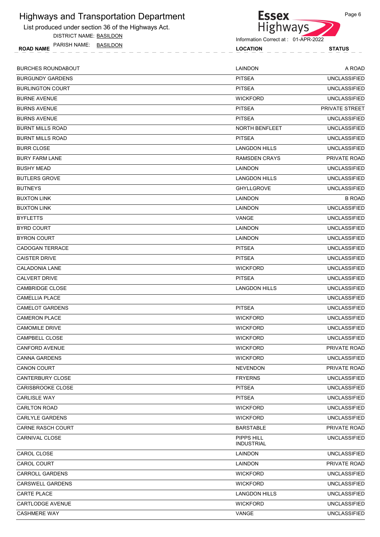

DISTRICT NAME: BASILDON

PARISH NAME: BASILDON



Page 6

| <b>LOCATION</b> | <b>STATUS</b> |  |  |
|-----------------|---------------|--|--|
|                 |               |  |  |

| <b>FANOLINAME.</b><br><b>DASILDON</b><br><b>ROAD NAME</b> | <b>LOCATION</b>                 | <b>STATUS</b>       |
|-----------------------------------------------------------|---------------------------------|---------------------|
| BURCHES ROUNDABOUT                                        | LAINDON                         | A ROAD              |
| <b>BURGUNDY GARDENS</b>                                   | <b>PITSEA</b>                   | <b>UNCLASSIFIED</b> |
| BURLINGTON COURT                                          | <b>PITSEA</b>                   | <b>UNCLASSIFIED</b> |
| BURNE AVENUE                                              | <b>WICKFORD</b>                 | <b>UNCLASSIFIED</b> |
| <b>BURNS AVENUE</b>                                       | <b>PITSEA</b>                   | PRIVATE STREET      |
| <b>BURNS AVENUE</b>                                       | <b>PITSEA</b>                   | <b>UNCLASSIFIED</b> |
| <b>BURNT MILLS ROAD</b>                                   | <b>NORTH BENFLEET</b>           | <b>UNCLASSIFIED</b> |
| BURNT MILLS ROAD                                          | <b>PITSEA</b>                   | <b>UNCLASSIFIED</b> |
| BURR CLOSE                                                | <b>LANGDON HILLS</b>            | <b>UNCLASSIFIED</b> |
| BURY FARM LANE                                            | <b>RAMSDEN CRAYS</b>            | <b>PRIVATE ROAD</b> |
| BUSHY MEAD                                                | LAINDON                         | <b>UNCLASSIFIED</b> |
| BUTLERS GROVE                                             | <b>LANGDON HILLS</b>            | <b>UNCLASSIFIED</b> |
| <b>BUTNEYS</b>                                            | <b>GHYLLGROVE</b>               | <b>UNCLASSIFIED</b> |
| BUXTON LINK                                               | LAINDON                         | <b>B ROAD</b>       |
| BUXTON LINK                                               | LAINDON                         | <b>UNCLASSIFIED</b> |
| BYFLETTS                                                  | VANGE                           | <b>UNCLASSIFIED</b> |
| <b>BYRD COURT</b>                                         | LAINDON                         | <b>UNCLASSIFIED</b> |
| BYRON COURT                                               | LAINDON                         | <b>UNCLASSIFIED</b> |
| CADOGAN TERRACE                                           | <b>PITSEA</b>                   | <b>UNCLASSIFIED</b> |
| CAISTER DRIVE                                             | <b>PITSEA</b>                   | <b>UNCLASSIFIED</b> |
| CALADONIA LANE                                            | <b>WICKFORD</b>                 | <b>UNCLASSIFIED</b> |
| CALVERT DRIVE                                             | <b>PITSEA</b>                   | <b>UNCLASSIFIED</b> |
| CAMBRIDGE CLOSE                                           | <b>LANGDON HILLS</b>            | <b>UNCLASSIFIED</b> |
| CAMELLIA PLACE                                            |                                 | <b>UNCLASSIFIED</b> |
| CAMELOT GARDENS                                           | <b>PITSEA</b>                   | <b>UNCLASSIFIED</b> |
| CAMERON PLACE                                             | <b>WICKFORD</b>                 | <b>UNCLASSIFIED</b> |
| CAMOMILE DRIVE                                            | <b>WICKFORD</b>                 | <b>UNCLASSIFIED</b> |
| CAMPBELL CLOSE                                            | <b>WICKFORD</b>                 | <b>UNCLASSIFIED</b> |
| CANFORD AVENUE                                            | <b>WICKFORD</b>                 | PRIVATE ROAD        |
| CANNA GARDENS                                             | <b>WICKFORD</b>                 | <b>UNCLASSIFIED</b> |
| <b>CANON COURT</b>                                        | <b>NEVENDON</b>                 | PRIVATE ROAD        |
| CANTERBURY CLOSE                                          | <b>FRYERNS</b>                  | <b>UNCLASSIFIED</b> |
| CARISBROOKE CLOSE                                         | <b>PITSEA</b>                   | <b>UNCLASSIFIED</b> |
| CARLISLE WAY                                              | <b>PITSEA</b>                   | <b>UNCLASSIFIED</b> |
| CARLTON ROAD                                              | <b>WICKFORD</b>                 | <b>UNCLASSIFIED</b> |
| CARLYLE GARDENS                                           | <b>WICKFORD</b>                 | <b>UNCLASSIFIED</b> |
| CARNE RASCH COURT                                         | <b>BARSTABLE</b>                | PRIVATE ROAD        |
| CARNIVAL CLOSE                                            | PIPPS HILL<br><b>INDUSTRIAL</b> | <b>UNCLASSIFIED</b> |
| CAROL CLOSE                                               | LAINDON                         | <b>UNCLASSIFIED</b> |

|                         | <b>INDUSTRIAL</b>    |                     |
|-------------------------|----------------------|---------------------|
| CAROL CLOSE             | LAINDON              | <b>UNCLASSIFIED</b> |
| <b>CAROL COURT</b>      | LAINDON              | PRIVATE ROAD        |
| CARROLL GARDENS         | <b>WICKFORD</b>      | <b>UNCLASSIFIED</b> |
| <b>CARSWELL GARDENS</b> | <b>WICKFORD</b>      | <b>UNCLASSIFIED</b> |
| CARTE PLACE             | <b>LANGDON HILLS</b> | <b>UNCLASSIFIED</b> |
| CARTLODGE AVENUE        | <b>WICKFORD</b>      | <b>UNCLASSIFIED</b> |
| <b>CASHMERE WAY</b>     | VANGE                | <b>UNCLASSIFIED</b> |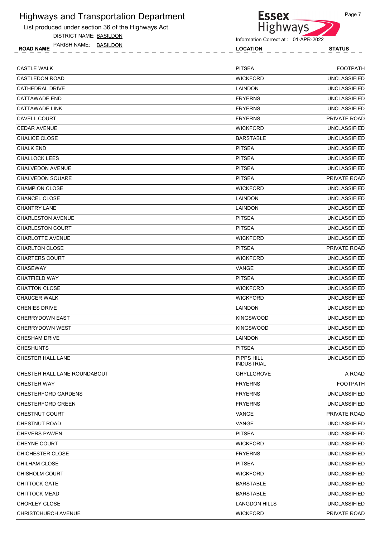

DISTRICT NAME: BASILDON



| .<br><b>ROAD</b> | <br>∵NAM∟ | SIL<br>DΛ<br>n, | JON |  |  |  |  |  |  |  |  |  |  |  |  |
|------------------|-----------|-----------------|-----|--|--|--|--|--|--|--|--|--|--|--|--|
|                  |           |                 |     |  |  |  |  |  |  |  |  |  |  |  |  |

| <b>CASTLE WALK</b>           | <b>PITSEA</b>                   | <b>FOOTPATH</b>     |
|------------------------------|---------------------------------|---------------------|
| CASTLEDON ROAD               | <b>WICKFORD</b>                 | <b>UNCLASSIFIED</b> |
| CATHEDRAL DRIVE              | LAINDON                         | <b>UNCLASSIFIED</b> |
| <b>CATTAWADE END</b>         | <b>FRYERNS</b>                  | <b>UNCLASSIFIED</b> |
| <b>CATTAWADE LINK</b>        | <b>FRYERNS</b>                  | <b>UNCLASSIFIED</b> |
| <b>CAVELL COURT</b>          | <b>FRYERNS</b>                  | <b>PRIVATE ROAD</b> |
| <b>CEDAR AVENUE</b>          | <b>WICKFORD</b>                 | <b>UNCLASSIFIED</b> |
| CHALICE CLOSE                | <b>BARSTABLE</b>                | <b>UNCLASSIFIED</b> |
| <b>CHALK END</b>             | <b>PITSEA</b>                   | <b>UNCLASSIFIED</b> |
| <b>CHALLOCK LEES</b>         | <b>PITSEA</b>                   | <b>UNCLASSIFIED</b> |
| <b>CHALVEDON AVENUE</b>      | <b>PITSEA</b>                   | <b>UNCLASSIFIED</b> |
| <b>CHALVEDON SQUARE</b>      | <b>PITSEA</b>                   | PRIVATE ROAD        |
| <b>CHAMPION CLOSE</b>        | <b>WICKFORD</b>                 | <b>UNCLASSIFIED</b> |
| <b>CHANCEL CLOSE</b>         | <b>LAINDON</b>                  | <b>UNCLASSIFIED</b> |
| <b>CHANTRY LANE</b>          | LAINDON                         | <b>UNCLASSIFIED</b> |
| <b>CHARLESTON AVENUE</b>     | <b>PITSEA</b>                   | <b>UNCLASSIFIED</b> |
| <b>CHARLESTON COURT</b>      | <b>PITSEA</b>                   | <b>UNCLASSIFIED</b> |
| <b>CHARLOTTE AVENUE</b>      | <b>WICKFORD</b>                 | <b>UNCLASSIFIED</b> |
| <b>CHARLTON CLOSE</b>        | <b>PITSEA</b>                   | PRIVATE ROAD        |
| <b>CHARTERS COURT</b>        | <b>WICKFORD</b>                 | <b>UNCLASSIFIED</b> |
| CHASEWAY                     | VANGE                           | <b>UNCLASSIFIED</b> |
| <b>CHATFIELD WAY</b>         | <b>PITSEA</b>                   | <b>UNCLASSIFIED</b> |
| <b>CHATTON CLOSE</b>         | <b>WICKFORD</b>                 | <b>UNCLASSIFIED</b> |
| <b>CHAUCER WALK</b>          | <b>WICKFORD</b>                 | <b>UNCLASSIFIED</b> |
| <b>CHENIES DRIVE</b>         | LAINDON                         | <b>UNCLASSIFIED</b> |
| <b>CHERRYDOWN EAST</b>       | <b>KINGSWOOD</b>                | <b>UNCLASSIFIED</b> |
| <b>CHERRYDOWN WEST</b>       | <b>KINGSWOOD</b>                | <b>UNCLASSIFIED</b> |
| <b>CHESHAM DRIVE</b>         | <b>LAINDON</b>                  | <b>UNCLASSIFIED</b> |
| <b>CHESHUNTS</b>             | <b>PITSEA</b>                   | <b>UNCLASSIFIED</b> |
| CHESTER HALL LANE            | PIPPS HILL<br><b>INDUSTRIAL</b> | <b>UNCLASSIFIED</b> |
| CHESTER HALL LANE ROUNDABOUT | <b>GHYLLGROVE</b>               | A ROAD              |
| <b>CHESTER WAY</b>           | <b>FRYERNS</b>                  | <b>FOOTPATH</b>     |
| <b>CHESTERFORD GARDENS</b>   | <b>FRYERNS</b>                  | <b>UNCLASSIFIED</b> |
| <b>CHESTERFORD GREEN</b>     | <b>FRYERNS</b>                  | <b>UNCLASSIFIED</b> |
| CHESTNUT COURT               | VANGE                           | PRIVATE ROAD        |
| CHESTNUT ROAD                | VANGE                           | <b>UNCLASSIFIED</b> |
| <b>CHEVERS PAWEN</b>         | <b>PITSEA</b>                   | <b>UNCLASSIFIED</b> |
| CHEYNE COURT                 | <b>WICKFORD</b>                 | <b>UNCLASSIFIED</b> |
| CHICHESTER CLOSE             | <b>FRYERNS</b>                  | <b>UNCLASSIFIED</b> |
| CHILHAM CLOSE                | <b>PITSEA</b>                   | <b>UNCLASSIFIED</b> |
| CHISHOLM COURT               | <b>WICKFORD</b>                 | <b>UNCLASSIFIED</b> |
| <b>CHITTOCK GATE</b>         | <b>BARSTABLE</b>                | <b>UNCLASSIFIED</b> |
| <b>CHITTOCK MEAD</b>         | <b>BARSTABLE</b>                | <b>UNCLASSIFIED</b> |
| <b>CHORLEY CLOSE</b>         | <b>LANGDON HILLS</b>            | <b>UNCLASSIFIED</b> |
| <b>CHRISTCHURCH AVENUE</b>   | <b>WICKFORD</b>                 | PRIVATE ROAD        |
|                              |                                 |                     |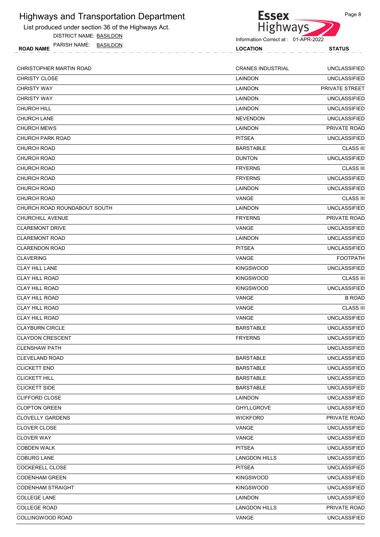List produced under section 36 of the Highways Act.

DISTRICT NAME: BASILDON



| PARISH NAME: BASILDON<br><b>ROAD NAME</b> | <b>LOCATION</b>          | <b>STATUS</b>       |
|-------------------------------------------|--------------------------|---------------------|
| CHRISTOPHER MARTIN ROAD                   | <b>CRANES INDUSTRIAL</b> | UNCLASSIFIED        |
| <b>CHRISTY CLOSE</b>                      | LAINDON                  | <b>UNCLASSIFIED</b> |

| <b>CHRISTY CLOSE</b>         | LAINDON              | <b>UNCLASSIFIED</b> |
|------------------------------|----------------------|---------------------|
| <b>CHRISTY WAY</b>           | LAINDON              | PRIVATE STREET      |
| <b>CHRISTY WAY</b>           | LAINDON              | <b>UNCLASSIFIED</b> |
| <b>CHURCH HILL</b>           | LAINDON              | <b>UNCLASSIFIED</b> |
| <b>CHURCH LANE</b>           | <b>NEVENDON</b>      | <b>UNCLASSIFIED</b> |
| <b>CHURCH MEWS</b>           | LAINDON              | PRIVATE ROAD        |
| <b>CHURCH PARK ROAD</b>      | <b>PITSEA</b>        | <b>UNCLASSIFIED</b> |
| <b>CHURCH ROAD</b>           | <b>BARSTABLE</b>     | <b>CLASS III</b>    |
| <b>CHURCH ROAD</b>           | <b>DUNTON</b>        | <b>UNCLASSIFIED</b> |
| <b>CHURCH ROAD</b>           | <b>FRYERNS</b>       | <b>CLASS III</b>    |
| <b>CHURCH ROAD</b>           | <b>FRYERNS</b>       | <b>UNCLASSIFIED</b> |
| <b>CHURCH ROAD</b>           | LAINDON              | <b>UNCLASSIFIED</b> |
| <b>CHURCH ROAD</b>           | VANGE                | <b>CLASS III</b>    |
| CHURCH ROAD ROUNDABOUT SOUTH | LAINDON              | <b>UNCLASSIFIED</b> |
| CHURCHILL AVENUE             | <b>FRYERNS</b>       | PRIVATE ROAD        |
| <b>CLAREMONT DRIVE</b>       | VANGE                | <b>UNCLASSIFIED</b> |
| <b>CLAREMONT ROAD</b>        | LAINDON              | <b>UNCLASSIFIED</b> |
| <b>CLARENDON ROAD</b>        | <b>PITSEA</b>        | <b>UNCLASSIFIED</b> |
| <b>CLAVERING</b>             | <b>VANGE</b>         | <b>FOOTPATH</b>     |
| <b>CLAY HILL LANE</b>        | <b>KINGSWOOD</b>     | <b>UNCLASSIFIED</b> |
| <b>CLAY HILL ROAD</b>        | <b>KINGSWOOD</b>     | <b>CLASS III</b>    |
| <b>CLAY HILL ROAD</b>        | <b>KINGSWOOD</b>     | <b>UNCLASSIFIED</b> |
| <b>CLAY HILL ROAD</b>        | VANGE                | B ROAD              |
| <b>CLAY HILL ROAD</b>        | VANGE                | <b>CLASS III</b>    |
| <b>CLAY HILL ROAD</b>        | VANGE                | <b>UNCLASSIFIED</b> |
| <b>CLAYBURN CIRCLE</b>       | <b>BARSTABLE</b>     | <b>UNCLASSIFIED</b> |
| <b>CLAYDON CRESCENT</b>      | <b>FRYERNS</b>       | <b>UNCLASSIFIED</b> |
| <b>CLENSHAW PATH</b>         |                      | <b>UNCLASSIFIED</b> |
| CLEVELAND ROAD               | <b>BARSTABLE</b>     | UNCLASSIFIED        |
| <b>CLICKETT END</b>          | <b>BARSTABLE</b>     | <b>UNCLASSIFIED</b> |
| <b>CLICKETT HILL</b>         | <b>BARSTABLE</b>     | <b>UNCLASSIFIED</b> |
| <b>CLICKETT SIDE</b>         | <b>BARSTABLE</b>     | UNCLASSIFIED        |
| CLIFFORD CLOSE               | LAINDON              | UNCLASSIFIED        |
| <b>CLOPTON GREEN</b>         | <b>GHYLLGROVE</b>    | <b>UNCLASSIFIED</b> |
| <b>CLOVELLY GARDENS</b>      | <b>WICKFORD</b>      | PRIVATE ROAD        |
| CLOVER CLOSE                 | VANGE                | <b>UNCLASSIFIED</b> |
| <b>CLOVER WAY</b>            | VANGE                | UNCLASSIFIED        |
| <b>COBDEN WALK</b>           | <b>PITSEA</b>        | UNCLASSIFIED        |
| <b>COBURG LANE</b>           | <b>LANGDON HILLS</b> | <b>UNCLASSIFIED</b> |
| COCKERELL CLOSE              | <b>PITSEA</b>        | UNCLASSIFIED        |
| <b>CODENHAM GREEN</b>        | <b>KINGSWOOD</b>     | <b>UNCLASSIFIED</b> |
| <b>CODENHAM STRAIGHT</b>     | <b>KINGSWOOD</b>     | <b>UNCLASSIFIED</b> |
| <b>COLLEGE LANE</b>          | LAINDON              | UNCLASSIFIED        |
| <b>COLLEGE ROAD</b>          | <b>LANGDON HILLS</b> | PRIVATE ROAD        |
| COLLINGWOOD ROAD             | VANGE                | <b>UNCLASSIFIED</b> |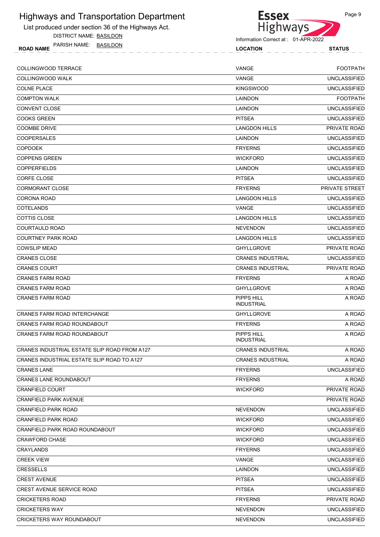List produced under section 36 of the Highways Act.

DISTRICT NAME: BASILDON



| <b>ROAD NAME</b> | NAME:<br>PARISH | DON<br><b>BASIL</b> |  | <b>_OCATION</b> | <b>STATUS</b> |
|------------------|-----------------|---------------------|--|-----------------|---------------|
|                  |                 |                     |  |                 |               |
|                  |                 |                     |  |                 |               |
|                  |                 |                     |  |                 |               |

| COLLINGWOOD TERRACE                          | VANGE                           | <b>FOOTPATH</b>       |
|----------------------------------------------|---------------------------------|-----------------------|
| <b>COLLINGWOOD WALK</b>                      | VANGE                           | <b>UNCLASSIFIED</b>   |
| <b>COLNE PLACE</b>                           | <b>KINGSWOOD</b>                | <b>UNCLASSIFIED</b>   |
| <b>COMPTON WALK</b>                          | LAINDON                         | <b>FOOTPATH</b>       |
| <b>CONVENT CLOSE</b>                         | LAINDON                         | <b>UNCLASSIFIED</b>   |
| <b>COOKS GREEN</b>                           | <b>PITSEA</b>                   | <b>UNCLASSIFIED</b>   |
| <b>COOMBE DRIVE</b>                          | <b>LANGDON HILLS</b>            | PRIVATE ROAD          |
| <b>COOPERSALES</b>                           | LAINDON                         | <b>UNCLASSIFIED</b>   |
| <b>COPDOEK</b>                               | <b>FRYERNS</b>                  | <b>UNCLASSIFIED</b>   |
| <b>COPPENS GREEN</b>                         | <b>WICKFORD</b>                 | <b>UNCLASSIFIED</b>   |
| <b>COPPERFIELDS</b>                          | LAINDON                         | <b>UNCLASSIFIED</b>   |
| <b>CORFE CLOSE</b>                           | <b>PITSEA</b>                   | <b>UNCLASSIFIED</b>   |
| <b>CORMORANT CLOSE</b>                       | <b>FRYERNS</b>                  | <b>PRIVATE STREET</b> |
| <b>CORONA ROAD</b>                           | <b>LANGDON HILLS</b>            | <b>UNCLASSIFIED</b>   |
| <b>COTELANDS</b>                             | VANGE                           | <b>UNCLASSIFIED</b>   |
| COTTIS CLOSE                                 | <b>LANGDON HILLS</b>            | <b>UNCLASSIFIED</b>   |
| <b>COURTAULD ROAD</b>                        | <b>NEVENDON</b>                 | <b>UNCLASSIFIED</b>   |
| <b>COURTNEY PARK ROAD</b>                    | <b>LANGDON HILLS</b>            | <b>UNCLASSIFIED</b>   |
| <b>COWSLIP MEAD</b>                          | <b>GHYLLGROVE</b>               | <b>PRIVATE ROAD</b>   |
| <b>CRANES CLOSE</b>                          | <b>CRANES INDUSTRIAL</b>        | <b>UNCLASSIFIED</b>   |
| <b>CRANES COURT</b>                          | <b>CRANES INDUSTRIAL</b>        | PRIVATE ROAD          |
| <b>CRANES FARM ROAD</b>                      | <b>FRYERNS</b>                  | A ROAD                |
| <b>CRANES FARM ROAD</b>                      | <b>GHYLLGROVE</b>               | A ROAD                |
| <b>CRANES FARM ROAD</b>                      | PIPPS HILL<br><b>INDUSTRIAL</b> | A ROAD                |
| <b>CRANES FARM ROAD INTERCHANGE</b>          | <b>GHYLLGROVE</b>               | A ROAD                |
| CRANES FARM ROAD ROUNDABOUT                  | <b>FRYERNS</b>                  | A ROAD                |
| CRANES FARM ROAD ROUNDABOUT                  | PIPPS HILL<br><b>INDUSTRIAL</b> | A ROAD                |
| CRANES INDUSTRIAL ESTATE SLIP ROAD FROM A127 | <b>CRANES INDUSTRIAL</b>        | A ROAD                |
| CRANES INDUSTRIAL ESTATE SLIP ROAD TO A127   | <b>CRANES INDUSTRIAL</b>        | A ROAD                |
| <b>CRANES LANE</b>                           | <b>FRYERNS</b>                  | <b>UNCLASSIFIED</b>   |
| <b>CRANES LANE ROUNDABOUT</b>                | <b>FRYERNS</b>                  | A ROAD                |
| <b>CRANFIELD COURT</b>                       | <b>WICKFORD</b>                 | PRIVATE ROAD          |
| <b>CRANFIELD PARK AVENUE</b>                 |                                 | PRIVATE ROAD          |
| <b>CRANFIELD PARK ROAD</b>                   | <b>NEVENDON</b>                 | <b>UNCLASSIFIED</b>   |
| <b>CRANFIELD PARK ROAD</b>                   | <b>WICKFORD</b>                 | <b>UNCLASSIFIED</b>   |
| CRANFIELD PARK ROAD ROUNDABOUT               | <b>WICKFORD</b>                 | <b>UNCLASSIFIED</b>   |
| <b>CRAWFORD CHASE</b>                        | <b>WICKFORD</b>                 | <b>UNCLASSIFIED</b>   |
| CRAYLANDS                                    | <b>FRYERNS</b>                  | <b>UNCLASSIFIED</b>   |
| <b>CREEK VIEW</b>                            | VANGE                           | <b>UNCLASSIFIED</b>   |
| <b>CRESSELLS</b>                             | LAINDON                         | <b>UNCLASSIFIED</b>   |
| CREST AVENUE                                 | <b>PITSEA</b>                   | <b>UNCLASSIFIED</b>   |
| <b>CREST AVENUE SERVICE ROAD</b>             | <b>PITSEA</b>                   | <b>UNCLASSIFIED</b>   |
| <b>CRICKETERS ROAD</b>                       | <b>FRYERNS</b>                  | PRIVATE ROAD          |
| <b>CRICKETERS WAY</b>                        | <b>NEVENDON</b>                 | <b>UNCLASSIFIED</b>   |
| CRICKETERS WAY ROUNDABOUT                    | <b>NEVENDON</b>                 | <b>UNCLASSIFIED</b>   |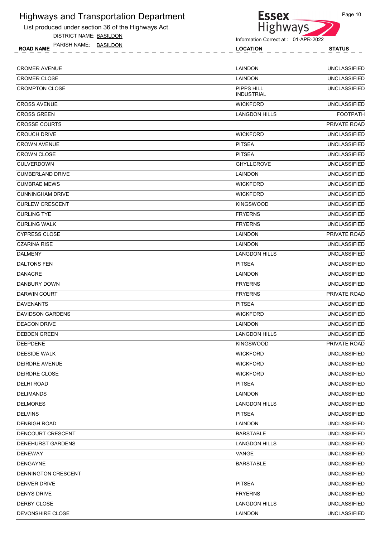List produced under section 36 of the Highways Act.

DISTRICT NAME: BASILDON



Page 10

| <b>ROAD NAME</b> | <b>PARISH NAME:</b> |  | <b>BASILDON</b> |  |  |  |  |  |  |  | <b>LOCATION</b> |  |  |  |  |  | <b>STATUS</b> |  |
|------------------|---------------------|--|-----------------|--|--|--|--|--|--|--|-----------------|--|--|--|--|--|---------------|--|
|                  |                     |  |                 |  |  |  |  |  |  |  |                 |  |  |  |  |  |               |  |
| CROMER AVENUE    |                     |  |                 |  |  |  |  |  |  |  | I AINDON        |  |  |  |  |  | UNCLASSIFIED  |  |

| <b>CROMER CLOSE</b>     | LAINDON                         | UNCLASSIFIED        |
|-------------------------|---------------------------------|---------------------|
| <b>CROMPTON CLOSE</b>   | PIPPS HILL<br><b>INDUSTRIAL</b> | <b>UNCLASSIFIED</b> |
| <b>CROSS AVENUE</b>     | <b>WICKFORD</b>                 | <b>UNCLASSIFIED</b> |
| <b>CROSS GREEN</b>      | <b>LANGDON HILLS</b>            | <b>FOOTPATH</b>     |
| <b>CROSSE COURTS</b>    |                                 | PRIVATE ROAD        |
| <b>CROUCH DRIVE</b>     | <b>WICKFORD</b>                 | <b>UNCLASSIFIED</b> |
| <b>CROWN AVENUE</b>     | <b>PITSEA</b>                   | <b>UNCLASSIFIED</b> |
| <b>CROWN CLOSE</b>      | <b>PITSEA</b>                   | <b>UNCLASSIFIED</b> |
| <b>CULVERDOWN</b>       | <b>GHYLLGROVE</b>               | <b>UNCLASSIFIED</b> |
| <b>CUMBERLAND DRIVE</b> | LAINDON                         | <b>UNCLASSIFIED</b> |
| <b>CUMBRAE MEWS</b>     | <b>WICKFORD</b>                 | <b>UNCLASSIFIED</b> |
| <b>CUNNINGHAM DRIVE</b> | <b>WICKFORD</b>                 | <b>UNCLASSIFIED</b> |
| <b>CURLEW CRESCENT</b>  | <b>KINGSWOOD</b>                | <b>UNCLASSIFIED</b> |
| <b>CURLING TYE</b>      | <b>FRYERNS</b>                  | <b>UNCLASSIFIED</b> |
| <b>CURLING WALK</b>     | <b>FRYERNS</b>                  | <b>UNCLASSIFIED</b> |
| <b>CYPRESS CLOSE</b>    | LAINDON                         | PRIVATE ROAD        |
| <b>CZARINA RISE</b>     | LAINDON                         | <b>UNCLASSIFIED</b> |
| <b>DALMENY</b>          | <b>LANGDON HILLS</b>            | <b>UNCLASSIFIED</b> |
| DALTONS FEN             | <b>PITSEA</b>                   | <b>UNCLASSIFIED</b> |
| <b>DANACRE</b>          | LAINDON                         | <b>UNCLASSIFIED</b> |
| DANBURY DOWN            | <b>FRYERNS</b>                  | <b>UNCLASSIFIED</b> |
| DARWIN COURT            | <b>FRYERNS</b>                  | PRIVATE ROAD        |
| <b>DAVENANTS</b>        | <b>PITSEA</b>                   | <b>UNCLASSIFIED</b> |
| DAVIDSON GARDENS        | <b>WICKFORD</b>                 | <b>UNCLASSIFIED</b> |
| <b>DEACON DRIVE</b>     | LAINDON                         | <b>UNCLASSIFIED</b> |
| <b>DEBDEN GREEN</b>     | LANGDON HILLS                   | UNCLASSIFIED        |
| <b>DEEPDENE</b>         | <b>KINGSWOOD</b>                | PRIVATE ROAD        |
| <b>DEESIDE WALK</b>     | <b>WICKFORD</b>                 | <b>UNCLASSIFIED</b> |
| <b>DEIRDRE AVENUE</b>   | <b>WICKFORD</b>                 | <b>UNCLASSIFIED</b> |
| DEIRDRE CLOSE           | <b>WICKFORD</b>                 | <b>UNCLASSIFIED</b> |
| DELHI ROAD              | <b>PITSEA</b>                   | <b>UNCLASSIFIED</b> |
| <b>DELIMANDS</b>        | LAINDON                         | <b>UNCLASSIFIED</b> |
| <b>DELMORES</b>         | <b>LANGDON HILLS</b>            | <b>UNCLASSIFIED</b> |
| <b>DELVINS</b>          | <b>PITSEA</b>                   | <b>UNCLASSIFIED</b> |
| <b>DENBIGH ROAD</b>     | LAINDON                         | <b>UNCLASSIFIED</b> |
| DENCOURT CRESCENT       | <b>BARSTABLE</b>                | UNCLASSIFIED        |
| DENEHURST GARDENS       | <b>LANGDON HILLS</b>            | <b>UNCLASSIFIED</b> |
| <b>DENEWAY</b>          | VANGE                           | <b>UNCLASSIFIED</b> |
| DENGAYNE                | <b>BARSTABLE</b>                | <b>UNCLASSIFIED</b> |
| DENNINGTON CRESCENT     |                                 | <b>UNCLASSIFIED</b> |
| <b>DENVER DRIVE</b>     | <b>PITSEA</b>                   | <b>UNCLASSIFIED</b> |
| <b>DENYS DRIVE</b>      | <b>FRYERNS</b>                  | UNCLASSIFIED        |
| DERBY CLOSE             | <b>LANGDON HILLS</b>            | <b>UNCLASSIFIED</b> |
| DEVONSHIRE CLOSE        | LAINDON                         | UNCLASSIFIED        |
|                         |                                 |                     |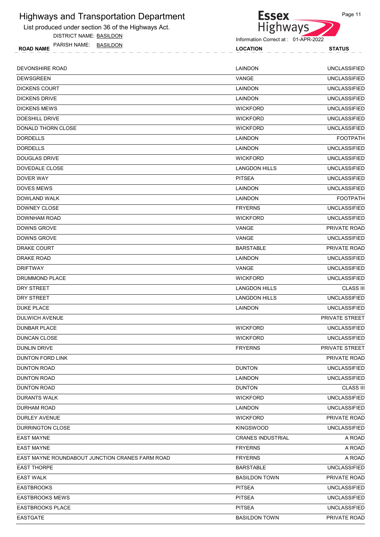

DISTRICT NAME: BASILDON



Page 11

| <b>ROAD NAME</b> | <b>NAME</b><br>PARISH | <b>DON</b><br><b>BASIL</b> | <b>LOCATION</b> | <b>STATUS</b> |
|------------------|-----------------------|----------------------------|-----------------|---------------|
|                  |                       |                            |                 |               |

| DEVONSHIRE ROAD                                 | LAINDON                  | <b>UNCLASSIFIED</b> |
|-------------------------------------------------|--------------------------|---------------------|
| <b>DEWSGREEN</b>                                | VANGE                    | <b>UNCLASSIFIED</b> |
| <b>DICKENS COURT</b>                            | LAINDON                  | <b>UNCLASSIFIED</b> |
| <b>DICKENS DRIVE</b>                            | LAINDON                  | <b>UNCLASSIFIED</b> |
| <b>DICKENS MEWS</b>                             | <b>WICKFORD</b>          | <b>UNCLASSIFIED</b> |
| <b>DOESHILL DRIVE</b>                           | <b>WICKFORD</b>          | <b>UNCLASSIFIED</b> |
| DONALD THORN CLOSE                              | <b>WICKFORD</b>          | <b>UNCLASSIFIED</b> |
| <b>DORDELLS</b>                                 | LAINDON                  | <b>FOOTPATH</b>     |
| <b>DORDELLS</b>                                 | LAINDON                  | <b>UNCLASSIFIED</b> |
| <b>DOUGLAS DRIVE</b>                            | <b>WICKFORD</b>          | <b>UNCLASSIFIED</b> |
| DOVEDALE CLOSE                                  | <b>LANGDON HILLS</b>     | <b>UNCLASSIFIED</b> |
| DOVER WAY                                       | <b>PITSEA</b>            | <b>UNCLASSIFIED</b> |
| DOVES MEWS                                      | LAINDON                  | <b>UNCLASSIFIED</b> |
| DOWLAND WALK                                    | LAINDON                  | <b>FOOTPATH</b>     |
| DOWNEY CLOSE                                    | <b>FRYERNS</b>           | <b>UNCLASSIFIED</b> |
| DOWNHAM ROAD                                    | <b>WICKFORD</b>          | <b>UNCLASSIFIED</b> |
| DOWNS GROVE                                     | VANGE                    | <b>PRIVATE ROAD</b> |
| <b>DOWNS GROVE</b>                              | VANGE                    | <b>UNCLASSIFIED</b> |
| DRAKE COURT                                     | <b>BARSTABLE</b>         | PRIVATE ROAD        |
| DRAKE ROAD                                      | LAINDON                  | <b>UNCLASSIFIED</b> |
| <b>DRIFTWAY</b>                                 | VANGE                    | <b>UNCLASSIFIED</b> |
| DRUMMOND PLACE                                  | <b>WICKFORD</b>          | <b>UNCLASSIFIED</b> |
| DRY STREET                                      | <b>LANGDON HILLS</b>     | <b>CLASS III</b>    |
| DRY STREET                                      | <b>LANGDON HILLS</b>     | <b>UNCLASSIFIED</b> |
| <b>DUKE PLACE</b>                               | LAINDON                  | <b>UNCLASSIFIED</b> |
| <b>DULWICH AVENUE</b>                           |                          | PRIVATE STREET      |
| <b>DUNBAR PLACE</b>                             | <b>WICKFORD</b>          | <b>UNCLASSIFIED</b> |
| <b>DUNCAN CLOSE</b>                             | <b>WICKFORD</b>          | <b>UNCLASSIFIED</b> |
| DUNLIN DRIVE                                    | <b>FRYERNS</b>           | PRIVATE STREET      |
| DUNTON FORD LINK                                |                          | PRIVATE ROAD        |
| <b>DUNTON ROAD</b>                              | <b>DUNTON</b>            | <b>UNCLASSIFIED</b> |
| <b>DUNTON ROAD</b>                              | LAINDON                  | <b>UNCLASSIFIED</b> |
| <b>DUNTON ROAD</b>                              | <b>DUNTON</b>            | <b>CLASS III</b>    |
| <b>DURANTS WALK</b>                             | <b>WICKFORD</b>          | <b>UNCLASSIFIED</b> |
| <b>DURHAM ROAD</b>                              | <b>LAINDON</b>           | <b>UNCLASSIFIED</b> |
| <b>DURLEY AVENUE</b>                            | <b>WICKFORD</b>          | PRIVATE ROAD        |
| <b>DURRINGTON CLOSE</b>                         | <b>KINGSWOOD</b>         | <b>UNCLASSIFIED</b> |
| <b>EAST MAYNE</b>                               | <b>CRANES INDUSTRIAL</b> | A ROAD              |
| <b>EAST MAYNE</b>                               | <b>FRYERNS</b>           | A ROAD              |
| EAST MAYNE ROUNDABOUT JUNCTION CRANES FARM ROAD | <b>FRYERNS</b>           | A ROAD              |
| <b>EAST THORPE</b>                              | <b>BARSTABLE</b>         | UNCLASSIFIED        |
| <b>EAST WALK</b>                                | <b>BASILDON TOWN</b>     | PRIVATE ROAD        |
| <b>EASTBROOKS</b>                               | <b>PITSEA</b>            | <b>UNCLASSIFIED</b> |
| <b>EASTBROOKS MEWS</b>                          | <b>PITSEA</b>            | <b>UNCLASSIFIED</b> |
| <b>EASTBROOKS PLACE</b>                         | <b>PITSEA</b>            | <b>UNCLASSIFIED</b> |
| <b>EASTGATE</b>                                 | <b>BASILDON TOWN</b>     | PRIVATE ROAD        |
|                                                 |                          |                     |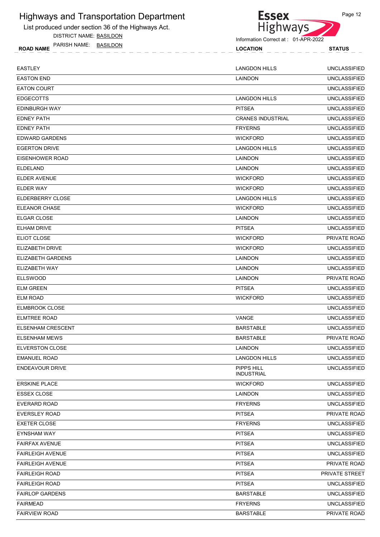List produced under section 36 of the Highways Act.

DISTRICT NAME: BASILDON



| PARISH NAME:<br>BASILDON<br><b>ROAD NAME</b> | <b>LOCATION</b>      | <b>STATUS</b>                         |
|----------------------------------------------|----------------------|---------------------------------------|
| EASTLEY                                      | <b>LANGDON HILLS</b> | <b>UNCLASSIFIED</b>                   |
| EASTON END                                   | LAINDON              | <b>UNCLASSIFIED</b>                   |
| <b>EATOM OOUDT</b>                           |                      | $\overline{111101}$ $\overline{1001}$ |

| <b>EASTON END</b>        | LAINDON                         | <b>UNCLASSIFIED</b> |
|--------------------------|---------------------------------|---------------------|
| <b>EATON COURT</b>       |                                 | <b>UNCLASSIFIED</b> |
| <b>EDGECOTTS</b>         | <b>LANGDON HILLS</b>            | <b>UNCLASSIFIED</b> |
| <b>EDINBURGH WAY</b>     | <b>PITSEA</b>                   | <b>UNCLASSIFIED</b> |
| <b>EDNEY PATH</b>        | <b>CRANES INDUSTRIAL</b>        | <b>UNCLASSIFIED</b> |
| <b>EDNEY PATH</b>        | <b>FRYERNS</b>                  | <b>UNCLASSIFIED</b> |
| <b>EDWARD GARDENS</b>    | <b>WICKFORD</b>                 | <b>UNCLASSIFIED</b> |
| <b>EGERTON DRIVE</b>     | <b>LANGDON HILLS</b>            | <b>UNCLASSIFIED</b> |
| <b>EISENHOWER ROAD</b>   | LAINDON                         | <b>UNCLASSIFIED</b> |
| <b>ELDELAND</b>          | LAINDON                         | <b>UNCLASSIFIED</b> |
| ELDER AVENUE             | <b>WICKFORD</b>                 | <b>UNCLASSIFIED</b> |
| <b>ELDER WAY</b>         | <b>WICKFORD</b>                 | <b>UNCLASSIFIED</b> |
| ELDERBERRY CLOSE         | <b>LANGDON HILLS</b>            | <b>UNCLASSIFIED</b> |
| <b>ELEANOR CHASE</b>     | <b>WICKFORD</b>                 | <b>UNCLASSIFIED</b> |
| <b>ELGAR CLOSE</b>       | <b>LAINDON</b>                  | <b>UNCLASSIFIED</b> |
| <b>ELHAM DRIVE</b>       | <b>PITSEA</b>                   | <b>UNCLASSIFIED</b> |
| <b>ELIOT CLOSE</b>       | <b>WICKFORD</b>                 | PRIVATE ROAD        |
| ELIZABETH DRIVE          | <b>WICKFORD</b>                 | <b>UNCLASSIFIED</b> |
| <b>ELIZABETH GARDENS</b> | LAINDON                         | <b>UNCLASSIFIED</b> |
| ELIZABETH WAY            | LAINDON                         | <b>UNCLASSIFIED</b> |
| <b>ELLSWOOD</b>          | LAINDON                         | PRIVATE ROAD        |
| <b>ELM GREEN</b>         | <b>PITSEA</b>                   | <b>UNCLASSIFIED</b> |
| <b>ELM ROAD</b>          | <b>WICKFORD</b>                 | <b>UNCLASSIFIED</b> |
| <b>ELMBROOK CLOSE</b>    |                                 | <b>UNCLASSIFIED</b> |
| <b>ELMTREE ROAD</b>      | VANGE                           | <b>UNCLASSIFIED</b> |
| <b>ELSENHAM CRESCENT</b> | <b>BARSTABLE</b>                | <b>UNCLASSIFIED</b> |
| <b>ELSENHAM MEWS</b>     | <b>BARSTABLE</b>                | PRIVATE ROAD        |
| <b>ELVERSTON CLOSE</b>   | LAINDON                         | <b>UNCLASSIFIED</b> |
| <b>EMANUEL ROAD</b>      | <b>LANGDON HILLS</b>            | <b>UNCLASSIFIED</b> |
| <b>ENDEAVOUR DRIVE</b>   | PIPPS HILL<br><b>INDUSTRIAL</b> | <b>UNCLASSIFIED</b> |
| <b>ERSKINE PLACE</b>     | <b>WICKFORD</b>                 | <b>UNCLASSIFIED</b> |
| <b>ESSEX CLOSE</b>       | <b>LAINDON</b>                  | <b>UNCLASSIFIED</b> |
| <b>EVERARD ROAD</b>      | <b>FRYERNS</b>                  | <b>UNCLASSIFIED</b> |
| <b>EVERSLEY ROAD</b>     | <b>PITSEA</b>                   | PRIVATE ROAD        |
| <b>EXETER CLOSE</b>      | <b>FRYERNS</b>                  | <b>UNCLASSIFIED</b> |
| <b>EYNSHAM WAY</b>       | <b>PITSEA</b>                   | <b>UNCLASSIFIED</b> |
| <b>FAIRFAX AVENUE</b>    | <b>PITSEA</b>                   | <b>UNCLASSIFIED</b> |
| <b>FAIRLEIGH AVENUE</b>  | <b>PITSEA</b>                   | <b>UNCLASSIFIED</b> |
| <b>FAIRLEIGH AVENUE</b>  | <b>PITSEA</b>                   | PRIVATE ROAD        |
| <b>FAIRLEIGH ROAD</b>    | <b>PITSEA</b>                   | PRIVATE STREET      |
| <b>FAIRLEIGH ROAD</b>    | <b>PITSEA</b>                   | <b>UNCLASSIFIED</b> |
| <b>FAIRLOP GARDENS</b>   | <b>BARSTABLE</b>                | <b>UNCLASSIFIED</b> |
| <b>FAIRMEAD</b>          | <b>FRYERNS</b>                  | <b>UNCLASSIFIED</b> |
| <b>FAIRVIEW ROAD</b>     | <b>BARSTABLE</b>                | PRIVATE ROAD        |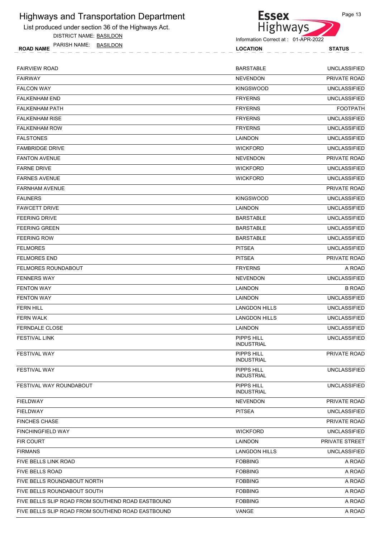List produced under section 36 of the Highways Act.

DISTRICT NAME: BASILDON



| <b>ROAD NAME</b> | PAP. |  |  | <b>BASIL</b> | ארר |  |  |  |  |  |  |  |  | <b>OCATION</b> |  |  |  |  |  | <b>CTATIIC</b> |  |  |
|------------------|------|--|--|--------------|-----|--|--|--|--|--|--|--|--|----------------|--|--|--|--|--|----------------|--|--|
|                  |      |  |  |              |     |  |  |  |  |  |  |  |  |                |  |  |  |  |  |                |  |  |

| <b>FAIRVIEW ROAD</b>                              | <b>BARSTABLE</b>                | <b>UNCLASSIFIED</b> |
|---------------------------------------------------|---------------------------------|---------------------|
| <b>FAIRWAY</b>                                    | <b>NEVENDON</b>                 | PRIVATE ROAD        |
| <b>FALCON WAY</b>                                 | KINGSWOOD                       | <b>UNCLASSIFIED</b> |
| <b>FALKENHAM END</b>                              | <b>FRYERNS</b>                  | <b>UNCLASSIFIED</b> |
| <b>FALKENHAM PATH</b>                             | <b>FRYERNS</b>                  | <b>FOOTPATH</b>     |
| <b>FALKENHAM RISE</b>                             | <b>FRYERNS</b>                  | <b>UNCLASSIFIED</b> |
| <b>FALKENHAM ROW</b>                              | <b>FRYERNS</b>                  | <b>UNCLASSIFIED</b> |
| <b>FALSTONES</b>                                  | LAINDON                         | <b>UNCLASSIFIED</b> |
| <b>FAMBRIDGE DRIVE</b>                            | <b>WICKFORD</b>                 | <b>UNCLASSIFIED</b> |
| <b>FANTON AVENUE</b>                              | <b>NEVENDON</b>                 | PRIVATE ROAD        |
| <b>FARNE DRIVE</b>                                | <b>WICKFORD</b>                 | <b>UNCLASSIFIED</b> |
| <b>FARNES AVENUE</b>                              | <b>WICKFORD</b>                 | <b>UNCLASSIFIED</b> |
| <b>FARNHAM AVENUE</b>                             |                                 | PRIVATE ROAD        |
| <b>FAUNERS</b>                                    | KINGSWOOD                       | <b>UNCLASSIFIED</b> |
| <b>FAWCETT DRIVE</b>                              | LAINDON                         | <b>UNCLASSIFIED</b> |
| <b>FEERING DRIVE</b>                              | <b>BARSTABLE</b>                | <b>UNCLASSIFIED</b> |
| <b>FEERING GREEN</b>                              | <b>BARSTABLE</b>                | <b>UNCLASSIFIED</b> |
| <b>FEERING ROW</b>                                | <b>BARSTABLE</b>                | <b>UNCLASSIFIED</b> |
| <b>FELMORES</b>                                   | <b>PITSEA</b>                   | <b>UNCLASSIFIED</b> |
| <b>FELMORES END</b>                               | <b>PITSEA</b>                   | PRIVATE ROAD        |
| <b>FELMORES ROUNDABOUT</b>                        | <b>FRYERNS</b>                  | A ROAD              |
| <b>FENNERS WAY</b>                                | <b>NEVENDON</b>                 | <b>UNCLASSIFIED</b> |
| <b>FENTON WAY</b>                                 | LAINDON                         | <b>B ROAD</b>       |
| <b>FENTON WAY</b>                                 | LAINDON                         | <b>UNCLASSIFIED</b> |
| <b>FERN HILL</b>                                  | <b>LANGDON HILLS</b>            | <b>UNCLASSIFIED</b> |
| <b>FERN WALK</b>                                  | <b>LANGDON HILLS</b>            | <b>UNCLASSIFIED</b> |
| <b>FERNDALE CLOSE</b>                             | LAINDON                         | <b>UNCLASSIFIED</b> |
| <b>FESTIVAL LINK</b>                              | PIPPS HILL<br><b>INDUSTRIAL</b> | <b>UNCLASSIFIED</b> |
| FESTIVAL WAY                                      | PIPPS HILL<br><b>INDUSTRIAL</b> | PRIVATE ROAD        |
| <b>FESTIVAL WAY</b>                               | PIPPS HILL<br><b>INDUSTRIAL</b> | <b>UNCLASSIFIED</b> |
| FESTIVAL WAY ROUNDABOUT                           | PIPPS HILL<br><b>INDUSTRIAL</b> | <b>UNCLASSIFIED</b> |
| <b>FIELDWAY</b>                                   | <b>NEVENDON</b>                 | PRIVATE ROAD        |
| <b>FIELDWAY</b>                                   | PITSEA                          | <b>UNCLASSIFIED</b> |
| <b>FINCHES CHASE</b>                              |                                 | PRIVATE ROAD        |
| <b>FINCHINGFIELD WAY</b>                          | <b>WICKFORD</b>                 | <b>UNCLASSIFIED</b> |
| <b>FIR COURT</b>                                  | LAINDON                         | PRIVATE STREET      |
| <b>FIRMANS</b>                                    | <b>LANGDON HILLS</b>            | <b>UNCLASSIFIED</b> |
| FIVE BELLS LINK ROAD                              | <b>FOBBING</b>                  | A ROAD              |
| <b>FIVE BELLS ROAD</b>                            | <b>FOBBING</b>                  | A ROAD              |
| FIVE BELLS ROUNDABOUT NORTH                       | <b>FOBBING</b>                  | A ROAD              |
| FIVE BELLS ROUNDABOUT SOUTH                       | <b>FOBBING</b>                  | A ROAD              |
| FIVE BELLS SLIP ROAD FROM SOUTHEND ROAD EASTBOUND | <b>FOBBING</b>                  | A ROAD              |
| FIVE BELLS SLIP ROAD FROM SOUTHEND ROAD EASTBOUND | VANGE                           | A ROAD              |
|                                                   |                                 |                     |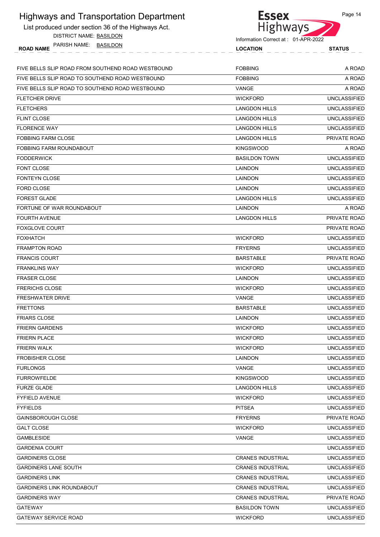| <b>Highways and Transportation Department</b>       | <b>Essex</b>                                           | Page 14                                    |
|-----------------------------------------------------|--------------------------------------------------------|--------------------------------------------|
| List produced under section 36 of the Highways Act. | Highways                                               |                                            |
| DISTRICT NAME: BASILDON                             |                                                        |                                            |
| PARISH NAME:<br>BASILDON<br><b>ROAD NAME</b>        | Information Correct at: 01-APR-2022<br><b>LOCATION</b> | <b>STATUS</b>                              |
|                                                     |                                                        |                                            |
| FIVE BELLS SLIP ROAD FROM SOUTHEND ROAD WESTBOUND   | <b>FOBBING</b>                                         | A ROAD                                     |
| FIVE BELLS SLIP ROAD TO SOUTHEND ROAD WESTBOUND     | <b>FOBBING</b>                                         | A ROAD                                     |
| FIVE BELLS SLIP ROAD TO SOUTHEND ROAD WESTBOUND     | <b>VANGE</b>                                           | A ROAD                                     |
| <b>FLETCHER DRIVE</b>                               | <b>WICKFORD</b>                                        | <b>UNCLASSIFIED</b>                        |
| <b>FLETCHERS</b>                                    | <b>LANGDON HILLS</b>                                   | <b>UNCLASSIFIED</b>                        |
| <b>FLINT CLOSE</b>                                  | <b>LANGDON HILLS</b>                                   | <b>UNCLASSIFIED</b>                        |
| <b>FLORENCE WAY</b>                                 | <b>LANGDON HILLS</b>                                   | <b>UNCLASSIFIED</b>                        |
| <b>FOBBING FARM CLOSE</b>                           | <b>LANGDON HILLS</b>                                   | PRIVATE ROAD                               |
| FOBBING FARM ROUNDABOUT                             | <b>KINGSWOOD</b>                                       | A ROAD                                     |
| <b>FODDERWICK</b>                                   | <b>BASILDON TOWN</b>                                   | <b>UNCLASSIFIED</b>                        |
| FONT CLOSE                                          | <b>LAINDON</b>                                         | <b>UNCLASSIFIED</b>                        |
| <b>FONTEYN CLOSE</b>                                | LAINDON                                                | <b>UNCLASSIFIED</b>                        |
| <b>FORD CLOSE</b>                                   | LAINDON                                                | <b>UNCLASSIFIED</b>                        |
| <b>FOREST GLADE</b>                                 | <b>LANGDON HILLS</b>                                   | <b>UNCLASSIFIED</b>                        |
| FORTUNE OF WAR ROUNDABOUT                           | LAINDON                                                | A ROAD                                     |
| <b>FOURTH AVENUE</b>                                | <b>LANGDON HILLS</b>                                   | PRIVATE ROAD                               |
| <b>FOXGLOVE COURT</b>                               |                                                        | <b>PRIVATE ROAD</b>                        |
| <b>FOXHATCH</b>                                     | <b>WICKFORD</b>                                        | <b>UNCLASSIFIED</b>                        |
| <b>FRAMPTON ROAD</b>                                | <b>FRYERNS</b>                                         | <b>UNCLASSIFIED</b>                        |
| <b>FRANCIS COURT</b>                                | <b>BARSTABLE</b>                                       | PRIVATE ROAD                               |
| <b>FRANKLINS WAY</b>                                | <b>WICKFORD</b>                                        | <b>UNCLASSIFIED</b>                        |
| <b>FRASER CLOSE</b>                                 | LAINDON                                                | <b>UNCLASSIFIED</b>                        |
| <b>FRERICHS CLOSE</b>                               | <b>WICKFORD</b>                                        | <b>UNCLASSIFIED</b>                        |
| <b>FRESHWATER DRIVE</b>                             | VANGE                                                  | <b>UNCLASSIFIED</b>                        |
| <b>FRETTONS</b>                                     | <b>BARSTABLE</b>                                       | <b>UNCLASSIFIED</b>                        |
| <b>FRIARS CLOSE</b>                                 | LAINDON                                                | <b>UNCLASSIFIED</b>                        |
| <b>FRIERN GARDENS</b>                               | <b>WICKFORD</b>                                        | <b>UNCLASSIFIED</b>                        |
| <b>FRIERN PLACE</b>                                 | <b>WICKFORD</b>                                        | <b>UNCLASSIFIED</b>                        |
| <b>FRIERN WALK</b>                                  | <b>WICKFORD</b>                                        | <b>UNCLASSIFIED</b>                        |
| <b>FROBISHER CLOSE</b>                              | LAINDON                                                | <b>UNCLASSIFIED</b>                        |
| <b>FURLONGS</b>                                     | VANGE                                                  | <b>UNCLASSIFIED</b>                        |
| <b>FURROWFELDE</b>                                  | <b>KINGSWOOD</b>                                       | <b>UNCLASSIFIED</b>                        |
| <b>FURZE GLADE</b>                                  | <b>LANGDON HILLS</b>                                   | <b>UNCLASSIFIED</b>                        |
| <b>FYFIELD AVENUE</b>                               | <b>WICKFORD</b>                                        | <b>UNCLASSIFIED</b>                        |
| <b>FYFIELDS</b>                                     | <b>PITSEA</b>                                          | <b>UNCLASSIFIED</b>                        |
| <b>GAINSBOROUGH CLOSE</b>                           | <b>FRYERNS</b>                                         | PRIVATE ROAD                               |
| <b>GALT CLOSE</b>                                   | <b>WICKFORD</b>                                        | <b>UNCLASSIFIED</b>                        |
| <b>GAMBLESIDE</b>                                   | VANGE                                                  | <b>UNCLASSIFIED</b>                        |
|                                                     |                                                        |                                            |
| <b>GARDENIA COURT</b>                               |                                                        | <b>UNCLASSIFIED</b>                        |
| <b>GARDINERS CLOSE</b>                              | <b>CRANES INDUSTRIAL</b>                               | <b>UNCLASSIFIED</b><br><b>UNCLASSIFIED</b> |
| <b>GARDINERS LANE SOUTH</b>                         | <b>CRANES INDUSTRIAL</b>                               |                                            |
| <b>GARDINERS LINK</b>                               | <b>CRANES INDUSTRIAL</b>                               | <b>UNCLASSIFIED</b>                        |
| <b>GARDINERS LINK ROUNDABOUT</b>                    | <b>CRANES INDUSTRIAL</b>                               | <b>UNCLASSIFIED</b>                        |
| <b>GARDINERS WAY</b>                                | <b>CRANES INDUSTRIAL</b>                               | PRIVATE ROAD                               |
| <b>GATEWAY</b>                                      | <b>BASILDON TOWN</b>                                   | <b>UNCLASSIFIED</b>                        |
| <b>GATEWAY SERVICE ROAD</b>                         | <b>WICKFORD</b>                                        | <b>UNCLASSIFIED</b>                        |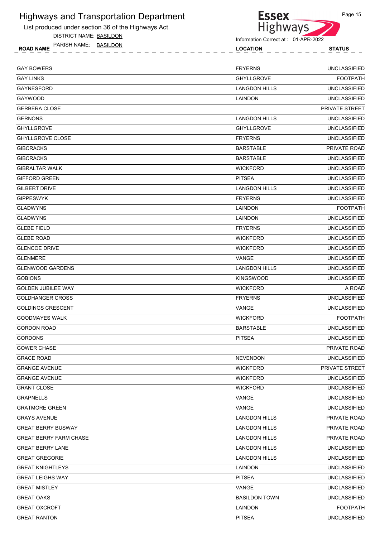List produced under section 36 of the Highways Act.

DISTRICT NAME: BASILDON

PARISH NAME: BASILDON



Information Correct at : 01-APR-2022

ROAD NAME TANISH IVAIVIE. **BASILDON EXAMPLE 1999 COLLEGE IN THE LOCATION STATUS** 

GAY BOWERS GARE IN THE SERVER STATES OF THE SERVER STATES OF THE SERVER STATES OF THE SERVER STATES OF THE SERVER STATES OF THE SERVER STATES OF THE SERVER STATES OF THE SERVER STATES OF THE SERVER STATES OF THE SERVER STA GAY LINKS GHYLLGROVE FOOTPATH GAYNESFORD **EXAMPLE SERVICE SERVICE SERVICE SERVICE SERVICE SERVICE SERVICE SERVICE SERVICE SERVICE SERVICE SERVICE SERVICE SERVICE SERVICE SERVICE SERVICE SERVICE SERVICE SERVICE SERVICE SERVICE SERVICE SERVICE SERVICE SE** GAYWOOD LAINDON UNCLASSIFIED GERBERA CLOSE PRIVATE STREET GERNONS LANGDON HILLS UNCLASSIFIED GHYLLGROVE UNCLASSIFIED GHYLLGROVE CLOSE FRYERNS UNCLASSIFIED GIBCRACKS BARSTABLE PRIVATE ROAD GIBCRACKS BARSTABLE UNCLASSIFIED GIBRALTAR WALK WICKFORD UNCLASSIFIED GIFFORD GREEN PITSEA UNCLASSIFIED GILBERT DRIVE UNCLASSIFIED GIPPESWYK FRYERNS UNCLASSIFIED GLADWYNS LAINDON FOOTPATH GLADWYNS LAINDON UNCLASSIFIED GLEBE FIELD FRYERNS UNCLASSIFIED GLEBE ROAD WICKFORD UNCLASSIFIED GLENCOE DRIVE UNCLASSIFIED GLENMERE UNCLASSIFIED GLENWOOD GARDENS LANGDON HILLS UNCLASSIFIED GOBIONS KINGSWOOD UNCLASSIFIED GOLDEN JUBILEE WAY A ROAD A ROAD A ROAD A ROAD A ROAD A ROAD A ROAD A ROAD A ROAD A ROAD A ROAD A ROAD A ROAD A ROAD **GOLDHANGER CROSS FRYERNS** FRYERNS UNCLASSIFIED GOLDINGS CRESCENT VANGE UNCLASSIFIED **GOODMAYES WALK FOOTPATH** GORDON ROAD GORDON ROAD GORDON ROAD CONSUMING THE BARSTABLE STATES OF LOCAL SERVICE STATES OF LOCAL SERVICE STATES OF LOCAL SERVICE STATES OF LOCAL SERVICE STATES OF LOCAL SERVICE STATES OF LOCAL SERVICE STATES OF LOCAL SE GORDONS PITSEA UNCLASSIFIED GOWER CHASE PRIVATE ROAD GRACE ROAD NEVENDON UNCLASSIFIED GRANGE AVENUE **EXECUTE STREET** WICKFORD WICKFORD PRIVATE STREET GRANGE AVENUE **EXECUTE EXECUTE EXECUTE SOME SERVICE EXECUTE EXECUTE EXECUTE UNCLASSIFIED** GRANT CLOSE WICKFORD UNCLASSIFIED GRAPNELLS UNCLASSIFIED GRATMORE GREEN VANGE UNCLASSIFIED GRAYS AVENUE LANGDON HILLS PRIVATE ROAD GREAT BERRY BUSWAY LANGDON HILLS PRIVATE ROAD GREAT BERRY FARM CHASE LANGDON HILLS PRIVATE ROAD GREAT BERRY LANE LANGDON HILLS UNCLASSIFIED GREAT GREGORIE LANGDON HILLS UNCLASSIFIED GREAT KNIGHTLEYS LAINDON UNCLASSIFIED **GREAT LEIGHS WAY CONSULTED ASSETS ON A LIGHT CONSULTED ASSETS ON A LIGHT CONSULTED AND RELATED ASSETS ON A LIGHT CONSULTED AND RELATED ASSETS ON A LIGHT CONSULTED AND RELATED ASSETS ON A LIGHT CONSULTANT CONSULTED ASSETS** GREAT MISTLEY GALLER STATES AND THE SERVICE OF STATES OF MANGE AND MISSIFIED UNCLASSIFIED GREAT OAKS BASILDON TOWN UNCLASSIFIED GREAT OXCROFT AND RESOLUTION CONTRACT CONTRACT AND A CONTRACT CONTRACT CONTRACT CONTRACT CONTRACT CONTRACT CONTRACT CONTRACT CONTRACT CONTRACT CONTRACT CONTRACT CONTRACT CONTRACT CONTRACT CONTRACT CONTRACT CONTRACT CONTRAC GREAT RANTON GALLER STATES AND RESERVE THE SERIES OF PITSEA THE UNCLASSIFIED ON A SERIES OF STATES OF STATES OF STATES AND RESERVE THE STATES OF STATES OF STATES OF STATES OF STATES OF STATES OF STATES OF STATES OF STATES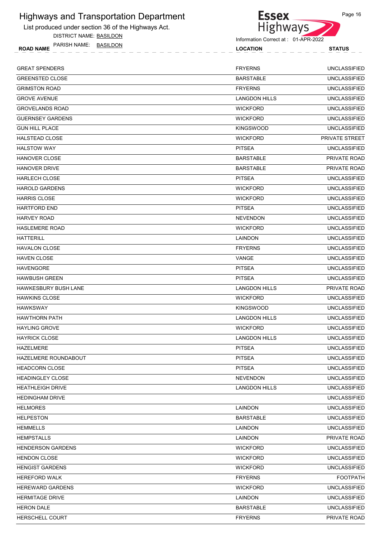

DISTRICT NAME: BASILDON



| <b>ROAD NAME</b> | <b>PARISH</b> | NAME: | <b>BASIL</b> | <b>DON</b> |  |  |  |  |  |  |  | <b>OCATION</b> |  |  |  |  | <b>STATUS</b> |  |
|------------------|---------------|-------|--------------|------------|--|--|--|--|--|--|--|----------------|--|--|--|--|---------------|--|
|                  |               |       |              |            |  |  |  |  |  |  |  |                |  |  |  |  |               |  |
|                  |               |       |              |            |  |  |  |  |  |  |  |                |  |  |  |  |               |  |

| <b>GREAT SPENDERS</b>       | <b>FRYERNS</b>       | <b>UNCLASSIFIED</b>   |
|-----------------------------|----------------------|-----------------------|
| <b>GREENSTED CLOSE</b>      | <b>BARSTABLE</b>     | <b>UNCLASSIFIED</b>   |
| <b>GRIMSTON ROAD</b>        | <b>FRYERNS</b>       | <b>UNCLASSIFIED</b>   |
| <b>GROVE AVENUE</b>         | <b>LANGDON HILLS</b> | <b>UNCLASSIFIED</b>   |
| <b>GROVELANDS ROAD</b>      | <b>WICKFORD</b>      | <b>UNCLASSIFIED</b>   |
| <b>GUERNSEY GARDENS</b>     | <b>WICKFORD</b>      | <b>UNCLASSIFIED</b>   |
| <b>GUN HILL PLACE</b>       | <b>KINGSWOOD</b>     | <b>UNCLASSIFIED</b>   |
| <b>HALSTEAD CLOSE</b>       | <b>WICKFORD</b>      | <b>PRIVATE STREET</b> |
| <b>HALSTOW WAY</b>          | <b>PITSEA</b>        | <b>UNCLASSIFIED</b>   |
| <b>HANOVER CLOSE</b>        | <b>BARSTABLE</b>     | PRIVATE ROAD          |
| <b>HANOVER DRIVE</b>        | <b>BARSTABLE</b>     | PRIVATE ROAD          |
| <b>HARLECH CLOSE</b>        | <b>PITSEA</b>        | <b>UNCLASSIFIED</b>   |
| <b>HAROLD GARDENS</b>       | <b>WICKFORD</b>      | <b>UNCLASSIFIED</b>   |
| <b>HARRIS CLOSE</b>         | <b>WICKFORD</b>      | <b>UNCLASSIFIED</b>   |
| <b>HARTFORD END</b>         | <b>PITSEA</b>        | <b>UNCLASSIFIED</b>   |
| <b>HARVEY ROAD</b>          | <b>NEVENDON</b>      | <b>UNCLASSIFIED</b>   |
| <b>HASLEMERE ROAD</b>       | <b>WICKFORD</b>      | <b>UNCLASSIFIED</b>   |
| <b>HATTERILL</b>            | <b>LAINDON</b>       | <b>UNCLASSIFIED</b>   |
| <b>HAVALON CLOSE</b>        | <b>FRYERNS</b>       | <b>UNCLASSIFIED</b>   |
| <b>HAVEN CLOSE</b>          | VANGE                | <b>UNCLASSIFIED</b>   |
| <b>HAVENGORE</b>            | <b>PITSEA</b>        | <b>UNCLASSIFIED</b>   |
| <b>HAWBUSH GREEN</b>        | <b>PITSEA</b>        | <b>UNCLASSIFIED</b>   |
| <b>HAWKESBURY BUSH LANE</b> | <b>LANGDON HILLS</b> | PRIVATE ROAD          |
| <b>HAWKINS CLOSE</b>        | <b>WICKFORD</b>      | <b>UNCLASSIFIED</b>   |
| <b>HAWKSWAY</b>             | <b>KINGSWOOD</b>     | <b>UNCLASSIFIED</b>   |
| <b>HAWTHORN PATH</b>        | <b>LANGDON HILLS</b> | <b>UNCLASSIFIED</b>   |
| <b>HAYLING GROVE</b>        | <b>WICKFORD</b>      | <b>UNCLASSIFIED</b>   |
| <b>HAYRICK CLOSE</b>        | <b>LANGDON HILLS</b> | <b>UNCLASSIFIED</b>   |
| <b>HAZELMERE</b>            | <b>PITSEA</b>        | <b>UNCLASSIFIED</b>   |
| HAZELMERE ROUNDABOUT        | <b>PITSEA</b>        | <b>UNCLASSIFIED</b>   |
| <b>HEADCORN CLOSE</b>       | <b>PITSEA</b>        | <b>UNCLASSIFIED</b>   |
| <b>HEADINGLEY CLOSE</b>     | <b>NEVENDON</b>      | <b>UNCLASSIFIED</b>   |
| <b>HEATHLEIGH DRIVE</b>     | <b>LANGDON HILLS</b> | <b>UNCLASSIFIED</b>   |
| <b>HEDINGHAM DRIVE</b>      |                      | <b>UNCLASSIFIED</b>   |
| <b>HELMORES</b>             | <b>LAINDON</b>       | <b>UNCLASSIFIED</b>   |
| <b>HELPESTON</b>            | <b>BARSTABLE</b>     | <b>UNCLASSIFIED</b>   |
| <b>HEMMELLS</b>             | LAINDON              | <b>UNCLASSIFIED</b>   |
| <b>HEMPSTALLS</b>           | LAINDON              | PRIVATE ROAD          |
| <b>HENDERSON GARDENS</b>    | <b>WICKFORD</b>      | <b>UNCLASSIFIED</b>   |
| <b>HENDON CLOSE</b>         | <b>WICKFORD</b>      | <b>UNCLASSIFIED</b>   |
| <b>HENGIST GARDENS</b>      | <b>WICKFORD</b>      | <b>UNCLASSIFIED</b>   |
| <b>HEREFORD WALK</b>        | <b>FRYERNS</b>       | <b>FOOTPATH</b>       |
| <b>HEREWARD GARDENS</b>     | <b>WICKFORD</b>      | <b>UNCLASSIFIED</b>   |
| <b>HERMITAGE DRIVE</b>      | LAINDON              | <b>UNCLASSIFIED</b>   |
| <b>HERON DALE</b>           | <b>BARSTABLE</b>     | <b>UNCLASSIFIED</b>   |
| HERSCHELL COURT             | <b>FRYERNS</b>       | PRIVATE ROAD          |
|                             |                      |                       |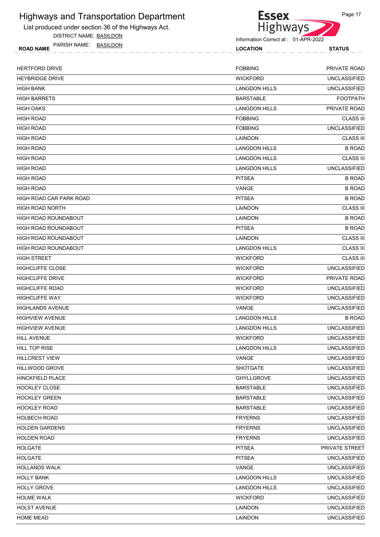List produced under section 36 of the Highways Act.

DISTRICT NAME: BASILDON



| .<br><b>ROAD</b> |  | RΔ<br>- | SII |  |  |  |  |  |  |  | Y<br>__ | $-$ |  |  |  | _____ |  |
|------------------|--|---------|-----|--|--|--|--|--|--|--|---------|-----|--|--|--|-------|--|
|                  |  |         |     |  |  |  |  |  |  |  |         |     |  |  |  |       |  |

| <b>HERTFORD DRIVE</b>   | <b>FOBBING</b>       | PRIVATE ROAD        |
|-------------------------|----------------------|---------------------|
| <b>HEYBRIDGE DRIVE</b>  | <b>WICKFORD</b>      | <b>UNCLASSIFIED</b> |
| <b>HIGH BANK</b>        | <b>LANGDON HILLS</b> | <b>UNCLASSIFIED</b> |
| <b>HIGH BARRETS</b>     | <b>BARSTABLE</b>     | <b>FOOTPATH</b>     |
| <b>HIGH OAKS</b>        | <b>LANGDON HILLS</b> | PRIVATE ROAD        |
| <b>HIGH ROAD</b>        | <b>FOBBING</b>       | <b>CLASS III</b>    |
| <b>HIGH ROAD</b>        | <b>FOBBING</b>       | <b>UNCLASSIFIED</b> |
| <b>HIGH ROAD</b>        | LAINDON              | <b>CLASS III</b>    |
| <b>HIGH ROAD</b>        | <b>LANGDON HILLS</b> | <b>B ROAD</b>       |
| <b>HIGH ROAD</b>        | <b>LANGDON HILLS</b> | <b>CLASS III</b>    |
| <b>HIGH ROAD</b>        | <b>LANGDON HILLS</b> | <b>UNCLASSIFIED</b> |
| <b>HIGH ROAD</b>        | <b>PITSEA</b>        | <b>B ROAD</b>       |
| <b>HIGH ROAD</b>        | VANGE                | <b>B ROAD</b>       |
| HIGH ROAD CAR PARK ROAD | <b>PITSEA</b>        | <b>B ROAD</b>       |
| <b>HIGH ROAD NORTH</b>  | LAINDON              | <b>CLASS III</b>    |
| HIGH ROAD ROUNDABOUT    | LAINDON              | <b>B ROAD</b>       |
| HIGH ROAD ROUNDABOUT    | <b>PITSEA</b>        | <b>B ROAD</b>       |
| HIGH ROAD ROUNDABOUT    | LAINDON              | <b>CLASS III</b>    |
| HIGH ROAD ROUNDABOUT    | <b>LANGDON HILLS</b> | <b>CLASS III</b>    |
| <b>HIGH STREET</b>      | <b>WICKFORD</b>      | <b>CLASS III</b>    |
| <b>HIGHCLIFFE CLOSE</b> | <b>WICKFORD</b>      | <b>UNCLASSIFIED</b> |
| <b>HIGHCLIFFE DRIVE</b> | <b>WICKFORD</b>      | PRIVATE ROAD        |
| <b>HIGHCLIFFE ROAD</b>  | <b>WICKFORD</b>      | <b>UNCLASSIFIED</b> |
| <b>HIGHCLIFFE WAY</b>   | <b>WICKFORD</b>      | <b>UNCLASSIFIED</b> |
| <b>HIGHLANDS AVENUE</b> | VANGE                | <b>UNCLASSIFIED</b> |
| <b>HIGHVIEW AVENUE</b>  | <b>LANGDON HILLS</b> | <b>B ROAD</b>       |
| <b>HIGHVIEW AVENUE</b>  | <b>LANGDON HILLS</b> | <b>UNCLASSIFIED</b> |
| <b>HILL AVENUE</b>      | <b>WICKFORD</b>      | <b>UNCLASSIFIED</b> |
| <b>HILL TOP RISE</b>    | <b>LANGDON HILLS</b> | <b>UNCLASSIFIED</b> |
| <b>HILLCREST VIEW</b>   | VANGE                | <b>UNCLASSIFIED</b> |
| <b>HILLWOOD GROVE</b>   | <b>SHOTGATE</b>      | <b>UNCLASSIFIED</b> |
| <b>HINCKFIELD PLACE</b> | <b>GHYLLGROVE</b>    | <b>UNCLASSIFIED</b> |
| <b>HOCKLEY CLOSE</b>    | <b>BARSTABLE</b>     | <b>UNCLASSIFIED</b> |
| <b>HOCKLEY GREEN</b>    | <b>BARSTABLE</b>     | <b>UNCLASSIFIED</b> |
| <b>HOCKLEY ROAD</b>     | <b>BARSTABLE</b>     | <b>UNCLASSIFIED</b> |
| <b>HOLBECH ROAD</b>     | <b>FRYERNS</b>       | <b>UNCLASSIFIED</b> |
| <b>HOLDEN GARDENS</b>   | <b>FRYERNS</b>       | <b>UNCLASSIFIED</b> |
| <b>HOLDEN ROAD</b>      | <b>FRYERNS</b>       | <b>UNCLASSIFIED</b> |
| <b>HOLGATE</b>          | <b>PITSEA</b>        | PRIVATE STREET      |
| <b>HOLGATE</b>          | <b>PITSEA</b>        | <b>UNCLASSIFIED</b> |
| <b>HOLLANDS WALK</b>    | VANGE                | <b>UNCLASSIFIED</b> |
| <b>HOLLY BANK</b>       | <b>LANGDON HILLS</b> | <b>UNCLASSIFIED</b> |
| <b>HOLLY GROVE</b>      | <b>LANGDON HILLS</b> | <b>UNCLASSIFIED</b> |
| <b>HOLME WALK</b>       | <b>WICKFORD</b>      | <b>UNCLASSIFIED</b> |
| <b>HOLST AVENUE</b>     | LAINDON              | <b>UNCLASSIFIED</b> |
| <b>HOME MEAD</b>        | LAINDON              | <b>UNCLASSIFIED</b> |
|                         |                      |                     |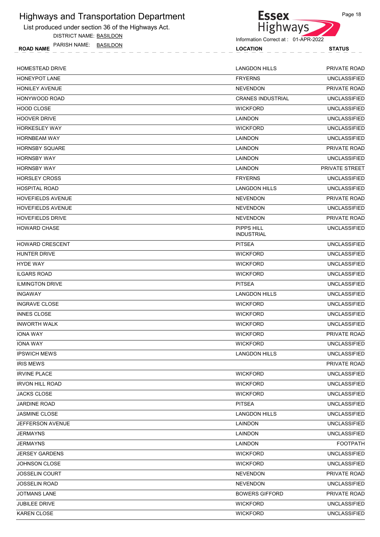List produced under section 36 of the Highways Act.

DISTRICT NAME: BASILDON

HOMESTEAD DRIVE



| PARISH NAME: BASILDON<br><b>ROAD NAME</b> | <b>LOCATION</b> | <b>STATUS</b> |
|-------------------------------------------|-----------------|---------------|
| IOMESTEAD DRIVE                           | LANGDON HILLS   | PRIVATE ROAD  |
| IONEYPOT LANE                             | <b>FRYERNS</b>  | UNCLASSIFIED  |
| IONILEY AVENUE                            | <b>NEVENDON</b> | PRIVATE ROAD  |

| HONEYPOT LANE            | <b>FRYERNS</b>                  | <b>UNCLASSIFIED</b> |
|--------------------------|---------------------------------|---------------------|
| <b>HONILEY AVENUE</b>    | <b>NEVENDON</b>                 | PRIVATE ROAD        |
| <b>HONYWOOD ROAD</b>     | <b>CRANES INDUSTRIAL</b>        | <b>UNCLASSIFIED</b> |
| <b>HOOD CLOSE</b>        | <b>WICKFORD</b>                 | <b>UNCLASSIFIED</b> |
| <b>HOOVER DRIVE</b>      | LAINDON                         | <b>UNCLASSIFIED</b> |
| <b>HORKESLEY WAY</b>     | <b>WICKFORD</b>                 | <b>UNCLASSIFIED</b> |
| <b>HORNBEAM WAY</b>      | LAINDON                         | <b>UNCLASSIFIED</b> |
| <b>HORNSBY SQUARE</b>    | <b>LAINDON</b>                  | PRIVATE ROAD        |
| <b>HORNSBY WAY</b>       | <b>LAINDON</b>                  | <b>UNCLASSIFIED</b> |
| <b>HORNSBY WAY</b>       | LAINDON                         | PRIVATE STREET      |
| <b>HORSLEY CROSS</b>     | <b>FRYERNS</b>                  | <b>UNCLASSIFIED</b> |
| <b>HOSPITAL ROAD</b>     | <b>LANGDON HILLS</b>            | <b>UNCLASSIFIED</b> |
| HOVEFIELDS AVENUE        | <b>NEVENDON</b>                 | PRIVATE ROAD        |
| <b>HOVEFIELDS AVENUE</b> | <b>NEVENDON</b>                 | <b>UNCLASSIFIED</b> |
| <b>HOVEFIELDS DRIVE</b>  | <b>NEVENDON</b>                 | PRIVATE ROAD        |
| <b>HOWARD CHASE</b>      | PIPPS HILL<br><b>INDUSTRIAL</b> | <b>UNCLASSIFIED</b> |
| <b>HOWARD CRESCENT</b>   | <b>PITSEA</b>                   | <b>UNCLASSIFIED</b> |
| <b>HUNTER DRIVE</b>      | <b>WICKFORD</b>                 | <b>UNCLASSIFIED</b> |
| <b>HYDE WAY</b>          | <b>WICKFORD</b>                 | <b>UNCLASSIFIED</b> |
| <b>ILGARS ROAD</b>       | <b>WICKFORD</b>                 | <b>UNCLASSIFIED</b> |
| <b>ILMINGTON DRIVE</b>   | <b>PITSEA</b>                   | <b>UNCLASSIFIED</b> |
| <b>INGAWAY</b>           | <b>LANGDON HILLS</b>            | <b>UNCLASSIFIED</b> |
| <b>INGRAVE CLOSE</b>     | <b>WICKFORD</b>                 | <b>UNCLASSIFIED</b> |
| <b>INNES CLOSE</b>       | <b>WICKFORD</b>                 | <b>UNCLASSIFIED</b> |
| <b>INWORTH WALK</b>      | <b>WICKFORD</b>                 | <b>UNCLASSIFIED</b> |
| <b>IONA WAY</b>          | <b>WICKFORD</b>                 | PRIVATE ROAD        |
| <b>IONA WAY</b>          | <b>WICKFORD</b>                 | <b>UNCLASSIFIED</b> |
| <b>IPSWICH MEWS</b>      | <b>LANGDON HILLS</b>            | <b>UNCLASSIFIED</b> |
| <b>IRIS MEWS</b>         |                                 | PRIVATE ROAD        |
| <b>IRVINE PLACE</b>      | <b>WICKFORD</b>                 | <b>UNCLASSIFIED</b> |
| <b>IRVON HILL ROAD</b>   | <b>WICKFORD</b>                 | <b>UNCLASSIFIED</b> |
| <b>JACKS CLOSE</b>       | <b>WICKFORD</b>                 | <b>UNCLASSIFIED</b> |
| <b>JARDINE ROAD</b>      | <b>PITSEA</b>                   | <b>UNCLASSIFIED</b> |
| <b>JASMINE CLOSE</b>     | <b>LANGDON HILLS</b>            | <b>UNCLASSIFIED</b> |
| <b>JEFFERSON AVENUE</b>  | LAINDON                         | <b>UNCLASSIFIED</b> |
| <b>JERMAYNS</b>          | LAINDON                         | <b>UNCLASSIFIED</b> |
| <b>JERMAYNS</b>          | <b>LAINDON</b>                  | <b>FOOTPATH</b>     |
| <b>JERSEY GARDENS</b>    | <b>WICKFORD</b>                 | <b>UNCLASSIFIED</b> |
| <b>JOHNSON CLOSE</b>     | <b>WICKFORD</b>                 | <b>UNCLASSIFIED</b> |
| <b>JOSSELIN COURT</b>    | <b>NEVENDON</b>                 | PRIVATE ROAD        |
| <b>JOSSELIN ROAD</b>     | <b>NEVENDON</b>                 | <b>UNCLASSIFIED</b> |
| <b>JOTMANS LANE</b>      | <b>BOWERS GIFFORD</b>           | PRIVATE ROAD        |
| <b>JUBILEE DRIVE</b>     | <b>WICKFORD</b>                 | <b>UNCLASSIFIED</b> |
| <b>KAREN CLOSE</b>       | <b>WICKFORD</b>                 | <b>UNCLASSIFIED</b> |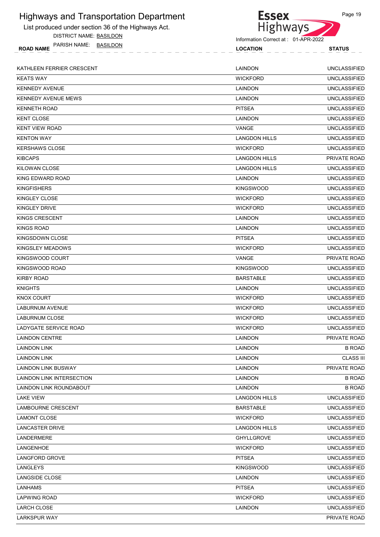#### **Essex** Highways and Transportation Department Highways List produced under section 36 of the Highways Act. DISTRICT NAME: BASILDON



ROAD NAME LOCATION STATUS PARISH NAME: BASILDON

| KATHLEEN FERRIER CRESCENT  | LAINDON              | <b>UNCLASSIFIED</b> |
|----------------------------|----------------------|---------------------|
| <b>KEATS WAY</b>           | <b>WICKFORD</b>      | <b>UNCLASSIFIED</b> |
| <b>KENNEDY AVENUE</b>      | LAINDON              | <b>UNCLASSIFIED</b> |
| <b>KENNEDY AVENUE MEWS</b> | LAINDON              | <b>UNCLASSIFIED</b> |
| <b>KENNETH ROAD</b>        | <b>PITSEA</b>        | <b>UNCLASSIFIED</b> |
| <b>KENT CLOSE</b>          | LAINDON              | <b>UNCLASSIFIED</b> |
| <b>KENT VIEW ROAD</b>      | VANGE                | <b>UNCLASSIFIED</b> |
| <b>KENTON WAY</b>          | <b>LANGDON HILLS</b> | <b>UNCLASSIFIED</b> |
| <b>KERSHAWS CLOSE</b>      | <b>WICKFORD</b>      | <b>UNCLASSIFIED</b> |
| <b>KIBCAPS</b>             | <b>LANGDON HILLS</b> | PRIVATE ROAD        |
| KILOWAN CLOSE              | <b>LANGDON HILLS</b> | <b>UNCLASSIFIED</b> |
| KING EDWARD ROAD           | LAINDON              | <b>UNCLASSIFIED</b> |
| <b>KINGFISHERS</b>         | <b>KINGSWOOD</b>     | <b>UNCLASSIFIED</b> |
| KINGLEY CLOSE              | <b>WICKFORD</b>      | <b>UNCLASSIFIED</b> |
| KINGLEY DRIVE              | <b>WICKFORD</b>      | <b>UNCLASSIFIED</b> |
| KINGS CRESCENT             | LAINDON              | <b>UNCLASSIFIED</b> |
| <b>KINGS ROAD</b>          | LAINDON              | <b>UNCLASSIFIED</b> |
| <b>KINGSDOWN CLOSE</b>     | <b>PITSEA</b>        | <b>UNCLASSIFIED</b> |
| KINGSLEY MEADOWS           | <b>WICKFORD</b>      | <b>UNCLASSIFIED</b> |
| KINGSWOOD COURT            | VANGE                | PRIVATE ROAD        |
| KINGSWOOD ROAD             | <b>KINGSWOOD</b>     | <b>UNCLASSIFIED</b> |
| <b>KIRBY ROAD</b>          | <b>BARSTABLE</b>     | <b>UNCLASSIFIED</b> |
| <b>KNIGHTS</b>             | LAINDON              | <b>UNCLASSIFIED</b> |
| KNOX COURT                 | <b>WICKFORD</b>      | <b>UNCLASSIFIED</b> |
| <b>LABURNUM AVENUE</b>     | <b>WICKFORD</b>      | <b>UNCLASSIFIED</b> |
| <b>LABURNUM CLOSE</b>      | <b>WICKFORD</b>      | <b>UNCLASSIFIED</b> |
| LADYGATE SERVICE ROAD      | <b>WICKFORD</b>      | <b>UNCLASSIFIED</b> |
| <b>LAINDON CENTRE</b>      | LAINDON              | <b>PRIVATE ROAD</b> |
| <b>LAINDON LINK</b>        | LAINDON              | <b>B ROAD</b>       |
| <b>LAINDON LINK</b>        | LAINDON              | <b>CLASS III</b>    |
| <b>LAINDON LINK BUSWAY</b> | <b>LAINDON</b>       | PRIVATE ROAD        |
| LAINDON LINK INTERSECTION  | LAINDON              | <b>B ROAD</b>       |
| LAINDON LINK ROUNDABOUT    | <b>LAINDON</b>       | <b>B ROAD</b>       |
| <b>LAKE VIEW</b>           | <b>LANGDON HILLS</b> | <b>UNCLASSIFIED</b> |
| LAMBOURNE CRESCENT         | <b>BARSTABLE</b>     | <b>UNCLASSIFIED</b> |
| <b>LAMONT CLOSE</b>        | <b>WICKFORD</b>      | <b>UNCLASSIFIED</b> |
| LANCASTER DRIVE            | <b>LANGDON HILLS</b> | <b>UNCLASSIFIED</b> |
| LANDERMERE                 | <b>GHYLLGROVE</b>    | <b>UNCLASSIFIED</b> |
| LANGENHOE                  | <b>WICKFORD</b>      | <b>UNCLASSIFIED</b> |
| <b>LANGFORD GROVE</b>      | <b>PITSEA</b>        | <b>UNCLASSIFIED</b> |
| LANGLEYS                   | <b>KINGSWOOD</b>     | <b>UNCLASSIFIED</b> |
| <b>LANGSIDE CLOSE</b>      | LAINDON              | <b>UNCLASSIFIED</b> |
| <b>LANHAMS</b>             | <b>PITSEA</b>        | <b>UNCLASSIFIED</b> |
| <b>LAPWING ROAD</b>        | <b>WICKFORD</b>      | <b>UNCLASSIFIED</b> |
| LARCH CLOSE                | <b>LAINDON</b>       | <b>UNCLASSIFIED</b> |
| <b>LARKSPUR WAY</b>        |                      | PRIVATE ROAD        |
|                            |                      |                     |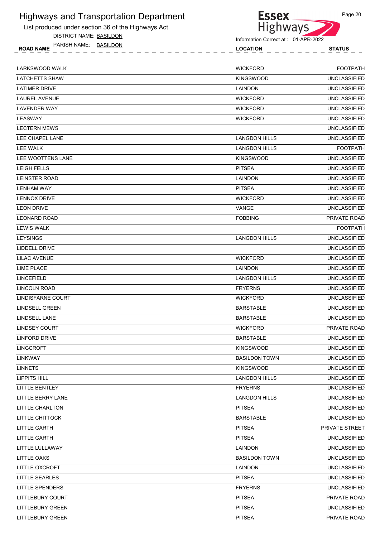List produced under section 36 of the Highways Act.

DISTRICT NAME: BASILDON



| <b>ROAD NAME</b> | NAME.<br>PARISH | <b>DON</b><br><b>BASII</b> |  | <b>OCATION</b> | <b>CTATIIC</b> |
|------------------|-----------------|----------------------------|--|----------------|----------------|
|                  |                 |                            |  |                |                |

| LARKSWOOD WALK          | <b>WICKFORD</b>      | <b>FOOTPATH</b>     |
|-------------------------|----------------------|---------------------|
| <b>LATCHETTS SHAW</b>   | <b>KINGSWOOD</b>     | <b>UNCLASSIFIED</b> |
| LATIMER DRIVE           | LAINDON              | <b>UNCLASSIFIED</b> |
| <b>LAUREL AVENUE</b>    | <b>WICKFORD</b>      | <b>UNCLASSIFIED</b> |
| LAVENDER WAY            | <b>WICKFORD</b>      | <b>UNCLASSIFIED</b> |
| LEASWAY                 | <b>WICKFORD</b>      | <b>UNCLASSIFIED</b> |
| <b>LECTERN MEWS</b>     |                      | <b>UNCLASSIFIED</b> |
| LEE CHAPEL LANE         | <b>LANGDON HILLS</b> | <b>UNCLASSIFIED</b> |
| <b>LEE WALK</b>         | <b>LANGDON HILLS</b> | <b>FOOTPATH</b>     |
| LEE WOOTTENS LANE       | <b>KINGSWOOD</b>     | <b>UNCLASSIFIED</b> |
| LEIGH FELLS             | <b>PITSEA</b>        | <b>UNCLASSIFIED</b> |
| LEINSTER ROAD           | LAINDON              | <b>UNCLASSIFIED</b> |
| <b>LENHAM WAY</b>       | <b>PITSEA</b>        | <b>UNCLASSIFIED</b> |
| LENNOX DRIVE            | <b>WICKFORD</b>      | <b>UNCLASSIFIED</b> |
| <b>LEON DRIVE</b>       | VANGE                | <b>UNCLASSIFIED</b> |
| <b>LEONARD ROAD</b>     | <b>FOBBING</b>       | PRIVATE ROAD        |
| <b>LEWIS WALK</b>       |                      | <b>FOOTPATH</b>     |
| <b>LEYSINGS</b>         | <b>LANGDON HILLS</b> | <b>UNCLASSIFIED</b> |
| LIDDELL DRIVE           |                      | <b>UNCLASSIFIED</b> |
| LILAC AVENUE            | <b>WICKFORD</b>      | <b>UNCLASSIFIED</b> |
| LIME PLACE              | LAINDON              | <b>UNCLASSIFIED</b> |
| <b>LINCEFIELD</b>       | <b>LANGDON HILLS</b> | <b>UNCLASSIFIED</b> |
| LINCOLN ROAD            | <b>FRYERNS</b>       | <b>UNCLASSIFIED</b> |
| LINDISFARNE COURT       | <b>WICKFORD</b>      | <b>UNCLASSIFIED</b> |
| LINDSELL GREEN          | <b>BARSTABLE</b>     | <b>UNCLASSIFIED</b> |
| LINDSELL LANE           | <b>BARSTABLE</b>     | <b>UNCLASSIFIED</b> |
| LINDSEY COURT           | <b>WICKFORD</b>      | PRIVATE ROAD        |
| LINFORD DRIVE           | <b>BARSTABLE</b>     | <b>UNCLASSIFIED</b> |
| <b>LINGCROFT</b>        | <b>KINGSWOOD</b>     | <b>UNCLASSIFIED</b> |
| LINKWAY                 | <b>BASILDON TOWN</b> | <b>UNCLASSIFIED</b> |
| <b>LINNETS</b>          | <b>KINGSWOOD</b>     | <b>UNCLASSIFIED</b> |
| <b>LIPPITS HILL</b>     | <b>LANGDON HILLS</b> | <b>UNCLASSIFIED</b> |
| LITTLE BENTLEY          | <b>FRYERNS</b>       | <b>UNCLASSIFIED</b> |
| LITTLE BERRY LANE       | <b>LANGDON HILLS</b> | <b>UNCLASSIFIED</b> |
| <b>LITTLE CHARLTON</b>  | <b>PITSEA</b>        | <b>UNCLASSIFIED</b> |
| LITTLE CHITTOCK         | <b>BARSTABLE</b>     | <b>UNCLASSIFIED</b> |
| LITTLE GARTH            | <b>PITSEA</b>        | PRIVATE STREET      |
| LITTLE GARTH            | <b>PITSEA</b>        | <b>UNCLASSIFIED</b> |
| LITTLE LULLAWAY         | LAINDON              | <b>UNCLASSIFIED</b> |
| LITTLE OAKS             | <b>BASILDON TOWN</b> | <b>UNCLASSIFIED</b> |
| LITTLE OXCROFT          | LAINDON              | UNCLASSIFIED        |
| <b>LITTLE SEARLES</b>   | <b>PITSEA</b>        | <b>UNCLASSIFIED</b> |
| <b>LITTLE SPENDERS</b>  | <b>FRYERNS</b>       | <b>UNCLASSIFIED</b> |
| <b>LITTLEBURY COURT</b> | <b>PITSEA</b>        | PRIVATE ROAD        |
| <b>LITTLEBURY GREEN</b> | <b>PITSEA</b>        | <b>UNCLASSIFIED</b> |
| <b>LITTLEBURY GREEN</b> | <b>PITSEA</b>        | PRIVATE ROAD        |
|                         |                      |                     |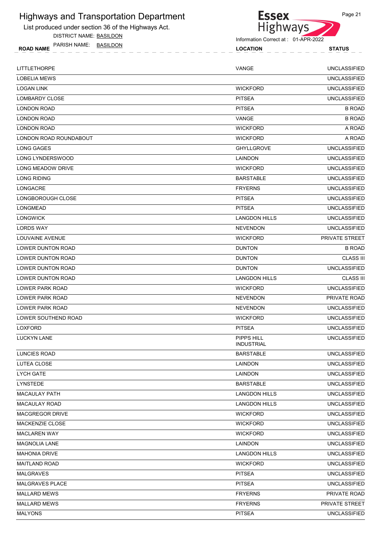List produced under section 36 of the Highways Act.

DISTRICT NAME: BASILDON



Information Correct at : 01-APR-2022

ROAD NAME LOCATION STATUS PARISH NAME: BASILDON

| LITTLETHORPE             | VANGE                           | <b>UNCLASSIFIED</b>   |
|--------------------------|---------------------------------|-----------------------|
| <b>LOBELIA MEWS</b>      |                                 | <b>UNCLASSIFIED</b>   |
| <b>LOGAN LINK</b>        | <b>WICKFORD</b>                 | <b>UNCLASSIFIED</b>   |
| <b>LOMBARDY CLOSE</b>    | <b>PITSEA</b>                   | <b>UNCLASSIFIED</b>   |
| <b>LONDON ROAD</b>       | <b>PITSEA</b>                   | <b>B ROAD</b>         |
| <b>LONDON ROAD</b>       | VANGE                           | <b>B ROAD</b>         |
| <b>LONDON ROAD</b>       | <b>WICKFORD</b>                 | A ROAD                |
| LONDON ROAD ROUNDABOUT   | <b>WICKFORD</b>                 | A ROAD                |
| LONG GAGES               | <b>GHYLLGROVE</b>               | <b>UNCLASSIFIED</b>   |
| LONG LYNDERSWOOD         | LAINDON                         | <b>UNCLASSIFIED</b>   |
| LONG MEADOW DRIVE        | <b>WICKFORD</b>                 | <b>UNCLASSIFIED</b>   |
| <b>LONG RIDING</b>       | <b>BARSTABLE</b>                | <b>UNCLASSIFIED</b>   |
| LONGACRE                 | <b>FRYERNS</b>                  | <b>UNCLASSIFIED</b>   |
| LONGBOROUGH CLOSE        | <b>PITSEA</b>                   | <b>UNCLASSIFIED</b>   |
| LONGMEAD                 | <b>PITSEA</b>                   | <b>UNCLASSIFIED</b>   |
| LONGWICK                 | <b>LANGDON HILLS</b>            | <b>UNCLASSIFIED</b>   |
| <b>LORDS WAY</b>         | <b>NEVENDON</b>                 | <b>UNCLASSIFIED</b>   |
| LOUVAINE AVENUE          | <b>WICKFORD</b>                 | <b>PRIVATE STREET</b> |
| LOWER DUNTON ROAD        | <b>DUNTON</b>                   | <b>B ROAD</b>         |
| LOWER DUNTON ROAD        | <b>DUNTON</b>                   | <b>CLASS III</b>      |
| LOWER DUNTON ROAD        | <b>DUNTON</b>                   | <b>UNCLASSIFIED</b>   |
| <b>LOWER DUNTON ROAD</b> | <b>LANGDON HILLS</b>            | <b>CLASS III</b>      |
| LOWER PARK ROAD          | <b>WICKFORD</b>                 | <b>UNCLASSIFIED</b>   |
| LOWER PARK ROAD          | <b>NEVENDON</b>                 | PRIVATE ROAD          |
| LOWER PARK ROAD          | <b>NEVENDON</b>                 | <b>UNCLASSIFIED</b>   |
| LOWER SOUTHEND ROAD      | <b>WICKFORD</b>                 | <b>UNCLASSIFIED</b>   |
| <b>LOXFORD</b>           | <b>PITSEA</b>                   | <b>UNCLASSIFIED</b>   |
| <b>LUCKYN LANE</b>       | PIPPS HILL<br><b>INDUSTRIAL</b> | <b>UNCLASSIFIED</b>   |
| LUNCIES ROAD             | <b>BARSTABLE</b>                | <b>UNCLASSIFIED</b>   |
| <b>LUTEA CLOSE</b>       | <b>LAINDON</b>                  | <b>UNCLASSIFIED</b>   |
| LYCH GATE                | LAINDON                         | <b>UNCLASSIFIED</b>   |
| LYNSTEDE                 | <b>BARSTABLE</b>                | <b>UNCLASSIFIED</b>   |
| <b>MACAULAY PATH</b>     | <b>LANGDON HILLS</b>            | <b>UNCLASSIFIED</b>   |
| <b>MACAULAY ROAD</b>     | <b>LANGDON HILLS</b>            | <b>UNCLASSIFIED</b>   |
| <b>MACGREGOR DRIVE</b>   | <b>WICKFORD</b>                 | <b>UNCLASSIFIED</b>   |
| MACKENZIE CLOSE          | <b>WICKFORD</b>                 | <b>UNCLASSIFIED</b>   |
| <b>MACLAREN WAY</b>      | <b>WICKFORD</b>                 | <b>UNCLASSIFIED</b>   |
| <b>MAGNOLIA LANE</b>     | LAINDON                         | <b>UNCLASSIFIED</b>   |
| <b>MAHONIA DRIVE</b>     | <b>LANGDON HILLS</b>            | <b>UNCLASSIFIED</b>   |
| <b>MAITLAND ROAD</b>     | <b>WICKFORD</b>                 | <b>UNCLASSIFIED</b>   |
| MALGRAVES                | <b>PITSEA</b>                   | <b>UNCLASSIFIED</b>   |
| <b>MALGRAVES PLACE</b>   | <b>PITSEA</b>                   | <b>UNCLASSIFIED</b>   |
| <b>MALLARD MEWS</b>      | <b>FRYERNS</b>                  | PRIVATE ROAD          |
| <b>MALLARD MEWS</b>      | <b>FRYERNS</b>                  | PRIVATE STREET        |
| <b>MALYONS</b>           | <b>PITSEA</b>                   | <b>UNCLASSIFIED</b>   |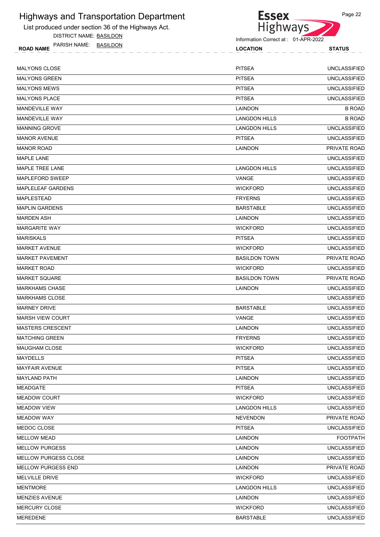

DISTRICT NAME: BASILDON

ROAD NAME LOCATION STATUS PARISH NAME: BASILDON



Information Correct at : 01-APR-2022

| <b>MALYONS CLOSE</b>      | <b>PITSEA</b>        | <b>UNCLASSIFIED</b> |
|---------------------------|----------------------|---------------------|
| <b>MALYONS GREEN</b>      | <b>PITSEA</b>        | <b>UNCLASSIFIED</b> |
| <b>MALYONS MEWS</b>       | <b>PITSEA</b>        | <b>UNCLASSIFIED</b> |
| <b>MALYONS PLACE</b>      | <b>PITSEA</b>        | <b>UNCLASSIFIED</b> |
| <b>MANDEVILLE WAY</b>     | LAINDON              | <b>B ROAD</b>       |
| <b>MANDEVILLE WAY</b>     | <b>LANGDON HILLS</b> | <b>B ROAD</b>       |
| <b>MANNING GROVE</b>      | <b>LANGDON HILLS</b> | <b>UNCLASSIFIED</b> |
| <b>MANOR AVENUE</b>       | <b>PITSEA</b>        | <b>UNCLASSIFIED</b> |
| <b>MANOR ROAD</b>         | LAINDON              | PRIVATE ROAD        |
| <b>MAPLE LANE</b>         |                      | <b>UNCLASSIFIED</b> |
| <b>MAPLE TREE LANE</b>    | <b>LANGDON HILLS</b> | <b>UNCLASSIFIED</b> |
| MAPLEFORD SWEEP           | <b>VANGE</b>         | <b>UNCLASSIFIED</b> |
| <b>MAPLELEAF GARDENS</b>  | <b>WICKFORD</b>      | <b>UNCLASSIFIED</b> |
| <b>MAPLESTEAD</b>         | <b>FRYERNS</b>       | <b>UNCLASSIFIED</b> |
| <b>MAPLIN GARDENS</b>     | <b>BARSTABLE</b>     | <b>UNCLASSIFIED</b> |
| <b>MARDEN ASH</b>         | LAINDON              | <b>UNCLASSIFIED</b> |
| <b>MARGARITE WAY</b>      | <b>WICKFORD</b>      | <b>UNCLASSIFIED</b> |
| <b>MARISKALS</b>          | <b>PITSEA</b>        | <b>UNCLASSIFIED</b> |
| <b>MARKET AVENUE</b>      | <b>WICKFORD</b>      | <b>UNCLASSIFIED</b> |
| <b>MARKET PAVEMENT</b>    | <b>BASILDON TOWN</b> | PRIVATE ROAD        |
| <b>MARKET ROAD</b>        | <b>WICKFORD</b>      | <b>UNCLASSIFIED</b> |
| <b>MARKET SQUARE</b>      | <b>BASILDON TOWN</b> | PRIVATE ROAD        |
| <b>MARKHAMS CHASE</b>     | LAINDON              | <b>UNCLASSIFIED</b> |
| <b>MARKHAMS CLOSE</b>     |                      | <b>UNCLASSIFIED</b> |
| <b>MARNEY DRIVE</b>       | <b>BARSTABLE</b>     | <b>UNCLASSIFIED</b> |
| <b>MARSH VIEW COURT</b>   | VANGE                | <b>UNCLASSIFIED</b> |
| <b>MASTERS CRESCENT</b>   | LAINDON              | <b>UNCLASSIFIED</b> |
| <b>MATCHING GREEN</b>     | <b>FRYERNS</b>       | <b>UNCLASSIFIED</b> |
| <b>MAUGHAM CLOSE</b>      | <b>WICKFORD</b>      | <b>UNCLASSIFIED</b> |
| <b>MAYDELLS</b>           | <b>PITSEA</b>        | <b>UNCLASSIFIED</b> |
| <b>MAYFAIR AVENUE</b>     | <b>PITSEA</b>        | <b>UNCLASSIFIED</b> |
| <b>MAYLAND PATH</b>       | LAINDON              | <b>UNCLASSIFIED</b> |
| MEADGATE                  | <b>PITSEA</b>        | <b>UNCLASSIFIED</b> |
| <b>MEADOW COURT</b>       | <b>WICKFORD</b>      | <b>UNCLASSIFIED</b> |
| <b>MEADOW VIEW</b>        | <b>LANGDON HILLS</b> | <b>UNCLASSIFIED</b> |
| <b>MEADOW WAY</b>         | <b>NEVENDON</b>      | PRIVATE ROAD        |
| MEDOC CLOSE               | <b>PITSEA</b>        | <b>UNCLASSIFIED</b> |
| <b>MELLOW MEAD</b>        | LAINDON              | <b>FOOTPATH</b>     |
| <b>MELLOW PURGESS</b>     | LAINDON              | <b>UNCLASSIFIED</b> |
| MELLOW PURGESS CLOSE      | LAINDON              | <b>UNCLASSIFIED</b> |
| <b>MELLOW PURGESS END</b> | LAINDON              | PRIVATE ROAD        |
| <b>MELVILLE DRIVE</b>     | <b>WICKFORD</b>      | <b>UNCLASSIFIED</b> |
| <b>MENTMORE</b>           | <b>LANGDON HILLS</b> | <b>UNCLASSIFIED</b> |
| MENZIES AVENUE            | LAINDON              | <b>UNCLASSIFIED</b> |
| MERCURY CLOSE             | <b>WICKFORD</b>      | <b>UNCLASSIFIED</b> |
| <b>MEREDENE</b>           | <b>BARSTABLE</b>     | <b>UNCLASSIFIED</b> |
|                           |                      |                     |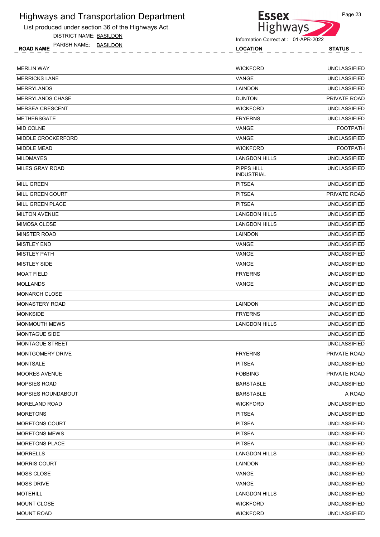List produced under section 36 of the Highways Act.

DISTRICT NAME: BASILDON



| <b>ROAD NAME</b> | PARISH NAME: | BASILDON |  |  | <b>LOCATION</b> | <b>STATUS</b>       |
|------------------|--------------|----------|--|--|-----------------|---------------------|
|                  |              |          |  |  |                 |                     |
| MERLIN WAY       |              |          |  |  | <b>WICKFORD</b> | <b>UNCLASSIFIED</b> |

| <b>MERRICKS LANE</b>      | VANGE                           | <b>UNCLASSIFIED</b> |
|---------------------------|---------------------------------|---------------------|
| <b>MERRYLANDS</b>         | <b>LAINDON</b>                  | <b>UNCLASSIFIED</b> |
| <b>MERRYLANDS CHASE</b>   | <b>DUNTON</b>                   | PRIVATE ROAD        |
| <b>MERSEA CRESCENT</b>    | <b>WICKFORD</b>                 | <b>UNCLASSIFIED</b> |
| <b>METHERSGATE</b>        | <b>FRYERNS</b>                  | <b>UNCLASSIFIED</b> |
| MID COLNE                 | VANGE                           | <b>FOOTPATH</b>     |
| <b>MIDDLE CROCKERFORD</b> | VANGE                           | <b>UNCLASSIFIED</b> |
| MIDDLE MEAD               | <b>WICKFORD</b>                 | <b>FOOTPATH</b>     |
| <b>MILDMAYES</b>          | <b>LANGDON HILLS</b>            | <b>UNCLASSIFIED</b> |
| <b>MILES GRAY ROAD</b>    | PIPPS HILL<br><b>INDUSTRIAL</b> | <b>UNCLASSIFIED</b> |
| <b>MILL GREEN</b>         | <b>PITSEA</b>                   | <b>UNCLASSIFIED</b> |
| MILL GREEN COURT          | <b>PITSEA</b>                   | PRIVATE ROAD        |
| <b>MILL GREEN PLACE</b>   | <b>PITSEA</b>                   | <b>UNCLASSIFIED</b> |
| <b>MILTON AVENUE</b>      | <b>LANGDON HILLS</b>            | <b>UNCLASSIFIED</b> |
| MIMOSA CLOSE              | <b>LANGDON HILLS</b>            | <b>UNCLASSIFIED</b> |
| <b>MINSTER ROAD</b>       | LAINDON                         | <b>UNCLASSIFIED</b> |
| <b>MISTLEY END</b>        | VANGE                           | <b>UNCLASSIFIED</b> |
| <b>MISTLEY PATH</b>       | VANGE                           | <b>UNCLASSIFIED</b> |
| <b>MISTLEY SIDE</b>       | VANGE                           | <b>UNCLASSIFIED</b> |
| <b>MOAT FIELD</b>         | <b>FRYERNS</b>                  | <b>UNCLASSIFIED</b> |
| <b>MOLLANDS</b>           | VANGE                           | <b>UNCLASSIFIED</b> |
| <b>MONARCH CLOSE</b>      |                                 | <b>UNCLASSIFIED</b> |
| <b>MONASTERY ROAD</b>     | LAINDON                         | <b>UNCLASSIFIED</b> |
| <b>MONKSIDE</b>           | <b>FRYERNS</b>                  | <b>UNCLASSIFIED</b> |
| <b>MONMOUTH MEWS</b>      | <b>LANGDON HILLS</b>            | <b>UNCLASSIFIED</b> |
| <b>MONTAGUE SIDE</b>      |                                 | <b>UNCLASSIFIED</b> |
| MONTAGUE STREET           |                                 | <b>UNCLASSIFIED</b> |
| <b>MONTGOMERY DRIVE</b>   | <b>FRYERNS</b>                  | PRIVATE ROAD        |
| <b>MONTSALE</b>           | <b>PITSEA</b>                   | <b>UNCLASSIFIED</b> |
| MOORES AVENUE             | <b>FOBBING</b>                  | PRIVATE ROAD        |
| MOPSIES ROAD              | <b>BARSTABLE</b>                | <b>UNCLASSIFIED</b> |
| MOPSIES ROUNDABOUT        | <b>BARSTABLE</b>                | A ROAD              |
| <b>MORELAND ROAD</b>      | <b>WICKFORD</b>                 | <b>UNCLASSIFIED</b> |
| <b>MORETONS</b>           | <b>PITSEA</b>                   | <b>UNCLASSIFIED</b> |
| MORETONS COURT            | <b>PITSEA</b>                   | <b>UNCLASSIFIED</b> |
| <b>MORETONS MEWS</b>      | <b>PITSEA</b>                   | UNCLASSIFIED        |
| MORETONS PLACE            | <b>PITSEA</b>                   | <b>UNCLASSIFIED</b> |
| <b>MORRELLS</b>           | <b>LANGDON HILLS</b>            | <b>UNCLASSIFIED</b> |
| <b>MORRIS COURT</b>       | LAINDON                         | <b>UNCLASSIFIED</b> |
| MOSS CLOSE                | VANGE                           | <b>UNCLASSIFIED</b> |
| <b>MOSS DRIVE</b>         | VANGE                           | <b>UNCLASSIFIED</b> |
| <b>MOTEHILL</b>           | <b>LANGDON HILLS</b>            | <b>UNCLASSIFIED</b> |
| MOUNT CLOSE               | <b>WICKFORD</b>                 | <b>UNCLASSIFIED</b> |
| <b>MOUNT ROAD</b>         | <b>WICKFORD</b>                 | <b>UNCLASSIFIED</b> |
|                           |                                 |                     |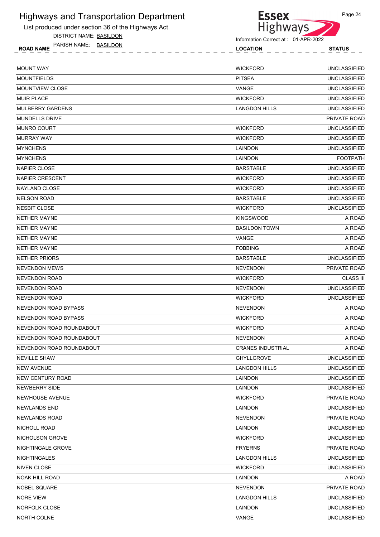List produced under section 36 of the Highways Act.

DISTRICT NAME: BASILDON

ROAD NAME LOCATION STATUS PARISH NAME: BASILDON



Information Correct at : 01-APR-2022

|  | <b>STATUS</b> |
|--|---------------|
|  | UNCLASSIFIED  |
|  | UNCLASSIFIED  |
|  | LINCLASSIFIED |

| <b>MOUNT WAY</b>            | <b>WICKFORD</b>          | <b>UNCLASSIFIED</b> |
|-----------------------------|--------------------------|---------------------|
| <b>MOUNTFIELDS</b>          | <b>PITSEA</b>            | <b>UNCLASSIFIED</b> |
| <b>MOUNTVIEW CLOSE</b>      | VANGE                    | <b>UNCLASSIFIED</b> |
| <b>MUIR PLACE</b>           | <b>WICKFORD</b>          | <b>UNCLASSIFIED</b> |
| <b>MULBERRY GARDENS</b>     | <b>LANGDON HILLS</b>     | <b>UNCLASSIFIED</b> |
| <b>MUNDELLS DRIVE</b>       |                          | PRIVATE ROAD        |
| <b>MUNRO COURT</b>          | <b>WICKFORD</b>          | <b>UNCLASSIFIED</b> |
| <b>MURRAY WAY</b>           | <b>WICKFORD</b>          | <b>UNCLASSIFIED</b> |
| <b>MYNCHENS</b>             | <b>LAINDON</b>           | <b>UNCLASSIFIED</b> |
| <b>MYNCHENS</b>             | LAINDON                  | <b>FOOTPATH</b>     |
| NAPIER CLOSE                | <b>BARSTABLE</b>         | <b>UNCLASSIFIED</b> |
| <b>NAPIER CRESCENT</b>      | <b>WICKFORD</b>          | <b>UNCLASSIFIED</b> |
| NAYLAND CLOSE               | <b>WICKFORD</b>          | <b>UNCLASSIFIED</b> |
| <b>NELSON ROAD</b>          | <b>BARSTABLE</b>         | <b>UNCLASSIFIED</b> |
| <b>NESBIT CLOSE</b>         | <b>WICKFORD</b>          | <b>UNCLASSIFIED</b> |
| <b>NETHER MAYNE</b>         | <b>KINGSWOOD</b>         | A ROAD              |
| <b>NETHER MAYNE</b>         | <b>BASILDON TOWN</b>     | A ROAD              |
| <b>NETHER MAYNE</b>         | VANGE                    | A ROAD              |
| <b>NETHER MAYNE</b>         | <b>FOBBING</b>           | A ROAD              |
| <b>NETHER PRIORS</b>        | <b>BARSTABLE</b>         | <b>UNCLASSIFIED</b> |
| <b>NEVENDON MEWS</b>        | <b>NEVENDON</b>          | PRIVATE ROAD        |
| <b>NEVENDON ROAD</b>        | <b>WICKFORD</b>          | <b>CLASS III</b>    |
| <b>NEVENDON ROAD</b>        | <b>NEVENDON</b>          | <b>UNCLASSIFIED</b> |
| <b>NEVENDON ROAD</b>        | <b>WICKFORD</b>          | <b>UNCLASSIFIED</b> |
| NEVENDON ROAD BYPASS        | <b>NEVENDON</b>          | A ROAD              |
| <b>NEVENDON ROAD BYPASS</b> | <b>WICKFORD</b>          | A ROAD              |
| NEVENDON ROAD ROUNDABOUT    | <b>WICKFORD</b>          | A ROAD              |
| NEVENDON ROAD ROUNDABOUT    | <b>NEVENDON</b>          | A ROAD              |
| NEVENDON ROAD ROUNDABOUT    | <b>CRANES INDUSTRIAL</b> | A ROAD              |
| <b>NEVILLE SHAW</b>         | <b>GHYLLGROVE</b>        | <b>UNCLASSIFIED</b> |
| <b>NEW AVENUE</b>           | <b>LANGDON HILLS</b>     | <b>UNCLASSIFIED</b> |
| NEW CENTURY ROAD            | LAINDON                  | <b>UNCLASSIFIED</b> |
| NEWBERRY SIDE               | LAINDON                  | <b>UNCLASSIFIED</b> |
| NEWHOUSE AVENUE             | <b>WICKFORD</b>          | PRIVATE ROAD        |
| <b>NEWLANDS END</b>         | LAINDON                  | <b>UNCLASSIFIED</b> |
| <b>NEWLANDS ROAD</b>        | <b>NEVENDON</b>          | PRIVATE ROAD        |
| NICHOLL ROAD                | LAINDON                  | <b>UNCLASSIFIED</b> |
| NICHOLSON GROVE             | <b>WICKFORD</b>          | <b>UNCLASSIFIED</b> |
| NIGHTINGALE GROVE           | <b>FRYERNS</b>           | PRIVATE ROAD        |
| <b>NIGHTINGALES</b>         | <b>LANGDON HILLS</b>     | <b>UNCLASSIFIED</b> |
| <b>NIVEN CLOSE</b>          | <b>WICKFORD</b>          | <b>UNCLASSIFIED</b> |
| <b>NOAK HILL ROAD</b>       | LAINDON                  | A ROAD              |
| <b>NOBEL SQUARE</b>         | <b>NEVENDON</b>          | PRIVATE ROAD        |
| <b>NORE VIEW</b>            | <b>LANGDON HILLS</b>     | <b>UNCLASSIFIED</b> |
| NORFOLK CLOSE               | LAINDON                  | <b>UNCLASSIFIED</b> |
| NORTH COLNE                 | VANGE                    | <b>UNCLASSIFIED</b> |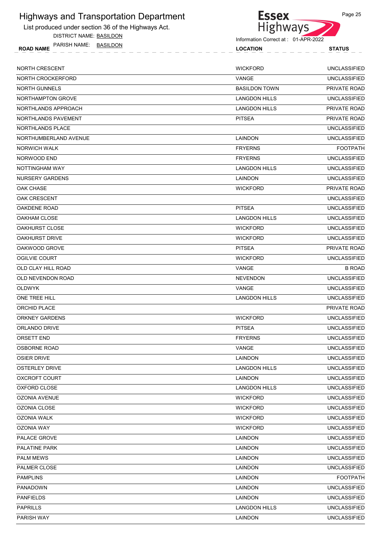List produced under section 36 of the Highways Act.

DISTRICT NAME: BASILDON



| NORTH CRESCENT                            | <b>WICKFORD</b> | UNCLASSIFIED  |
|-------------------------------------------|-----------------|---------------|
| PARISH NAME: BASILDON<br><b>ROAD NAME</b> | <b>LOCATION</b> | <b>STATUS</b> |

| NORTH CROCKERFORD      | VANGE                | <b>UNCLASSIFIED</b> |
|------------------------|----------------------|---------------------|
| <b>NORTH GUNNELS</b>   | <b>BASILDON TOWN</b> | PRIVATE ROAD        |
| NORTHAMPTON GROVE      | <b>LANGDON HILLS</b> | <b>UNCLASSIFIED</b> |
| NORTHLANDS APPROACH    | <b>LANGDON HILLS</b> | PRIVATE ROAD        |
| NORTHLANDS PAVEMENT    | PITSEA               | PRIVATE ROAD        |
| NORTHLANDS PLACE       |                      | <b>UNCLASSIFIED</b> |
| NORTHUMBERLAND AVENUE  | <b>LAINDON</b>       | <b>UNCLASSIFIED</b> |
| <b>NORWICH WALK</b>    | <b>FRYERNS</b>       | <b>FOOTPATH</b>     |
| NORWOOD END            | <b>FRYERNS</b>       | <b>UNCLASSIFIED</b> |
| NOTTINGHAM WAY         | <b>LANGDON HILLS</b> | <b>UNCLASSIFIED</b> |
| <b>NURSERY GARDENS</b> | LAINDON              | <b>UNCLASSIFIED</b> |
| OAK CHASE              | <b>WICKFORD</b>      | PRIVATE ROAD        |
| <b>OAK CRESCENT</b>    |                      | <b>UNCLASSIFIED</b> |
| OAKDENE ROAD           | <b>PITSEA</b>        | <b>UNCLASSIFIED</b> |
| OAKHAM CLOSE           | <b>LANGDON HILLS</b> | <b>UNCLASSIFIED</b> |
| <b>OAKHURST CLOSE</b>  | <b>WICKFORD</b>      | <b>UNCLASSIFIED</b> |
| <b>OAKHURST DRIVE</b>  | <b>WICKFORD</b>      | <b>UNCLASSIFIED</b> |
| OAKWOOD GROVE          | <b>PITSEA</b>        | PRIVATE ROAD        |
| OGILVIE COURT          | <b>WICKFORD</b>      | <b>UNCLASSIFIED</b> |
| OLD CLAY HILL ROAD     | VANGE                | <b>B ROAD</b>       |
| OLD NEVENDON ROAD      | <b>NEVENDON</b>      | <b>UNCLASSIFIED</b> |
| <b>OLDWYK</b>          | VANGE                | <b>UNCLASSIFIED</b> |
| ONE TREE HILL          | <b>LANGDON HILLS</b> | <b>UNCLASSIFIED</b> |
| ORCHID PLACE           |                      | PRIVATE ROAD        |
| <b>ORKNEY GARDENS</b>  | <b>WICKFORD</b>      | <b>UNCLASSIFIED</b> |
| <b>ORLANDO DRIVE</b>   | <b>PITSEA</b>        | <b>UNCLASSIFIED</b> |
| ORSETT END             | <b>FRYERNS</b>       | <b>UNCLASSIFIED</b> |
| <b>OSBORNE ROAD</b>    | VANGE                | <b>UNCLASSIFIED</b> |
| OSIER DRIVE            | LAINDON              | <b>UNCLASSIFIED</b> |
| <b>OSTERLEY DRIVE</b>  | <b>LANGDON HILLS</b> | <b>UNCLASSIFIED</b> |
| <b>OXCROFT COURT</b>   | LAINDON              | <b>UNCLASSIFIED</b> |
| OXFORD CLOSE           | <b>LANGDON HILLS</b> | <b>UNCLASSIFIED</b> |
| <b>OZONIA AVENUE</b>   | <b>WICKFORD</b>      | <b>UNCLASSIFIED</b> |
| <b>OZONIA CLOSE</b>    | <b>WICKFORD</b>      | <b>UNCLASSIFIED</b> |
| <b>OZONIA WALK</b>     | <b>WICKFORD</b>      | <b>UNCLASSIFIED</b> |
| <b>OZONIA WAY</b>      | <b>WICKFORD</b>      | <b>UNCLASSIFIED</b> |
| PALACE GROVE           | <b>LAINDON</b>       | <b>UNCLASSIFIED</b> |
| PALATINE PARK          | <b>LAINDON</b>       | <b>UNCLASSIFIED</b> |
| <b>PALM MEWS</b>       | LAINDON              | <b>UNCLASSIFIED</b> |
| PALMER CLOSE           | <b>LAINDON</b>       | <b>UNCLASSIFIED</b> |
| <b>PAMPLINS</b>        | LAINDON              | <b>FOOTPATH</b>     |
| <b>PANADOWN</b>        | LAINDON              | <b>UNCLASSIFIED</b> |
| <b>PANFIELDS</b>       | LAINDON              | <b>UNCLASSIFIED</b> |
| <b>PAPRILLS</b>        | <b>LANGDON HILLS</b> | <b>UNCLASSIFIED</b> |
| PARISH WAY             | <b>LAINDON</b>       | <b>UNCLASSIFIED</b> |
|                        |                      |                     |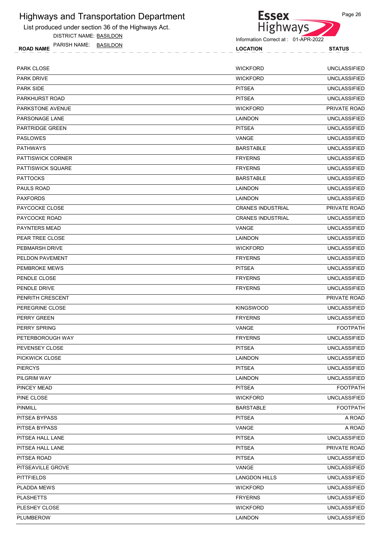List produced under section 36 of the Highways Act.

DISTRICT NAME: BASILDON

ROAD NAME LOCATION STATUS PARISH NAME: BASILDON



| <b>LOCATION</b> | <b>STATUS</b>      |  |  |
|-----------------|--------------------|--|--|
|                 | __                 |  |  |
| <i>WICKEODD</i> | <b>INOLACCIEIE</b> |  |  |

| PARK CLOSE               | <b>WICKFORD</b>          | <b>UNCLASSIFIED</b> |
|--------------------------|--------------------------|---------------------|
| <b>PARK DRIVE</b>        | <b>WICKFORD</b>          | <b>UNCLASSIFIED</b> |
| <b>PARK SIDE</b>         | <b>PITSEA</b>            | <b>UNCLASSIFIED</b> |
| PARKHURST ROAD           | <b>PITSEA</b>            | <b>UNCLASSIFIED</b> |
| <b>PARKSTONE AVENUE</b>  | <b>WICKFORD</b>          | PRIVATE ROAD        |
| PARSONAGE LANE           | LAINDON                  | <b>UNCLASSIFIED</b> |
| <b>PARTRIDGE GREEN</b>   | <b>PITSEA</b>            | <b>UNCLASSIFIED</b> |
| <b>PASLOWES</b>          | VANGE                    | <b>UNCLASSIFIED</b> |
| <b>PATHWAYS</b>          | <b>BARSTABLE</b>         | <b>UNCLASSIFIED</b> |
| <b>PATTISWICK CORNER</b> | <b>FRYERNS</b>           | <b>UNCLASSIFIED</b> |
| <b>PATTISWICK SQUARE</b> | <b>FRYERNS</b>           | <b>UNCLASSIFIED</b> |
| <b>PATTOCKS</b>          | <b>BARSTABLE</b>         | <b>UNCLASSIFIED</b> |
| PAULS ROAD               | LAINDON                  | <b>UNCLASSIFIED</b> |
| <b>PAXFORDS</b>          | LAINDON                  | <b>UNCLASSIFIED</b> |
| PAYCOCKE CLOSE           | <b>CRANES INDUSTRIAL</b> | PRIVATE ROAD        |
| PAYCOCKE ROAD            | <b>CRANES INDUSTRIAL</b> | <b>UNCLASSIFIED</b> |
| <b>PAYNTERS MEAD</b>     | VANGE                    | <b>UNCLASSIFIED</b> |
| PEAR TREE CLOSE          | LAINDON                  | <b>UNCLASSIFIED</b> |
| PEBMARSH DRIVE           | <b>WICKFORD</b>          | <b>UNCLASSIFIED</b> |
| PELDON PAVEMENT          | <b>FRYERNS</b>           | <b>UNCLASSIFIED</b> |
| PEMBROKE MEWS            | <b>PITSEA</b>            | <b>UNCLASSIFIED</b> |
| PENDLE CLOSE             | <b>FRYERNS</b>           | <b>UNCLASSIFIED</b> |
| PENDLE DRIVE             | <b>FRYERNS</b>           | <b>UNCLASSIFIED</b> |
| PENRITH CRESCENT         |                          | <b>PRIVATE ROAD</b> |
| PEREGRINE CLOSE          | <b>KINGSWOOD</b>         | <b>UNCLASSIFIED</b> |
| <b>PERRY GREEN</b>       | <b>FRYERNS</b>           | <b>UNCLASSIFIED</b> |
| PERRY SPRING             | VANGE                    | <b>FOOTPATH</b>     |
| PETERBOROUGH WAY         | <b>FRYERNS</b>           | <b>UNCLASSIFIED</b> |
| PEVENSEY CLOSE           | <b>PITSEA</b>            | <b>UNCLASSIFIED</b> |
| PICKWICK CLOSE           | LAINDON                  | <b>UNCLASSIFIED</b> |
| <b>PIERCYS</b>           | <b>PITSEA</b>            | <b>UNCLASSIFIED</b> |
| PILGRIM WAY              | LAINDON                  | <b>UNCLASSIFIED</b> |
| PINCEY MEAD              | <b>PITSEA</b>            | <b>FOOTPATH</b>     |
| PINE CLOSE               | <b>WICKFORD</b>          | <b>UNCLASSIFIED</b> |
| PINMILL                  | <b>BARSTABLE</b>         | <b>FOOTPATH</b>     |
| PITSEA BYPASS            | <b>PITSEA</b>            | A ROAD              |
| PITSEA BYPASS            | VANGE                    | A ROAD              |
| PITSEA HALL LANE         | <b>PITSEA</b>            | <b>UNCLASSIFIED</b> |
| PITSEA HALL LANE         | <b>PITSEA</b>            | PRIVATE ROAD        |
| PITSEA ROAD              | <b>PITSEA</b>            | <b>UNCLASSIFIED</b> |
| PITSEAVILLE GROVE        | VANGE                    | UNCLASSIFIED        |
| <b>PITTFIELDS</b>        | <b>LANGDON HILLS</b>     | <b>UNCLASSIFIED</b> |
| PLADDA MEWS              | <b>WICKFORD</b>          | <b>UNCLASSIFIED</b> |
| <b>PLASHETTS</b>         | <b>FRYERNS</b>           | <b>UNCLASSIFIED</b> |
| PLESHEY CLOSE            | <b>WICKFORD</b>          | <b>UNCLASSIFIED</b> |
| PLUMBEROW                | <b>LAINDON</b>           | <b>UNCLASSIFIED</b> |
|                          |                          |                     |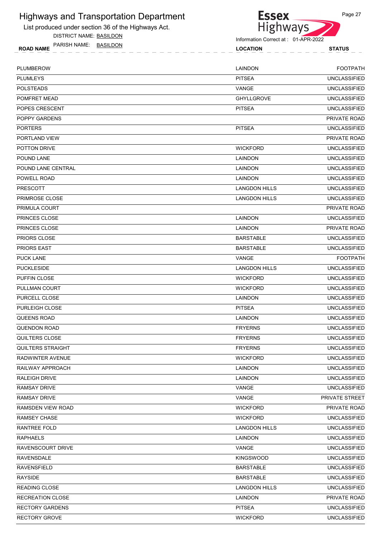List produced under section 36 of the Highways Act.

DISTRICT NAME: BASILDON

ROAD NAME LOCATION STATUS PARISH NAME: BASILDON



**Essex** 

Page 27

| <b>PLUMBEROW</b>         | LAINDON              | <b>FOOTPATH</b>     |
|--------------------------|----------------------|---------------------|
| <b>PLUMLEYS</b>          | <b>PITSEA</b>        | <b>UNCLASSIFIED</b> |
| <b>POLSTEADS</b>         | VANGE                | <b>UNCLASSIFIED</b> |
| POMFRET MEAD             | <b>GHYLLGROVE</b>    | <b>UNCLASSIFIED</b> |
| POPES CRESCENT           | <b>PITSEA</b>        | <b>UNCLASSIFIED</b> |
| <b>POPPY GARDENS</b>     |                      | PRIVATE ROAD        |
| <b>PORTERS</b>           | <b>PITSEA</b>        | <b>UNCLASSIFIED</b> |
| PORTLAND VIEW            |                      | PRIVATE ROAD        |
| POTTON DRIVE             | <b>WICKFORD</b>      | <b>UNCLASSIFIED</b> |
| POUND LANE               | LAINDON              | <b>UNCLASSIFIED</b> |
| POUND LANE CENTRAL       | LAINDON              | <b>UNCLASSIFIED</b> |
| POWELL ROAD              | LAINDON              | <b>UNCLASSIFIED</b> |
| <b>PRESCOTT</b>          | <b>LANGDON HILLS</b> | <b>UNCLASSIFIED</b> |
| PRIMROSE CLOSE           | <b>LANGDON HILLS</b> | <b>UNCLASSIFIED</b> |
| PRIMULA COURT            |                      | PRIVATE ROAD        |
| PRINCES CLOSE            | LAINDON              | <b>UNCLASSIFIED</b> |
| <b>PRINCES CLOSE</b>     | LAINDON              | PRIVATE ROAD        |
| <b>PRIORS CLOSE</b>      | <b>BARSTABLE</b>     | <b>UNCLASSIFIED</b> |
| PRIORS EAST              | <b>BARSTABLE</b>     | <b>UNCLASSIFIED</b> |
| <b>PUCK LANE</b>         | VANGE                | <b>FOOTPATH</b>     |
| <b>PUCKLESIDE</b>        | <b>LANGDON HILLS</b> | <b>UNCLASSIFIED</b> |
| PUFFIN CLOSE             | <b>WICKFORD</b>      | <b>UNCLASSIFIED</b> |
| PULLMAN COURT            | <b>WICKFORD</b>      | <b>UNCLASSIFIED</b> |
| PURCELL CLOSE            | LAINDON              | <b>UNCLASSIFIED</b> |
| PURLEIGH CLOSE           | <b>PITSEA</b>        | <b>UNCLASSIFIED</b> |
| <b>QUEENS ROAD</b>       | LAINDON              | <b>UNCLASSIFIED</b> |
| <b>QUENDON ROAD</b>      | <b>FRYERNS</b>       | <b>UNCLASSIFIED</b> |
| QUILTERS CLOSE           | <b>FRYERNS</b>       | <b>UNCLASSIFIED</b> |
| <b>QUILTERS STRAIGHT</b> | <b>FRYERNS</b>       | <b>UNCLASSIFIED</b> |
| RADWINTER AVENUE         | <b>WICKFORD</b>      | <b>UNCLASSIFIED</b> |
| RAILWAY APPROACH         | LAINDON              | <b>UNCLASSIFIED</b> |
| RALEIGH DRIVE            | <b>LAINDON</b>       | <b>UNCLASSIFIED</b> |
| <b>RAMSAY DRIVE</b>      | VANGE                | <b>UNCLASSIFIED</b> |
| <b>RAMSAY DRIVE</b>      | VANGE                | PRIVATE STREET      |
| RAMSDEN VIEW ROAD        | <b>WICKFORD</b>      | PRIVATE ROAD        |
| RAMSEY CHASE             | <b>WICKFORD</b>      | <b>UNCLASSIFIED</b> |
| RANTREE FOLD             | <b>LANGDON HILLS</b> | <b>UNCLASSIFIED</b> |
| <b>RAPHAELS</b>          | <b>LAINDON</b>       | <b>UNCLASSIFIED</b> |
| RAVENSCOURT DRIVE        | VANGE                | <b>UNCLASSIFIED</b> |
| <b>RAVENSDALE</b>        | <b>KINGSWOOD</b>     | <b>UNCLASSIFIED</b> |
| RAVENSFIELD              | <b>BARSTABLE</b>     | <b>UNCLASSIFIED</b> |
| <b>RAYSIDE</b>           | <b>BARSTABLE</b>     | <b>UNCLASSIFIED</b> |
| <b>READING CLOSE</b>     | <b>LANGDON HILLS</b> | <b>UNCLASSIFIED</b> |
| RECREATION CLOSE         | LAINDON              | PRIVATE ROAD        |
| <b>RECTORY GARDENS</b>   | <b>PITSEA</b>        | <b>UNCLASSIFIED</b> |

RECTORY GROVE UNCLASSIFIED WICKFORD WICKFORD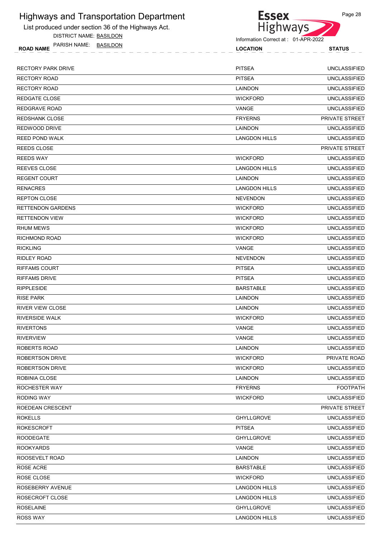List produced under section 36 of the Highways Act.

DISTRICT NAME: BASILDON



Information Correct at : 01-APR-2022

| BASILDON<br>PARISH NAME:<br><b>ROAD NAME</b> | <b>LOCATION</b> | <b>STATUS</b>       |
|----------------------------------------------|-----------------|---------------------|
| RECTORY PARK DRIVE                           | <b>PITSEA</b>   | UNCLASSIFIED        |
| RECTORY ROAD                                 | <b>PITSEA</b>   | <b>UNCLASSIFIED</b> |
| RECTORY ROAD                                 | LAINDON         | <b>UNCLASSIFIED</b> |
| REDGATE CLOSE                                | <b>WICKFORD</b> | <b>UNCLASSIFIED</b> |
|                                              | $\cdots$        | $\cdots$            |

| <b>RECTORY ROAD</b>      | <b>PITSEA</b>        | <b>UNCLASSIFIED</b>   |
|--------------------------|----------------------|-----------------------|
| <b>RECTORY ROAD</b>      | LAINDON              | <b>UNCLASSIFIED</b>   |
| REDGATE CLOSE            | <b>WICKFORD</b>      | <b>UNCLASSIFIED</b>   |
| REDGRAVE ROAD            | VANGE                | <b>UNCLASSIFIED</b>   |
| <b>REDSHANK CLOSE</b>    | <b>FRYERNS</b>       | <b>PRIVATE STREET</b> |
| REDWOOD DRIVE            | LAINDON              | <b>UNCLASSIFIED</b>   |
| <b>REED POND WALK</b>    | <b>LANGDON HILLS</b> | <b>UNCLASSIFIED</b>   |
| <b>REEDS CLOSE</b>       |                      | <b>PRIVATE STREET</b> |
| <b>REEDS WAY</b>         | <b>WICKFORD</b>      | <b>UNCLASSIFIED</b>   |
| REEVES CLOSE             | <b>LANGDON HILLS</b> | <b>UNCLASSIFIED</b>   |
| <b>REGENT COURT</b>      | LAINDON              | <b>UNCLASSIFIED</b>   |
| <b>RENACRES</b>          | <b>LANGDON HILLS</b> | <b>UNCLASSIFIED</b>   |
| <b>REPTON CLOSE</b>      | <b>NEVENDON</b>      | <b>UNCLASSIFIED</b>   |
| <b>RETTENDON GARDENS</b> | <b>WICKFORD</b>      | <b>UNCLASSIFIED</b>   |
| <b>RETTENDON VIEW</b>    | <b>WICKFORD</b>      | <b>UNCLASSIFIED</b>   |
| <b>RHUM MEWS</b>         | <b>WICKFORD</b>      | <b>UNCLASSIFIED</b>   |
| <b>RICHMOND ROAD</b>     | <b>WICKFORD</b>      | <b>UNCLASSIFIED</b>   |
| <b>RICKLING</b>          | VANGE                | <b>UNCLASSIFIED</b>   |
| RIDLEY ROAD              | <b>NEVENDON</b>      | <b>UNCLASSIFIED</b>   |
| <b>RIFFAMS COURT</b>     | <b>PITSEA</b>        | <b>UNCLASSIFIED</b>   |
| <b>RIFFAMS DRIVE</b>     | <b>PITSEA</b>        | <b>UNCLASSIFIED</b>   |
| <b>RIPPLESIDE</b>        | <b>BARSTABLE</b>     | <b>UNCLASSIFIED</b>   |
| <b>RISE PARK</b>         | LAINDON              | <b>UNCLASSIFIED</b>   |
| <b>RIVER VIEW CLOSE</b>  | LAINDON              | <b>UNCLASSIFIED</b>   |
| <b>RIVERSIDE WALK</b>    | <b>WICKFORD</b>      | <b>UNCLASSIFIED</b>   |
| <b>RIVERTONS</b>         | VANGE                | <b>UNCLASSIFIED</b>   |
| <b>RIVERVIEW</b>         | VANGE                | <b>UNCLASSIFIED</b>   |
| ROBERTS ROAD             | LAINDON              | <b>UNCLASSIFIED</b>   |
| <b>ROBERTSON DRIVE</b>   | <b>WICKFORD</b>      | PRIVATE ROAD          |
| <b>ROBERTSON DRIVE</b>   | <b>WICKFORD</b>      | <b>UNCLASSIFIED</b>   |
| ROBINIA CLOSE            | LAINDON              | <b>UNCLASSIFIED</b>   |
| ROCHESTER WAY            | <b>FRYERNS</b>       | <b>FOOTPATH</b>       |
| RODING WAY               | <b>WICKFORD</b>      | <b>UNCLASSIFIED</b>   |
| ROEDEAN CRESCENT         |                      | PRIVATE STREET        |
| <b>ROKELLS</b>           | <b>GHYLLGROVE</b>    | <b>UNCLASSIFIED</b>   |
| <b>ROKESCROFT</b>        | <b>PITSEA</b>        | <b>UNCLASSIFIED</b>   |
| <b>ROODEGATE</b>         | <b>GHYLLGROVE</b>    | <b>UNCLASSIFIED</b>   |
| <b>ROOKYARDS</b>         | VANGE                | <b>UNCLASSIFIED</b>   |
| ROOSEVELT ROAD           | LAINDON              | <b>UNCLASSIFIED</b>   |
| ROSE ACRE                | <b>BARSTABLE</b>     | <b>UNCLASSIFIED</b>   |
| ROSE CLOSE               | <b>WICKFORD</b>      | <b>UNCLASSIFIED</b>   |
| ROSEBERRY AVENUE         | <b>LANGDON HILLS</b> | <b>UNCLASSIFIED</b>   |
| ROSECROFT CLOSE          | <b>LANGDON HILLS</b> | <b>UNCLASSIFIED</b>   |
| <b>ROSELAINE</b>         | <b>GHYLLGROVE</b>    | <b>UNCLASSIFIED</b>   |
| <b>ROSS WAY</b>          | <b>LANGDON HILLS</b> | <b>UNCLASSIFIED</b>   |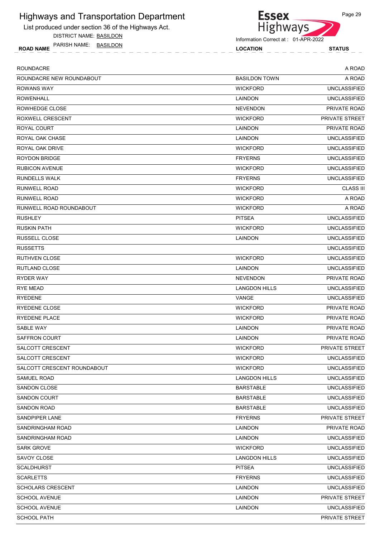List produced under section 36 of the Highways Act.

DISTRICT NAME: BASILDON

ROAD NAME LOCATION STATUS PARISH NAME: BASILDON

| <b>Essex</b>    | Page 29 |
|-----------------|---------|
| <b>Highways</b> |         |

| <b>ROUNDACRE</b>            |                      | A ROAD              |
|-----------------------------|----------------------|---------------------|
| ROUNDACRE NEW ROUNDABOUT    | <b>BASILDON TOWN</b> | A ROAD              |
| <b>ROWANS WAY</b>           | <b>WICKFORD</b>      | <b>UNCLASSIFIED</b> |
| <b>ROWENHALL</b>            | LAINDON              | <b>UNCLASSIFIED</b> |
| ROWHEDGE CLOSE              | <b>NEVENDON</b>      | PRIVATE ROAD        |
| ROXWELL CRESCENT            | <b>WICKFORD</b>      | PRIVATE STREET      |
| ROYAL COURT                 | LAINDON              | PRIVATE ROAD        |
| ROYAL OAK CHASE             | <b>LAINDON</b>       | <b>UNCLASSIFIED</b> |
| ROYAL OAK DRIVE             | <b>WICKFORD</b>      | <b>UNCLASSIFIED</b> |
| ROYDON BRIDGE               | <b>FRYERNS</b>       | <b>UNCLASSIFIED</b> |
| <b>RUBICON AVENUE</b>       | <b>WICKFORD</b>      | <b>UNCLASSIFIED</b> |
| RUNDELLS WALK               | <b>FRYERNS</b>       | <b>UNCLASSIFIED</b> |
| RUNWELL ROAD                | <b>WICKFORD</b>      | <b>CLASS III</b>    |
| <b>RUNWELL ROAD</b>         | <b>WICKFORD</b>      | A ROAD              |
| RUNWELL ROAD ROUNDABOUT     | <b>WICKFORD</b>      | A ROAD              |
| <b>RUSHLEY</b>              | <b>PITSEA</b>        | <b>UNCLASSIFIED</b> |
| <b>RUSKIN PATH</b>          | <b>WICKFORD</b>      | <b>UNCLASSIFIED</b> |
| RUSSELL CLOSE               | LAINDON              | <b>UNCLASSIFIED</b> |
| <b>RUSSETTS</b>             |                      | <b>UNCLASSIFIED</b> |
| RUTHVEN CLOSE               | <b>WICKFORD</b>      | <b>UNCLASSIFIED</b> |
| RUTLAND CLOSE               | LAINDON              | <b>UNCLASSIFIED</b> |
| <b>RYDER WAY</b>            | <b>NEVENDON</b>      | PRIVATE ROAD        |
| <b>RYE MEAD</b>             | <b>LANGDON HILLS</b> | <b>UNCLASSIFIED</b> |
| <b>RYEDENE</b>              | VANGE                | <b>UNCLASSIFIED</b> |
| RYEDENE CLOSE               | <b>WICKFORD</b>      | PRIVATE ROAD        |
| <b>RYEDENE PLACE</b>        | <b>WICKFORD</b>      | PRIVATE ROAD        |
| SABLE WAY                   | LAINDON              | PRIVATE ROAD        |
| <b>SAFFRON COURT</b>        | LAINDON              | PRIVATE ROAD        |
| SALCOTT CRESCENT            | <b>WICKFORD</b>      | PRIVATE STREET      |
| SALCOTT CRESCENT            | <b>WICKFORD</b>      | <b>UNCLASSIFIED</b> |
| SALCOTT CRESCENT ROUNDABOUT | <b>WICKFORD</b>      | <b>UNCLASSIFIED</b> |
| SAMUEL ROAD                 | <b>LANGDON HILLS</b> | <b>UNCLASSIFIED</b> |
| SANDON CLOSE                | <b>BARSTABLE</b>     | <b>UNCLASSIFIED</b> |
| <b>SANDON COURT</b>         | <b>BARSTABLE</b>     | <b>UNCLASSIFIED</b> |
| <b>SANDON ROAD</b>          | <b>BARSTABLE</b>     | <b>UNCLASSIFIED</b> |
| SANDPIPER LANE              | <b>FRYERNS</b>       | PRIVATE STREET      |
| <b>SANDRINGHAM ROAD</b>     | LAINDON              | PRIVATE ROAD        |
| SANDRINGHAM ROAD            | LAINDON              | <b>UNCLASSIFIED</b> |
| SARK GROVE                  | <b>WICKFORD</b>      | <b>UNCLASSIFIED</b> |
| SAVOY CLOSE                 | <b>LANGDON HILLS</b> | <b>UNCLASSIFIED</b> |
| <b>SCALDHURST</b>           | <b>PITSEA</b>        | <b>UNCLASSIFIED</b> |
| <b>SCARLETTS</b>            | <b>FRYERNS</b>       | <b>UNCLASSIFIED</b> |
| <b>SCHOLARS CRESCENT</b>    | LAINDON              | <b>UNCLASSIFIED</b> |
| <b>SCHOOL AVENUE</b>        | LAINDON              | PRIVATE STREET      |
| SCHOOL AVENUE               | LAINDON              | <b>UNCLASSIFIED</b> |
| <b>SCHOOL PATH</b>          |                      | PRIVATE STREET      |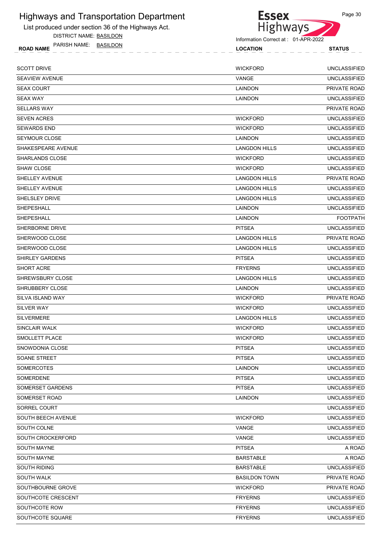List produced under section 36 of the Highways Act.

DISTRICT NAME: BASILDON



Page 30

| PARISH NAME:<br>BASILDON<br><b>ROAD NAME</b> | <b>LOCATION</b> | <b>STATUS</b>       |
|----------------------------------------------|-----------------|---------------------|
| SCOTT DRIVE                                  | <b>WICKFORD</b> | <b>UNCLASSIFIED</b> |
| SEAVIEW AVENUE                               | VANGE           | <b>UNCLASSIFIED</b> |
| -- - - - - - - - - -                         | .               | _______             |

| <b>06716161106</b>     | 11111                | 000000000000        |
|------------------------|----------------------|---------------------|
| <b>SEAX COURT</b>      | LAINDON              | PRIVATE ROAD        |
| <b>SEAX WAY</b>        | LAINDON              | <b>UNCLASSIFIED</b> |
| <b>SELLARS WAY</b>     |                      | PRIVATE ROAD        |
| <b>SEVEN ACRES</b>     | <b>WICKFORD</b>      | <b>UNCLASSIFIED</b> |
| <b>SEWARDS END</b>     | <b>WICKFORD</b>      | <b>UNCLASSIFIED</b> |
| <b>SEYMOUR CLOSE</b>   | LAINDON              | <b>UNCLASSIFIED</b> |
| SHAKESPEARE AVENUE     | <b>LANGDON HILLS</b> | <b>UNCLASSIFIED</b> |
| SHARLANDS CLOSE        | <b>WICKFORD</b>      | <b>UNCLASSIFIED</b> |
| SHAW CLOSE             | <b>WICKFORD</b>      | <b>UNCLASSIFIED</b> |
| SHELLEY AVENUE         | <b>LANGDON HILLS</b> | PRIVATE ROAD        |
| SHELLEY AVENUE         | <b>LANGDON HILLS</b> | <b>UNCLASSIFIED</b> |
| <b>SHELSLEY DRIVE</b>  | <b>LANGDON HILLS</b> | <b>UNCLASSIFIED</b> |
| SHEPESHALL             | LAINDON              | <b>UNCLASSIFIED</b> |
| <b>SHEPESHALL</b>      | LAINDON              | <b>FOOTPATH</b>     |
| SHERBORNE DRIVE        | <b>PITSEA</b>        | <b>UNCLASSIFIED</b> |
| SHERWOOD CLOSE         | <b>LANGDON HILLS</b> | PRIVATE ROAD        |
| SHERWOOD CLOSE         | <b>LANGDON HILLS</b> | <b>UNCLASSIFIED</b> |
| <b>SHIRLEY GARDENS</b> | <b>PITSEA</b>        | <b>UNCLASSIFIED</b> |
| <b>SHORT ACRE</b>      | <b>FRYERNS</b>       | <b>UNCLASSIFIED</b> |
| SHREWSBURY CLOSE       | LANGDON HILLS        | <b>UNCLASSIFIED</b> |
| SHRUBBERY CLOSE        | LAINDON              | <b>UNCLASSIFIED</b> |
| SILVA ISLAND WAY       | WICKFORD             | PRIVATE ROAD        |
| SILVER WAY             | <b>WICKFORD</b>      | <b>UNCLASSIFIED</b> |
| <b>SILVERMERE</b>      | <b>LANGDON HILLS</b> | <b>UNCLASSIFIED</b> |
| SINCLAIR WALK          | <b>WICKFORD</b>      | <b>UNCLASSIFIED</b> |
| SMOLLETT PLACE         | <b>WICKFORD</b>      | <b>UNCLASSIFIED</b> |
| SNOWDONIA CLOSE        | PITSEA               | <b>UNCLASSIFIED</b> |
| SOANE STREET           | <b>PITSEA</b>        | <b>UNCLASSIFIED</b> |
| <b>SOMERCOTES</b>      | <b>LAINDON</b>       | <b>UNCLASSIFIED</b> |
| <b>SOMERDENE</b>       | <b>PITSEA</b>        | <b>UNCLASSIFIED</b> |
| SOMERSET GARDENS       | <b>PITSEA</b>        | UNCLASSIFIED        |
| SOMERSET ROAD          | LAINDON              | <b>UNCLASSIFIED</b> |
| SORREL COURT           |                      | <b>UNCLASSIFIED</b> |
| SOUTH BEECH AVENUE     | <b>WICKFORD</b>      | <b>UNCLASSIFIED</b> |
| SOUTH COLNE            | VANGE                | <b>UNCLASSIFIED</b> |
| SOUTH CROCKERFORD      | VANGE                | UNCLASSIFIED        |
| SOUTH MAYNE            | PITSEA               | A ROAD              |
| SOUTH MAYNE            | <b>BARSTABLE</b>     | A ROAD              |
| SOUTH RIDING           | <b>BARSTABLE</b>     | <b>UNCLASSIFIED</b> |
| <b>SOUTH WALK</b>      | <b>BASILDON TOWN</b> | PRIVATE ROAD        |
| SOUTHBOURNE GROVE      | <b>WICKFORD</b>      | PRIVATE ROAD        |
| SOUTHCOTE CRESCENT     | <b>FRYERNS</b>       | <b>UNCLASSIFIED</b> |
| SOUTHCOTE ROW          | <b>FRYERNS</b>       | <b>UNCLASSIFIED</b> |
| SOUTHCOTE SQUARE       | <b>FRYERNS</b>       | <b>UNCLASSIFIED</b> |
|                        |                      |                     |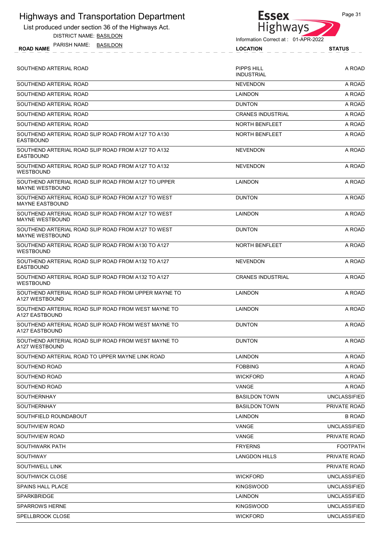List produced under section 36 of the Highways Act.

DISTRICT NAME: BASILDON

ROAD NAME LOCATION STATUS PARISH NAME: BASILDON



Page 31

Information Correct at : 01-APR-2022

| SOUTHEND ARTERIAL ROAD                                                        | PIPPS HILL<br><b>INDUSTRIAL</b> | A ROAD              |
|-------------------------------------------------------------------------------|---------------------------------|---------------------|
| SOUTHEND ARTERIAL ROAD                                                        | <b>NEVENDON</b>                 | A ROAD              |
| SOUTHEND ARTERIAL ROAD                                                        | <b>LAINDON</b>                  | A ROAD              |
| SOUTHEND ARTERIAL ROAD                                                        | <b>DUNTON</b>                   | A ROAD              |
| SOUTHEND ARTERIAL ROAD                                                        | <b>CRANES INDUSTRIAL</b>        | A ROAD              |
| SOUTHEND ARTERIAL ROAD                                                        | <b>NORTH BENFLEET</b>           | A ROAD              |
| SOUTHEND ARTERIAL ROAD SLIP ROAD FROM A127 TO A130<br><b>EASTBOUND</b>        | NORTH BENFLEET                  | A ROAD              |
| SOUTHEND ARTERIAL ROAD SLIP ROAD FROM A127 TO A132<br><b>EASTBOUND</b>        | <b>NEVENDON</b>                 | A ROAD              |
| SOUTHEND ARTERIAL ROAD SLIP ROAD FROM A127 TO A132<br><b>WESTBOUND</b>        | NEVENDON                        | A ROAD              |
| SOUTHEND ARTERIAL ROAD SLIP ROAD FROM A127 TO UPPER<br><b>MAYNE WESTBOUND</b> | <b>LAINDON</b>                  | A ROAD              |
| SOUTHEND ARTERIAL ROAD SLIP ROAD FROM A127 TO WEST<br><b>MAYNE EASTBOUND</b>  | <b>DUNTON</b>                   | A ROAD              |
| SOUTHEND ARTERIAL ROAD SLIP ROAD FROM A127 TO WEST<br><b>MAYNE WESTBOUND</b>  | <b>LAINDON</b>                  | A ROAD              |
| SOUTHEND ARTERIAL ROAD SLIP ROAD FROM A127 TO WEST<br><b>MAYNE WESTBOUND</b>  | <b>DUNTON</b>                   | A ROAD              |
| SOUTHEND ARTERIAL ROAD SLIP ROAD FROM A130 TO A127<br><b>WESTBOUND</b>        | NORTH BENFLEET                  | A ROAD              |
| SOUTHEND ARTERIAL ROAD SLIP ROAD FROM A132 TO A127<br><b>EASTBOUND</b>        | <b>NEVENDON</b>                 | A ROAD              |
| SOUTHEND ARTERIAL ROAD SLIP ROAD FROM A132 TO A127<br>WESTBOUND               | <b>CRANES INDUSTRIAL</b>        | A ROAD              |
| SOUTHEND ARTERIAL ROAD SLIP ROAD FROM UPPER MAYNE TO<br>A127 WESTBOUND        | LAINDON                         | A ROAD              |
| SOUTHEND ARTERIAL ROAD SLIP ROAD FROM WEST MAYNE TO<br>A127 EASTBOUND         | <b>LAINDON</b>                  | A ROAD              |
| SOUTHEND ARTERIAL ROAD SLIP ROAD FROM WEST MAYNE TO<br>A127 EASTBOUND         | <b>DUNTON</b>                   | A ROAD              |
| SOUTHEND ARTERIAL ROAD SLIP ROAD FROM WEST MAYNE TO<br>A127 WESTBOUND         | <b>DUNTON</b>                   | A ROAD              |
| SOUTHEND ARTERIAL ROAD TO UPPER MAYNE LINK ROAD                               | LAINDON                         | A ROAD              |
| SOUTHEND ROAD                                                                 | <b>FOBBING</b>                  | A ROAD              |
| SOUTHEND ROAD                                                                 | <b>WICKFORD</b>                 | A ROAD              |
| SOUTHEND ROAD                                                                 | VANGE                           | A ROAD              |
| <b>SOUTHERNHAY</b>                                                            | <b>BASILDON TOWN</b>            | <b>UNCLASSIFIED</b> |
| <b>SOUTHERNHAY</b>                                                            | <b>BASILDON TOWN</b>            | PRIVATE ROAD        |
| SOUTHFIELD ROUNDABOUT                                                         | <b>LAINDON</b>                  | <b>B ROAD</b>       |
| SOUTHVIEW ROAD                                                                | VANGE                           | UNCLASSIFIED        |
| SOUTHVIEW ROAD                                                                | VANGE                           | PRIVATE ROAD        |
| SOUTHWARK PATH                                                                | <b>FRYERNS</b>                  | <b>FOOTPATH</b>     |
| SOUTHWAY                                                                      | <b>LANGDON HILLS</b>            | PRIVATE ROAD        |
| SOUTHWELL LINK                                                                |                                 | PRIVATE ROAD        |
| SOUTHWICK CLOSE                                                               | <b>WICKFORD</b>                 | <b>UNCLASSIFIED</b> |
| <b>SPAINS HALL PLACE</b>                                                      | KINGSWOOD                       | <b>UNCLASSIFIED</b> |
| <b>SPARKBRIDGE</b>                                                            | LAINDON                         | <b>UNCLASSIFIED</b> |
| <b>SPARROWS HERNE</b>                                                         | <b>KINGSWOOD</b>                | <b>UNCLASSIFIED</b> |

SPELLBROOK CLOSE UNCLASSIFIED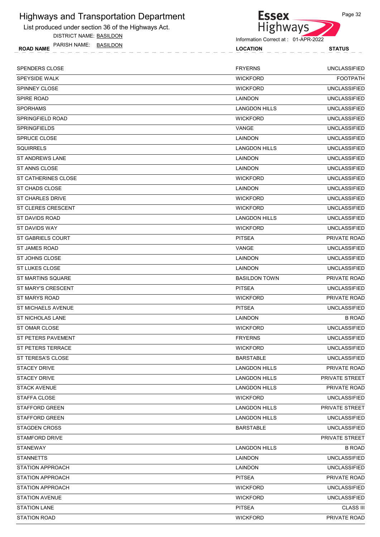List produced under section 36 of the Highways Act.

DISTRICT NAME: BASILDON



| <br><b>ROAD</b> | ◡<br>Ήľ | NVIE | <b>BASI</b> | ∟∩ר |  | ּ ∿רוד |  |  |  |  |  |  |  |  |  | __ |  |  |  |  |  |  |  |  |  |  |  |  |  |  |  |  |  |  |
|-----------------|---------|------|-------------|-----|--|--------|--|--|--|--|--|--|--|--|--|----|--|--|--|--|--|--|--|--|--|--|--|--|--|--|--|--|--|--|
|                 |         |      |             |     |  |        |  |  |  |  |  |  |  |  |  |    |  |  |  |  |  |  |  |  |  |  |  |  |  |  |  |  |  |  |

| <b>STATION ROAD</b>       | <b>WICKFORD</b>      | PRIVATE ROAD        |
|---------------------------|----------------------|---------------------|
| <b>STATION LANE</b>       | <b>PITSEA</b>        | <b>CLASS III</b>    |
| <b>STATION AVENUE</b>     | <b>WICKFORD</b>      | <b>UNCLASSIFIED</b> |
| <b>STATION APPROACH</b>   | <b>WICKFORD</b>      | <b>UNCLASSIFIED</b> |
| <b>STATION APPROACH</b>   | <b>PITSEA</b>        | PRIVATE ROAD        |
| <b>STATION APPROACH</b>   | LAINDON              | <b>UNCLASSIFIED</b> |
| <b>STANNETTS</b>          | LAINDON              | <b>UNCLASSIFIED</b> |
| STANEWAY                  | <b>LANGDON HILLS</b> | <b>B ROAD</b>       |
| <b>STAMFORD DRIVE</b>     |                      | PRIVATE STREET      |
| <b>STAGDEN CROSS</b>      | <b>BARSTABLE</b>     | <b>UNCLASSIFIED</b> |
| <b>STAFFORD GREEN</b>     | <b>LANGDON HILLS</b> | <b>UNCLASSIFIED</b> |
| <b>STAFFORD GREEN</b>     | <b>LANGDON HILLS</b> | PRIVATE STREET      |
| STAFFA CLOSE              | <b>WICKFORD</b>      | <b>UNCLASSIFIED</b> |
| <b>STACK AVENUE</b>       | <b>LANGDON HILLS</b> | PRIVATE ROAD        |
| <b>STACEY DRIVE</b>       | <b>LANGDON HILLS</b> | PRIVATE STREET      |
| <b>STACEY DRIVE</b>       | <b>LANGDON HILLS</b> | PRIVATE ROAD        |
| ST TERESA'S CLOSE         | <b>BARSTABLE</b>     | <b>UNCLASSIFIED</b> |
| ST PETERS TERRACE         | <b>WICKFORD</b>      | <b>UNCLASSIFIED</b> |
| <b>ST PETERS PAVEMENT</b> | <b>FRYERNS</b>       | <b>UNCLASSIFIED</b> |
| ST OMAR CLOSE             | <b>WICKFORD</b>      | <b>UNCLASSIFIED</b> |
| <b>ST NICHOLAS LANE</b>   | LAINDON              | <b>B ROAD</b>       |
| <b>ST MICHAELS AVENUE</b> | <b>PITSEA</b>        | <b>UNCLASSIFIED</b> |
| <b>ST MARYS ROAD</b>      | <b>WICKFORD</b>      | PRIVATE ROAD        |
| ST MARY'S CRESCENT        | <b>PITSEA</b>        | <b>UNCLASSIFIED</b> |
| ST MARTINS SQUARE         | <b>BASILDON TOWN</b> | PRIVATE ROAD        |
| ST LUKES CLOSE            | LAINDON              | <b>UNCLASSIFIED</b> |
| ST JOHNS CLOSE            | LAINDON              | <b>UNCLASSIFIED</b> |
| <b>ST JAMES ROAD</b>      | VANGE                | <b>UNCLASSIFIED</b> |
| ST GABRIELS COURT         | <b>PITSEA</b>        | PRIVATE ROAD        |
| ST DAVIDS WAY             | <b>WICKFORD</b>      | <b>UNCLASSIFIED</b> |
| ST DAVIDS ROAD            | <b>LANGDON HILLS</b> | <b>UNCLASSIFIED</b> |
| ST CLERES CRESCENT        | <b>WICKFORD</b>      | <b>UNCLASSIFIED</b> |
| <b>ST CHARLES DRIVE</b>   | <b>WICKFORD</b>      | <b>UNCLASSIFIED</b> |
| ST CHADS CLOSE            | LAINDON              | <b>UNCLASSIFIED</b> |
| ST CATHERINES CLOSE       | <b>WICKFORD</b>      | <b>UNCLASSIFIED</b> |
| ST ANNS CLOSE             | LAINDON              | <b>UNCLASSIFIED</b> |
| ST ANDREWS LANE           | LAINDON              | <b>UNCLASSIFIED</b> |
| <b>SQUIRRELS</b>          | <b>LANGDON HILLS</b> | <b>UNCLASSIFIED</b> |
| SPRUCE CLOSE              | LAINDON              | <b>UNCLASSIFIED</b> |
| <b>SPRINGFIELDS</b>       | VANGE                | <b>UNCLASSIFIED</b> |
| SPRINGFIELD ROAD          | <b>WICKFORD</b>      | <b>UNCLASSIFIED</b> |
| <b>SPORHAMS</b>           | <b>LANGDON HILLS</b> | <b>UNCLASSIFIED</b> |
| <b>SPIRE ROAD</b>         | LAINDON              | <b>UNCLASSIFIED</b> |
| <b>SPINNEY CLOSE</b>      | <b>WICKFORD</b>      | <b>UNCLASSIFIED</b> |
| <b>SPEYSIDE WALK</b>      | <b>WICKFORD</b>      | <b>FOOTPATH</b>     |
| SPENDERS CLOSE            | <b>FRYERNS</b>       | <b>UNCLASSIFIED</b> |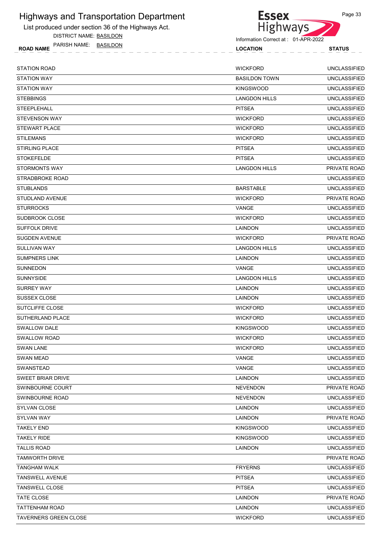List produced under section 36 of the Highways Act.

DISTRICT NAME: BASILDON



| <br><b>ROAD</b> | ◡<br>Ήľ | NVIE | <b>BASI</b> | ∟∩ר |  | ּ ∿רוד |  |  |  |  |  |  |  |  |  | __ |  |  |  |  |  |  |  |  |  |  |  |  |  |  |  |  |  |  |
|-----------------|---------|------|-------------|-----|--|--------|--|--|--|--|--|--|--|--|--|----|--|--|--|--|--|--|--|--|--|--|--|--|--|--|--|--|--|--|
|                 |         |      |             |     |  |        |  |  |  |  |  |  |  |  |  |    |  |  |  |  |  |  |  |  |  |  |  |  |  |  |  |  |  |  |

| <b>STATION ROAD</b>          | <b>WICKFORD</b>      | <b>UNCLASSIFIED</b> |
|------------------------------|----------------------|---------------------|
| <b>STATION WAY</b>           | <b>BASILDON TOWN</b> | <b>UNCLASSIFIED</b> |
| <b>STATION WAY</b>           | <b>KINGSWOOD</b>     | <b>UNCLASSIFIED</b> |
| <b>STEBBINGS</b>             | <b>LANGDON HILLS</b> | <b>UNCLASSIFIED</b> |
| STEEPLEHALL                  | <b>PITSEA</b>        | <b>UNCLASSIFIED</b> |
| <b>STEVENSON WAY</b>         | <b>WICKFORD</b>      | <b>UNCLASSIFIED</b> |
| <b>STEWART PLACE</b>         | <b>WICKFORD</b>      | <b>UNCLASSIFIED</b> |
| <b>STILEMANS</b>             | <b>WICKFORD</b>      | <b>UNCLASSIFIED</b> |
| <b>STIRLING PLACE</b>        | <b>PITSEA</b>        | <b>UNCLASSIFIED</b> |
| <b>STOKEFELDE</b>            | <b>PITSEA</b>        | <b>UNCLASSIFIED</b> |
| <b>STORMONTS WAY</b>         | <b>LANGDON HILLS</b> | PRIVATE ROAD        |
| STRADBROKE ROAD              |                      | <b>UNCLASSIFIED</b> |
| <b>STUBLANDS</b>             | <b>BARSTABLE</b>     | <b>UNCLASSIFIED</b> |
| STUDLAND AVENUE              | <b>WICKFORD</b>      | PRIVATE ROAD        |
| <b>STURROCKS</b>             | VANGE                | <b>UNCLASSIFIED</b> |
| SUDBROOK CLOSE               | <b>WICKFORD</b>      | <b>UNCLASSIFIED</b> |
| <b>SUFFOLK DRIVE</b>         | LAINDON              | <b>UNCLASSIFIED</b> |
| SUGDEN AVENUE                | <b>WICKFORD</b>      | PRIVATE ROAD        |
| SULLIVAN WAY                 | <b>LANGDON HILLS</b> | <b>UNCLASSIFIED</b> |
| <b>SUMPNERS LINK</b>         | LAINDON              | <b>UNCLASSIFIED</b> |
| <b>SUNNEDON</b>              | VANGE                | <b>UNCLASSIFIED</b> |
| <b>SUNNYSIDE</b>             | <b>LANGDON HILLS</b> | <b>UNCLASSIFIED</b> |
| SURREY WAY                   | LAINDON              | <b>UNCLASSIFIED</b> |
| SUSSEX CLOSE                 | LAINDON              | <b>UNCLASSIFIED</b> |
| SUTCLIFFE CLOSE              | <b>WICKFORD</b>      | <b>UNCLASSIFIED</b> |
| SUTHERLAND PLACE             | <b>WICKFORD</b>      | <b>UNCLASSIFIED</b> |
| <b>SWALLOW DALE</b>          | <b>KINGSWOOD</b>     | <b>UNCLASSIFIED</b> |
| SWALLOW ROAD                 | <b>WICKFORD</b>      | <b>UNCLASSIFIED</b> |
| <b>SWAN LANE</b>             | <b>WICKFORD</b>      | <b>UNCLASSIFIED</b> |
| <b>SWAN MEAD</b>             | VANGE                | <b>UNCLASSIFIED</b> |
| SWANSTEAD                    | VANGE                | <b>UNCLASSIFIED</b> |
| <b>SWEET BRIAR DRIVE</b>     | <b>LAINDON</b>       | <b>UNCLASSIFIED</b> |
| SWINBOURNE COURT             | <b>NEVENDON</b>      | PRIVATE ROAD        |
| SWINBOURNE ROAD              | <b>NEVENDON</b>      | <b>UNCLASSIFIED</b> |
| SYLVAN CLOSE                 | LAINDON              | <b>UNCLASSIFIED</b> |
| SYLVAN WAY                   | <b>LAINDON</b>       | PRIVATE ROAD        |
| <b>TAKELY END</b>            | <b>KINGSWOOD</b>     | <b>UNCLASSIFIED</b> |
| <b>TAKELY RIDE</b>           | <b>KINGSWOOD</b>     | <b>UNCLASSIFIED</b> |
| <b>TALLIS ROAD</b>           | LAINDON              | <b>UNCLASSIFIED</b> |
| <b>TAMWORTH DRIVE</b>        |                      | PRIVATE ROAD        |
| <b>TANGHAM WALK</b>          | <b>FRYERNS</b>       | <b>UNCLASSIFIED</b> |
| TANSWELL AVENUE              | <b>PITSEA</b>        | <b>UNCLASSIFIED</b> |
| <b>TANSWELL CLOSE</b>        | <b>PITSEA</b>        | <b>UNCLASSIFIED</b> |
| TATE CLOSE                   | <b>LAINDON</b>       | PRIVATE ROAD        |
| <b>TATTENHAM ROAD</b>        | LAINDON              | <b>UNCLASSIFIED</b> |
| <b>TAVERNERS GREEN CLOSE</b> | <b>WICKFORD</b>      | <b>UNCLASSIFIED</b> |
|                              |                      |                     |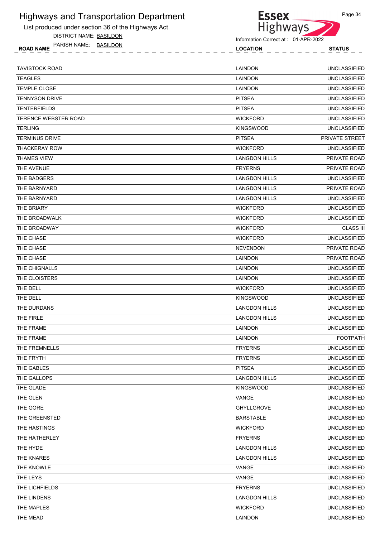List produced under section 36 of the Highways Act.

DISTRICT NAME: BASILDON



Information Correct at : 01-APR-2022

ROAD NAME LOCATION STATUS PARISH NAME: BASILDON

| <b>TAVISTOCK ROAD</b>       | <b>LAINDON</b>       | <b>UNCLASSIFIED</b> |
|-----------------------------|----------------------|---------------------|
| <b>TEAGLES</b>              | <b>LAINDON</b>       | <b>UNCLASSIFIED</b> |
| <b>TEMPLE CLOSE</b>         | <b>LAINDON</b>       | <b>UNCLASSIFIED</b> |
| <b>TENNYSON DRIVE</b>       | <b>PITSEA</b>        | <b>UNCLASSIFIED</b> |
| <b>TENTERFIELDS</b>         | <b>PITSEA</b>        | <b>UNCLASSIFIED</b> |
| <b>TERENCE WEBSTER ROAD</b> | <b>WICKFORD</b>      | <b>UNCLASSIFIED</b> |
| <b>TERLING</b>              | <b>KINGSWOOD</b>     | <b>UNCLASSIFIED</b> |
| <b>TERMINUS DRIVE</b>       | <b>PITSEA</b>        | PRIVATE STREET      |
| <b>THACKERAY ROW</b>        | <b>WICKFORD</b>      | <b>UNCLASSIFIED</b> |
| <b>THAMES VIEW</b>          | <b>LANGDON HILLS</b> | PRIVATE ROAD        |
| THE AVENUE                  | <b>FRYERNS</b>       | <b>PRIVATE ROAD</b> |
| THE BADGERS                 | <b>LANGDON HILLS</b> | <b>UNCLASSIFIED</b> |
| THE BARNYARD                | <b>LANGDON HILLS</b> | PRIVATE ROAD        |
| THE BARNYARD                | <b>LANGDON HILLS</b> | <b>UNCLASSIFIED</b> |
| THE BRIARY                  | <b>WICKFORD</b>      | <b>UNCLASSIFIED</b> |
| THE BROADWALK               | <b>WICKFORD</b>      | <b>UNCLASSIFIED</b> |
| THE BROADWAY                | <b>WICKFORD</b>      | <b>CLASS III</b>    |
| THE CHASE                   | <b>WICKFORD</b>      | <b>UNCLASSIFIED</b> |
| THE CHASE                   | <b>NEVENDON</b>      | PRIVATE ROAD        |
| THE CHASE                   | LAINDON              | PRIVATE ROAD        |
| THE CHIGNALLS               | LAINDON              | <b>UNCLASSIFIED</b> |
| THE CLOISTERS               | LAINDON              | <b>UNCLASSIFIED</b> |
| THE DELL                    | <b>WICKFORD</b>      | <b>UNCLASSIFIED</b> |
| THE DELL                    | <b>KINGSWOOD</b>     | <b>UNCLASSIFIED</b> |
| THE DURDANS                 | <b>LANGDON HILLS</b> | <b>UNCLASSIFIED</b> |
| THE FIRLE                   | <b>LANGDON HILLS</b> | <b>UNCLASSIFIED</b> |
| THE FRAME                   | LAINDON              | <b>UNCLASSIFIED</b> |
| THE FRAME                   | LAINDON              | <b>FOOTPATH</b>     |
| THE FREMNELLS               | <b>FRYERNS</b>       | <b>UNCLASSIFIED</b> |
| THE FRYTH                   | <b>FRYERNS</b>       | <b>UNCLASSIFIED</b> |
| THE GABLES                  | <b>PITSEA</b>        | <b>UNCLASSIFIED</b> |
| THE GALLOPS                 | <b>LANGDON HILLS</b> | <b>UNCLASSIFIED</b> |
| THE GLADE                   | <b>KINGSWOOD</b>     | <b>UNCLASSIFIED</b> |
| THE GLEN                    | VANGE                | <b>UNCLASSIFIED</b> |
| THE GORE                    | <b>GHYLLGROVE</b>    | <b>UNCLASSIFIED</b> |
| THE GREENSTED               | <b>BARSTABLE</b>     | <b>UNCLASSIFIED</b> |
| THE HASTINGS                | <b>WICKFORD</b>      | <b>UNCLASSIFIED</b> |
| THE HATHERLEY               | <b>FRYERNS</b>       | <b>UNCLASSIFIED</b> |
| THE HYDE                    | <b>LANGDON HILLS</b> | <b>UNCLASSIFIED</b> |
| THE KNARES                  | <b>LANGDON HILLS</b> | <b>UNCLASSIFIED</b> |
| THE KNOWLE                  | VANGE                | <b>UNCLASSIFIED</b> |
| THE LEYS                    | VANGE                | <b>UNCLASSIFIED</b> |
| THE LICHFIELDS              | <b>FRYERNS</b>       | <b>UNCLASSIFIED</b> |
| THE LINDENS                 | <b>LANGDON HILLS</b> | <b>UNCLASSIFIED</b> |
| THE MAPLES                  | <b>WICKFORD</b>      | <b>UNCLASSIFIED</b> |
| THE MEAD                    | <b>LAINDON</b>       | <b>UNCLASSIFIED</b> |
|                             |                      |                     |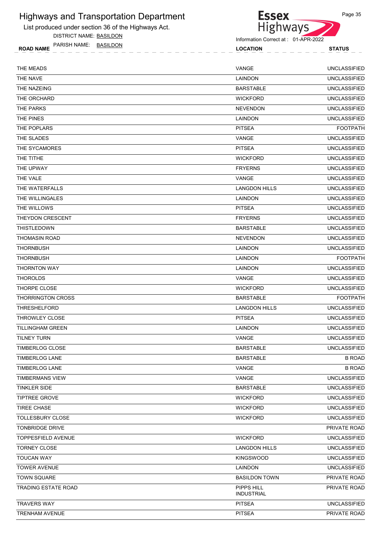List produced under section 36 of the Highways Act.

DISTRICT NAME: BASILDON

**Essex** Highways

Page 35

| <b>ROAD NAME</b> | PARISH NAME:            | BASILDON | LOCATION                            | <b>STATUS</b> |
|------------------|-------------------------|----------|-------------------------------------|---------------|
|                  | DISTRICT NAME: BASILDON |          | Information Correct at: 01-APR-2022 |               |

| THE MEADS                | <b>VANGE</b>                    | <b>UNCLASSIFIED</b> |
|--------------------------|---------------------------------|---------------------|
| THE NAVE                 | <b>LAINDON</b>                  | <b>UNCLASSIFIED</b> |
| THE NAZEING              | <b>BARSTABLE</b>                | <b>UNCLASSIFIED</b> |
| THE ORCHARD              | <b>WICKFORD</b>                 | <b>UNCLASSIFIED</b> |
| THE PARKS                | <b>NEVENDON</b>                 | <b>UNCLASSIFIED</b> |
| THE PINES                | <b>LAINDON</b>                  | <b>UNCLASSIFIED</b> |
| THE POPLARS              | <b>PITSEA</b>                   | <b>FOOTPATH</b>     |
| THE SLADES               | <b>VANGE</b>                    | <b>UNCLASSIFIED</b> |
| THE SYCAMORES            | <b>PITSEA</b>                   | <b>UNCLASSIFIED</b> |
| THE TITHE                | <b>WICKFORD</b>                 | <b>UNCLASSIFIED</b> |
| THE UPWAY                | <b>FRYERNS</b>                  | <b>UNCLASSIFIED</b> |
| THE VALE                 | <b>VANGE</b>                    | <b>UNCLASSIFIED</b> |
| THE WATERFALLS           | <b>LANGDON HILLS</b>            | <b>UNCLASSIFIED</b> |
| THE WILLINGALES          | LAINDON                         | <b>UNCLASSIFIED</b> |
| THE WILLOWS              | <b>PITSEA</b>                   | <b>UNCLASSIFIED</b> |
| THEYDON CRESCENT         | <b>FRYERNS</b>                  | <b>UNCLASSIFIED</b> |
| <b>THISTLEDOWN</b>       | <b>BARSTABLE</b>                | <b>UNCLASSIFIED</b> |
| THOMASIN ROAD            | <b>NEVENDON</b>                 | <b>UNCLASSIFIED</b> |
| THORNBUSH                | LAINDON                         | <b>UNCLASSIFIED</b> |
| THORNBUSH                | LAINDON                         | <b>FOOTPATH</b>     |
| THORNTON WAY             | LAINDON                         | <b>UNCLASSIFIED</b> |
| THOROLDS                 | <b>VANGE</b>                    | <b>UNCLASSIFIED</b> |
| THORPE CLOSE             | <b>WICKFORD</b>                 | <b>UNCLASSIFIED</b> |
| <b>THORRINGTON CROSS</b> | <b>BARSTABLE</b>                | <b>FOOTPATH</b>     |
| THRESHELFORD             | <b>LANGDON HILLS</b>            | <b>UNCLASSIFIED</b> |
| THROWLEY CLOSE           | <b>PITSEA</b>                   | <b>UNCLASSIFIED</b> |
| <b>TILLINGHAM GREEN</b>  | <b>LAINDON</b>                  | <b>UNCLASSIFIED</b> |
| TILNEY TURN              | VANGE                           | <b>UNCLASSIFIED</b> |
| TIMBERLOG CLOSE          | <b>BARSTABLE</b>                | <b>UNCLASSIFIED</b> |
| TIMBERLOG LANE           | <b>BARSTABLE</b>                | <b>B ROAD</b>       |
| <b>TIMBERLOG LANE</b>    | VANGE                           | <b>B ROAD</b>       |
| TIMBERMANS VIEW          | VANGE                           | <b>UNCLASSIFIED</b> |
| TINKLER SIDE             | <b>BARSTABLE</b>                | <b>UNCLASSIFIED</b> |
| TIPTREE GROVE            | <b>WICKFORD</b>                 | <b>UNCLASSIFIED</b> |
| TIREE CHASE              | <b>WICKFORD</b>                 | <b>UNCLASSIFIED</b> |
| TOLLESBURY CLOSE         | <b>WICKFORD</b>                 | <b>UNCLASSIFIED</b> |
| TONBRIDGE DRIVE          |                                 | PRIVATE ROAD        |
| TOPPESFIELD AVENUE       | <b>WICKFORD</b>                 | <b>UNCLASSIFIED</b> |
| TORNEY CLOSE             | <b>LANGDON HILLS</b>            | <b>UNCLASSIFIED</b> |
| TOUCAN WAY               | <b>KINGSWOOD</b>                | <b>UNCLASSIFIED</b> |
| TOWER AVENUE             | LAINDON                         | <b>UNCLASSIFIED</b> |
| TOWN SQUARE              | <b>BASILDON TOWN</b>            | PRIVATE ROAD        |
| TRADING ESTATE ROAD      | PIPPS HILL<br><b>INDUSTRIAL</b> | PRIVATE ROAD        |
| <b>TRAVERS WAY</b>       | <b>PITSEA</b>                   | <b>UNCLASSIFIED</b> |

TRENHAM AVENUE PITSEA PRIVATE ROAD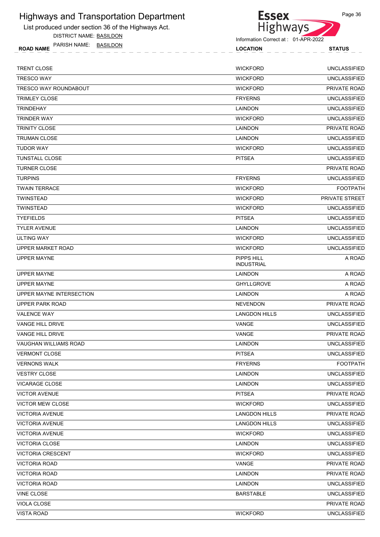List produced under section 36 of the Highways Act.

DISTRICT NAME: BASILDON



| <b>LOCATION</b> | <b>STATUS</b>       |
|-----------------|---------------------|
| <b>WICKFORD</b> | UNCLASSIFIED        |
| <b>WICKFORD</b> | <b>UNCLASSIFIED</b> |
| <b>WICKFORD</b> | PRIVATE ROAD        |
| <b>FRYERNS</b>  | UNCLASSIFIED        |
| <b>LAINDON</b>  | <b>UNCLASSIFIED</b> |
|                 |                     |

| TRESCO WAY ROUNDABOUT        | <b>WICKFORD</b>                 | PRIVATE ROAD        |
|------------------------------|---------------------------------|---------------------|
| TRIMLEY CLOSE                | <b>FRYERNS</b>                  | <b>UNCLASSIFIED</b> |
| <b>TRINDEHAY</b>             | LAINDON                         | <b>UNCLASSIFIED</b> |
| <b>TRINDER WAY</b>           | <b>WICKFORD</b>                 | <b>UNCLASSIFIED</b> |
| <b>TRINITY CLOSE</b>         | LAINDON                         | PRIVATE ROAD        |
| <b>TRUMAN CLOSE</b>          | LAINDON                         | <b>UNCLASSIFIED</b> |
| <b>TUDOR WAY</b>             | <b>WICKFORD</b>                 | <b>UNCLASSIFIED</b> |
| <b>TUNSTALL CLOSE</b>        | <b>PITSEA</b>                   | <b>UNCLASSIFIED</b> |
| <b>TURNER CLOSE</b>          |                                 | PRIVATE ROAD        |
| <b>TURPINS</b>               | <b>FRYERNS</b>                  | <b>UNCLASSIFIED</b> |
| <b>TWAIN TERRACE</b>         | <b>WICKFORD</b>                 | <b>FOOTPATH</b>     |
| <b>TWINSTEAD</b>             | <b>WICKFORD</b>                 | PRIVATE STREET      |
| <b>TWINSTEAD</b>             | <b>WICKFORD</b>                 | <b>UNCLASSIFIED</b> |
| <b>TYEFIELDS</b>             | <b>PITSEA</b>                   | <b>UNCLASSIFIED</b> |
| <b>TYLER AVENUE</b>          | <b>LAINDON</b>                  | <b>UNCLASSIFIED</b> |
| <b>ULTING WAY</b>            | <b>WICKFORD</b>                 | <b>UNCLASSIFIED</b> |
| <b>UPPER MARKET ROAD</b>     | <b>WICKFORD</b>                 | <b>UNCLASSIFIED</b> |
| <b>UPPER MAYNE</b>           | PIPPS HILL<br><b>INDUSTRIAL</b> | A ROAD              |
| <b>UPPER MAYNE</b>           | LAINDON                         | A ROAD              |
| <b>UPPER MAYNE</b>           | <b>GHYLLGROVE</b>               | A ROAD              |
| UPPER MAYNE INTERSECTION     | LAINDON                         | A ROAD              |
| UPPER PARK ROAD              | <b>NEVENDON</b>                 | PRIVATE ROAD        |
| <b>VALENCE WAY</b>           | <b>LANGDON HILLS</b>            | <b>UNCLASSIFIED</b> |
| <b>VANGE HILL DRIVE</b>      | VANGE                           | <b>UNCLASSIFIED</b> |
| VANGE HILL DRIVE             | VANGE                           | PRIVATE ROAD        |
| <b>VAUGHAN WILLIAMS ROAD</b> | LAINDON                         | <b>UNCLASSIFIED</b> |
| <b>VERMONT CLOSE</b>         | <b>PITSEA</b>                   | <b>UNCLASSIFIED</b> |
| <b>VERNONS WALK</b>          | <b>FRYERNS</b>                  | <b>FOOTPATH</b>     |
| <b>VESTRY CLOSE</b>          | LAINDON                         | <b>UNCLASSIFIED</b> |
| <b>VICARAGE CLOSE</b>        | LAINDON                         | UNCLASSIFIED        |
| <b>VICTOR AVENUE</b>         | <b>PITSEA</b>                   | PRIVATE ROAD        |
| <b>VICTOR MEW CLOSE</b>      | <b>WICKFORD</b>                 | <b>UNCLASSIFIED</b> |
| <b>VICTORIA AVENUE</b>       | <b>LANGDON HILLS</b>            | PRIVATE ROAD        |
| <b>VICTORIA AVENUE</b>       | <b>LANGDON HILLS</b>            | <b>UNCLASSIFIED</b> |
| VICTORIA AVENUE              | <b>WICKFORD</b>                 | <b>UNCLASSIFIED</b> |
| <b>VICTORIA CLOSE</b>        | LAINDON                         | <b>UNCLASSIFIED</b> |
| <b>VICTORIA CRESCENT</b>     | <b>WICKFORD</b>                 | <b>UNCLASSIFIED</b> |
| <b>VICTORIA ROAD</b>         | VANGE                           | PRIVATE ROAD        |
| <b>VICTORIA ROAD</b>         | <b>LAINDON</b>                  | PRIVATE ROAD        |
| <b>VICTORIA ROAD</b>         | <b>LAINDON</b>                  | <b>UNCLASSIFIED</b> |
| VINE CLOSE                   | <b>BARSTABLE</b>                | <b>UNCLASSIFIED</b> |
| VIOLA CLOSE                  |                                 | PRIVATE ROAD        |
| <b>VISTA ROAD</b>            | <b>WICKFORD</b>                 | <b>UNCLASSIFIED</b> |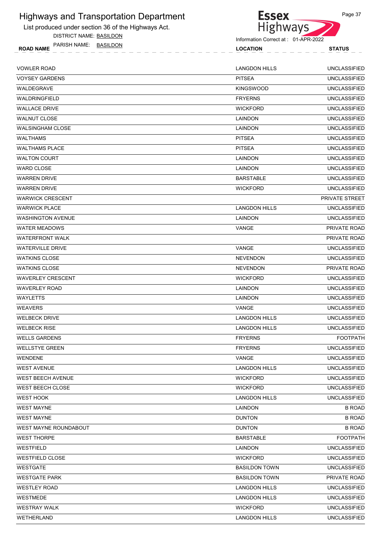List produced under section 36 of the Highways Act.

DISTRICT NAME: BASILDON



| PARISH NAME:<br>BASILDON<br><b>ROAD NAME</b> | <b>LOCATION</b>      | <b>STATUS</b>       |
|----------------------------------------------|----------------------|---------------------|
| VOWLER ROAD                                  | <b>LANGDON HILLS</b> | <b>UNCLASSIFIED</b> |
| VOYSEY GARDENS                               | <b>PITSEA</b>        | <b>UNCLASSIFIED</b> |
| WALDEGRAVE                                   | <b>KINGSWOOD</b>     | <b>UNCLASSIFIED</b> |

| <b>VOYSEY GARDENS</b>        | <b>PITSEA</b>        | <b>UNCLASSIFIED</b>   |
|------------------------------|----------------------|-----------------------|
| <b>WALDEGRAVE</b>            | <b>KINGSWOOD</b>     | <b>UNCLASSIFIED</b>   |
| WALDRINGFIELD                | <b>FRYERNS</b>       | <b>UNCLASSIFIED</b>   |
| <b>WALLACE DRIVE</b>         | <b>WICKFORD</b>      | <b>UNCLASSIFIED</b>   |
| <b>WALNUT CLOSE</b>          | LAINDON              | <b>UNCLASSIFIED</b>   |
| <b>WALSINGHAM CLOSE</b>      | LAINDON              | <b>UNCLASSIFIED</b>   |
| <b>WALTHAMS</b>              | <b>PITSEA</b>        | <b>UNCLASSIFIED</b>   |
| <b>WALTHAMS PLACE</b>        | <b>PITSEA</b>        | <b>UNCLASSIFIED</b>   |
| <b>WALTON COURT</b>          | LAINDON              | <b>UNCLASSIFIED</b>   |
| <b>WARD CLOSE</b>            | LAINDON              | <b>UNCLASSIFIED</b>   |
| <b>WARREN DRIVE</b>          | <b>BARSTABLE</b>     | <b>UNCLASSIFIED</b>   |
| <b>WARREN DRIVE</b>          | <b>WICKFORD</b>      | <b>UNCLASSIFIED</b>   |
| <b>WARWICK CRESCENT</b>      |                      | <b>PRIVATE STREET</b> |
| <b>WARWICK PLACE</b>         | <b>LANGDON HILLS</b> | <b>UNCLASSIFIED</b>   |
| <b>WASHINGTON AVENUE</b>     | <b>LAINDON</b>       | <b>UNCLASSIFIED</b>   |
| <b>WATER MEADOWS</b>         | VANGE                | PRIVATE ROAD          |
| <b>WATERFRONT WALK</b>       |                      | PRIVATE ROAD          |
| <b>WATERVILLE DRIVE</b>      | VANGE                | <b>UNCLASSIFIED</b>   |
| <b>WATKINS CLOSE</b>         | <b>NEVENDON</b>      | <b>UNCLASSIFIED</b>   |
| <b>WATKINS CLOSE</b>         | <b>NEVENDON</b>      | PRIVATE ROAD          |
| <b>WAVERLEY CRESCENT</b>     | <b>WICKFORD</b>      | <b>UNCLASSIFIED</b>   |
| <b>WAVERLEY ROAD</b>         | LAINDON              | <b>UNCLASSIFIED</b>   |
| <b>WAYLETTS</b>              | LAINDON              | <b>UNCLASSIFIED</b>   |
| <b>WEAVERS</b>               | VANGE                | <b>UNCLASSIFIED</b>   |
| <b>WELBECK DRIVE</b>         | <b>LANGDON HILLS</b> | <b>UNCLASSIFIED</b>   |
| <b>WELBECK RISE</b>          | <b>LANGDON HILLS</b> | <b>UNCLASSIFIED</b>   |
| <b>WELLS GARDENS</b>         | <b>FRYERNS</b>       | <b>FOOTPATH</b>       |
| <b>WELLSTYE GREEN</b>        | <b>FRYERNS</b>       | <b>UNCLASSIFIED</b>   |
| WENDENE                      | VANGE                | <b>UNCLASSIFIED</b>   |
| <b>WEST AVENUE</b>           | <b>LANGDON HILLS</b> | <b>UNCLASSIFIED</b>   |
| WEST BEECH AVENUE            | <b>WICKFORD</b>      | <b>UNCLASSIFIED</b>   |
| <b>WEST BEECH CLOSE</b>      | <b>WICKFORD</b>      | <b>UNCLASSIFIED</b>   |
| WEST HOOK                    | <b>LANGDON HILLS</b> | <b>UNCLASSIFIED</b>   |
| <b>WEST MAYNE</b>            | LAINDON              | <b>B ROAD</b>         |
| <b>WEST MAYNE</b>            | <b>DUNTON</b>        | <b>B ROAD</b>         |
| <b>WEST MAYNE ROUNDABOUT</b> | <b>DUNTON</b>        | <b>B ROAD</b>         |
| <b>WEST THORPE</b>           | <b>BARSTABLE</b>     | <b>FOOTPATH</b>       |
| WESTFIELD                    | LAINDON              | <b>UNCLASSIFIED</b>   |
| <b>WESTFIELD CLOSE</b>       | <b>WICKFORD</b>      | <b>UNCLASSIFIED</b>   |
| <b>WESTGATE</b>              | <b>BASILDON TOWN</b> | <b>UNCLASSIFIED</b>   |
| <b>WESTGATE PARK</b>         | <b>BASILDON TOWN</b> | PRIVATE ROAD          |
| <b>WESTLEY ROAD</b>          | <b>LANGDON HILLS</b> | <b>UNCLASSIFIED</b>   |
| WESTMEDE                     | <b>LANGDON HILLS</b> | <b>UNCLASSIFIED</b>   |
| <b>WESTRAY WALK</b>          | <b>WICKFORD</b>      | <b>UNCLASSIFIED</b>   |
| WETHERLAND                   | <b>LANGDON HILLS</b> | <b>UNCLASSIFIED</b>   |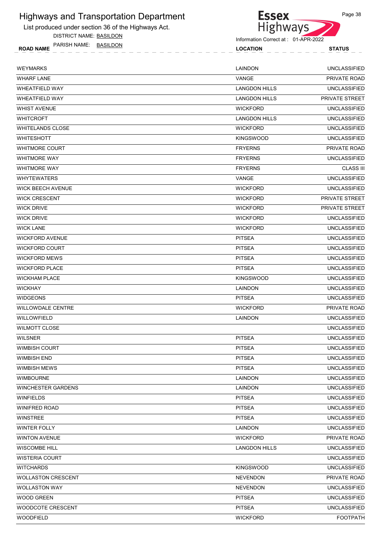List produced under section 36 of the Highways Act.

DISTRICT NAME: BASILDON



Page 38

| ROAD<br>nu L | . .<br>- د ۲۰ | ' IUN |  |
|--------------|---------------|-------|--|
|              |               |       |  |

| <b>WEYMARKS</b>           | <b>LAINDON</b>       | <b>UNCLASSIFIED</b>   |
|---------------------------|----------------------|-----------------------|
| <b>WHARF LANE</b>         | VANGE                | PRIVATE ROAD          |
| <b>WHEATFIELD WAY</b>     | <b>LANGDON HILLS</b> | <b>UNCLASSIFIED</b>   |
| <b>WHEATFIELD WAY</b>     | <b>LANGDON HILLS</b> | PRIVATE STREET        |
| <b>WHIST AVENUE</b>       | <b>WICKFORD</b>      | <b>UNCLASSIFIED</b>   |
| <b>WHITCROFT</b>          | <b>LANGDON HILLS</b> | <b>UNCLASSIFIED</b>   |
| <b>WHITELANDS CLOSE</b>   | <b>WICKFORD</b>      | <b>UNCLASSIFIED</b>   |
| <b>WHITESHOTT</b>         | <b>KINGSWOOD</b>     | <b>UNCLASSIFIED</b>   |
| <b>WHITMORE COURT</b>     | <b>FRYERNS</b>       | PRIVATE ROAD          |
| <b>WHITMORE WAY</b>       | <b>FRYERNS</b>       | <b>UNCLASSIFIED</b>   |
| <b>WHITMORE WAY</b>       | <b>FRYERNS</b>       | <b>CLASS III</b>      |
| <b>WHYTEWATERS</b>        | <b>VANGE</b>         | <b>UNCLASSIFIED</b>   |
| <b>WICK BEECH AVENUE</b>  | <b>WICKFORD</b>      | <b>UNCLASSIFIED</b>   |
| <b>WICK CRESCENT</b>      | <b>WICKFORD</b>      | PRIVATE STREET        |
| <b>WICK DRIVE</b>         | <b>WICKFORD</b>      | <b>PRIVATE STREET</b> |
| <b>WICK DRIVE</b>         | <b>WICKFORD</b>      | <b>UNCLASSIFIED</b>   |
| <b>WICK LANE</b>          | <b>WICKFORD</b>      | <b>UNCLASSIFIED</b>   |
| <b>WICKFORD AVENUE</b>    | <b>PITSEA</b>        | <b>UNCLASSIFIED</b>   |
| <b>WICKFORD COURT</b>     | <b>PITSEA</b>        | <b>UNCLASSIFIED</b>   |
| <b>WICKFORD MEWS</b>      | <b>PITSEA</b>        | <b>UNCLASSIFIED</b>   |
| <b>WICKFORD PLACE</b>     | <b>PITSEA</b>        | <b>UNCLASSIFIED</b>   |
| <b>WICKHAM PLACE</b>      | <b>KINGSWOOD</b>     | <b>UNCLASSIFIED</b>   |
| <b>WICKHAY</b>            | LAINDON              | <b>UNCLASSIFIED</b>   |
| <b>WIDGEONS</b>           | <b>PITSEA</b>        | <b>UNCLASSIFIED</b>   |
| <b>WILLOWDALE CENTRE</b>  | <b>WICKFORD</b>      | PRIVATE ROAD          |
| WILLOWFIELD               | LAINDON              | <b>UNCLASSIFIED</b>   |
| <b>WILMOTT CLOSE</b>      |                      | <b>UNCLASSIFIED</b>   |
| <b>WILSNER</b>            | <b>PITSEA</b>        | <b>UNCLASSIFIED</b>   |
| <b>WIMBISH COURT</b>      | <b>PITSEA</b>        | <b>UNCLASSIFIED</b>   |
| <b>WIMBISH END</b>        | <b>PITSEA</b>        | <b>UNCLASSIFIED</b>   |
| WIMBISH MEWS              | <b>PITSEA</b>        | <b>UNCLASSIFIED</b>   |
| <b>WIMBOURNE</b>          | LAINDON              | <b>UNCLASSIFIED</b>   |
| <b>WINCHESTER GARDENS</b> | LAINDON              | <b>UNCLASSIFIED</b>   |
| <b>WINFIELDS</b>          | <b>PITSEA</b>        | <b>UNCLASSIFIED</b>   |
| <b>WINIFRED ROAD</b>      | <b>PITSEA</b>        | <b>UNCLASSIFIED</b>   |
| <b>WINSTREE</b>           | <b>PITSEA</b>        | <b>UNCLASSIFIED</b>   |
| <b>WINTER FOLLY</b>       | LAINDON              | <b>UNCLASSIFIED</b>   |
| <b>WINTON AVENUE</b>      | <b>WICKFORD</b>      | PRIVATE ROAD          |
| <b>WISCOMBE HILL</b>      | <b>LANGDON HILLS</b> | <b>UNCLASSIFIED</b>   |
| <b>WISTERIA COURT</b>     |                      | <b>UNCLASSIFIED</b>   |
| <b>WITCHARDS</b>          | <b>KINGSWOOD</b>     | <b>UNCLASSIFIED</b>   |
| <b>WOLLASTON CRESCENT</b> | <b>NEVENDON</b>      | PRIVATE ROAD          |
| <b>WOLLASTON WAY</b>      | <b>NEVENDON</b>      | <b>UNCLASSIFIED</b>   |
| <b>WOOD GREEN</b>         | <b>PITSEA</b>        | <b>UNCLASSIFIED</b>   |
| WOODCOTE CRESCENT         | <b>PITSEA</b>        | <b>UNCLASSIFIED</b>   |
| <b>WOODFIELD</b>          | <b>WICKFORD</b>      | <b>FOOTPATH</b>       |
|                           |                      |                       |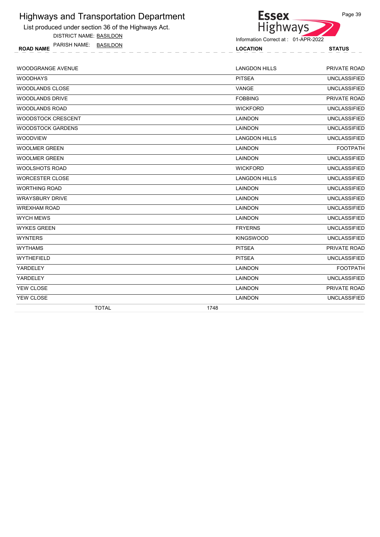List produced under section 36 of the Highways Act.

DISTRICT NAME: BASILDON



Information Correct at : 01-APR-2022

| <b>BASILDON</b><br><b>PARISH NAME:</b><br><b>ROAD NAME</b>           | <b>OCATION</b> | <b>STATUS</b> |
|----------------------------------------------------------------------|----------------|---------------|
|                                                                      |                |               |
| $\cdots$ $\sim$ $\sim$ $\sim$ $\cdots$ $\sim$ $\sim$ $\cdots$ $\sim$ | .              |               |

| <b>WOODGRANGE AVENUE</b>  | <b>LANGDON HILLS</b> | PRIVATE ROAD        |
|---------------------------|----------------------|---------------------|
| <b>WOODHAYS</b>           | <b>PITSEA</b>        | <b>UNCLASSIFIED</b> |
| <b>WOODLANDS CLOSE</b>    | VANGE                | <b>UNCLASSIFIED</b> |
| <b>WOODLANDS DRIVE</b>    | <b>FOBBING</b>       | PRIVATE ROAD        |
| <b>WOODLANDS ROAD</b>     | <b>WICKFORD</b>      | <b>UNCLASSIFIED</b> |
| <b>WOODSTOCK CRESCENT</b> | LAINDON              | <b>UNCLASSIFIED</b> |
| <b>WOODSTOCK GARDENS</b>  | LAINDON              | <b>UNCLASSIFIED</b> |
| <b>WOODVIEW</b>           | <b>LANGDON HILLS</b> | <b>UNCLASSIFIED</b> |
| <b>WOOLMER GREEN</b>      | LAINDON              | <b>FOOTPATH</b>     |
| <b>WOOLMER GREEN</b>      | <b>LAINDON</b>       | <b>UNCLASSIFIED</b> |
| <b>WOOLSHOTS ROAD</b>     | <b>WICKFORD</b>      | <b>UNCLASSIFIED</b> |
| <b>WORCESTER CLOSE</b>    | <b>LANGDON HILLS</b> | <b>UNCLASSIFIED</b> |
| <b>WORTHING ROAD</b>      | <b>LAINDON</b>       | <b>UNCLASSIFIED</b> |
| <b>WRAYSBURY DRIVE</b>    | LAINDON              | <b>UNCLASSIFIED</b> |
| <b>WREXHAM ROAD</b>       | <b>LAINDON</b>       | <b>UNCLASSIFIED</b> |
| <b>WYCH MEWS</b>          | LAINDON              | <b>UNCLASSIFIED</b> |
| <b>WYKES GREEN</b>        | <b>FRYERNS</b>       | <b>UNCLASSIFIED</b> |
| <b>WYNTERS</b>            | <b>KINGSWOOD</b>     | <b>UNCLASSIFIED</b> |
| <b>WYTHAMS</b>            | <b>PITSEA</b>        | PRIVATE ROAD        |
| <b>WYTHEFIELD</b>         | <b>PITSEA</b>        | <b>UNCLASSIFIED</b> |
| YARDELEY                  | LAINDON              | <b>FOOTPATH</b>     |
| YARDELEY                  | <b>LAINDON</b>       | <b>UNCLASSIFIED</b> |
| YEW CLOSE                 | <b>LAINDON</b>       | PRIVATE ROAD        |
| YEW CLOSE                 | LAINDON              | <b>UNCLASSIFIED</b> |
| <b>TOTAL</b>              | 1748                 |                     |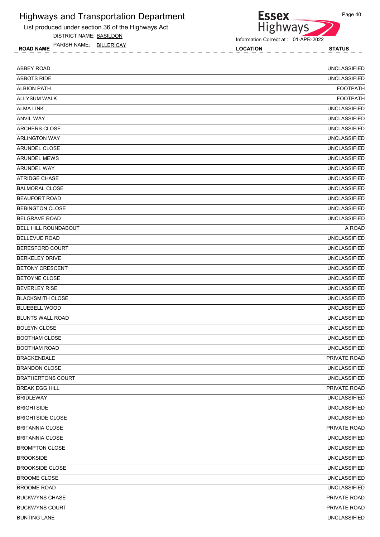List produced under section 36 of the Highways Act.

DISTRICT NAME: BASILDON

Essex<br>Highways

Information Correct at : 01-APR-2022

ROAD NAME LOCATION STATUS PARISH NAME: BILLERICAY

| <b>ABBEY ROAD</b>        | <b>UNCLASSIFIED</b> |
|--------------------------|---------------------|
| <b>ABBOTS RIDE</b>       | <b>UNCLASSIFIED</b> |
| <b>ALBION PATH</b>       | <b>FOOTPATH</b>     |
| <b>ALLYSUM WALK</b>      | <b>FOOTPATH</b>     |
| <b>ALMA LINK</b>         | <b>UNCLASSIFIED</b> |
| ANVIL WAY                | <b>UNCLASSIFIED</b> |
| <b>ARCHERS CLOSE</b>     | <b>UNCLASSIFIED</b> |
| <b>ARLINGTON WAY</b>     | <b>UNCLASSIFIED</b> |
| <b>ARUNDEL CLOSE</b>     | <b>UNCLASSIFIED</b> |
| <b>ARUNDEL MEWS</b>      | <b>UNCLASSIFIED</b> |
| ARUNDEL WAY              | <b>UNCLASSIFIED</b> |
| <b>ATRIDGE CHASE</b>     | <b>UNCLASSIFIED</b> |
| <b>BALMORAL CLOSE</b>    | <b>UNCLASSIFIED</b> |
| <b>BEAUFORT ROAD</b>     | <b>UNCLASSIFIED</b> |
| <b>BEBINGTON CLOSE</b>   | <b>UNCLASSIFIED</b> |
| <b>BELGRAVE ROAD</b>     | <b>UNCLASSIFIED</b> |
| BELL HILL ROUNDABOUT     | A ROAD              |
| <b>BELLEVUE ROAD</b>     | <b>UNCLASSIFIED</b> |
| <b>BERESFORD COURT</b>   | <b>UNCLASSIFIED</b> |
| <b>BERKELEY DRIVE</b>    | <b>UNCLASSIFIED</b> |
| <b>BETONY CRESCENT</b>   | <b>UNCLASSIFIED</b> |
| <b>BETOYNE CLOSE</b>     | <b>UNCLASSIFIED</b> |
| <b>BEVERLEY RISE</b>     | <b>UNCLASSIFIED</b> |
| <b>BLACKSMITH CLOSE</b>  | <b>UNCLASSIFIED</b> |
| <b>BLUEBELL WOOD</b>     | <b>UNCLASSIFIED</b> |
| <b>BLUNTS WALL ROAD</b>  | <b>UNCLASSIFIED</b> |
| <b>BOLEYN CLOSE</b>      | <b>UNCLASSIFIED</b> |
| <b>BOOTHAM CLOSE</b>     | <b>UNCLASSIFIED</b> |
| <b>BOOTHAM ROAD</b>      | UNCLASSIFIED        |
| <b>BRACKENDALE</b>       | PRIVATE ROAD        |
| <b>BRANDON CLOSE</b>     | <b>UNCLASSIFIED</b> |
| <b>BRATHERTONS COURT</b> | <b>UNCLASSIFIED</b> |
| <b>BREAK EGG HILL</b>    | PRIVATE ROAD        |
| <b>BRIDLEWAY</b>         | <b>UNCLASSIFIED</b> |
| <b>BRIGHTSIDE</b>        | <b>UNCLASSIFIED</b> |
| <b>BRIGHTSIDE CLOSE</b>  | <b>UNCLASSIFIED</b> |
| <b>BRITANNIA CLOSE</b>   | PRIVATE ROAD        |
| <b>BRITANNIA CLOSE</b>   | <b>UNCLASSIFIED</b> |
| <b>BROMPTON CLOSE</b>    | <b>UNCLASSIFIED</b> |
| <b>BROOKSIDE</b>         | <b>UNCLASSIFIED</b> |
| <b>BROOKSIDE CLOSE</b>   | <b>UNCLASSIFIED</b> |
| <b>BROOME CLOSE</b>      | <b>UNCLASSIFIED</b> |
| <b>BROOME ROAD</b>       | <b>UNCLASSIFIED</b> |
| <b>BUCKWYNS CHASE</b>    | PRIVATE ROAD        |
| <b>BUCKWYNS COURT</b>    | PRIVATE ROAD        |
| <b>BUNTING LANE</b>      | <b>UNCLASSIFIED</b> |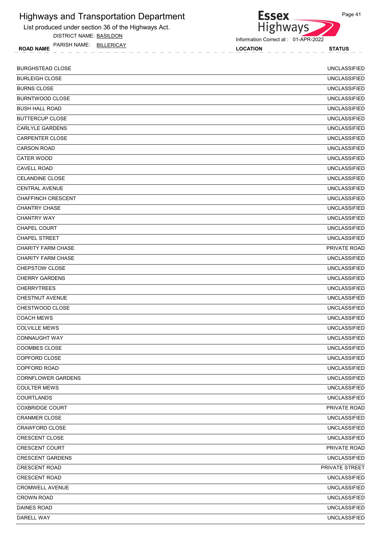List produced under section 36 of the Highways Act.

DISTRICT NAME: BASILDON

ROAD NAME LOCATION STATUS PARISH NAME: BILLERICAY



| <b>BURGHSTEAD CLOSE</b>   | <b>UNCLASSIFIED</b> |
|---------------------------|---------------------|
| <b>BURLEIGH CLOSE</b>     | <b>UNCLASSIFIED</b> |
| <b>BURNS CLOSE</b>        | <b>UNCLASSIFIED</b> |
| <b>BURNTWOOD CLOSE</b>    | <b>UNCLASSIFIED</b> |
| <b>BUSH HALL ROAD</b>     | <b>UNCLASSIFIED</b> |
| <b>BUTTERCUP CLOSE</b>    | <b>UNCLASSIFIED</b> |
| <b>CARLYLE GARDENS</b>    | <b>UNCLASSIFIED</b> |
| <b>CARPENTER CLOSE</b>    | <b>UNCLASSIFIED</b> |
| <b>CARSON ROAD</b>        | <b>UNCLASSIFIED</b> |
| <b>CATER WOOD</b>         | <b>UNCLASSIFIED</b> |
| <b>CAVELL ROAD</b>        | <b>UNCLASSIFIED</b> |
| <b>CELANDINE CLOSE</b>    | <b>UNCLASSIFIED</b> |
| <b>CENTRAL AVENUE</b>     | <b>UNCLASSIFIED</b> |
| <b>CHAFFINCH CRESCENT</b> | <b>UNCLASSIFIED</b> |
| <b>CHANTRY CHASE</b>      | <b>UNCLASSIFIED</b> |
| <b>CHANTRY WAY</b>        | <b>UNCLASSIFIED</b> |
| <b>CHAPEL COURT</b>       | <b>UNCLASSIFIED</b> |
| <b>CHAPEL STREET</b>      | <b>UNCLASSIFIED</b> |
| <b>CHARITY FARM CHASE</b> | PRIVATE ROAD        |
| <b>CHARITY FARM CHASE</b> | <b>UNCLASSIFIED</b> |
| CHEPSTOW CLOSE            | <b>UNCLASSIFIED</b> |
| <b>CHERRY GARDENS</b>     | <b>UNCLASSIFIED</b> |
| <b>CHERRYTREES</b>        | <b>UNCLASSIFIED</b> |
| <b>CHESTNUT AVENUE</b>    | <b>UNCLASSIFIED</b> |
| CHESTWOOD CLOSE           | <b>UNCLASSIFIED</b> |
| <b>COACH MEWS</b>         | <b>UNCLASSIFIED</b> |
| <b>COLVILLE MEWS</b>      | <b>UNCLASSIFIED</b> |
| <b>CONNAUGHT WAY</b>      | <b>UNCLASSIFIED</b> |
| <b>COOMBES CLOSE</b>      | <b>UNCLASSIFIED</b> |
| COPFORD CLOSE             | <b>UNCLASSIFIED</b> |
| COPFORD ROAD              | <b>UNCLASSIFIED</b> |
| <b>CORNFLOWER GARDENS</b> | <b>UNCLASSIFIED</b> |
| <b>COULTER MEWS</b>       | <b>UNCLASSIFIED</b> |
| <b>COURTLANDS</b>         | <b>UNCLASSIFIED</b> |
| <b>COXBRIDGE COURT</b>    | PRIVATE ROAD        |
| <b>CRANMER CLOSE</b>      | UNCLASSIFIED        |
| CRAWFORD CLOSE            | <b>UNCLASSIFIED</b> |
| CRESCENT CLOSE            | <b>UNCLASSIFIED</b> |
| <b>CRESCENT COURT</b>     | PRIVATE ROAD        |
| <b>CRESCENT GARDENS</b>   | <b>UNCLASSIFIED</b> |
| <b>CRESCENT ROAD</b>      | PRIVATE STREET      |
| <b>CRESCENT ROAD</b>      | <b>UNCLASSIFIED</b> |
| CROMWELL AVENUE           | <b>UNCLASSIFIED</b> |
| <b>CROWN ROAD</b>         | <b>UNCLASSIFIED</b> |
| <b>DAINES ROAD</b>        | <b>UNCLASSIFIED</b> |
| DARELL WAY                | <b>UNCLASSIFIED</b> |
|                           |                     |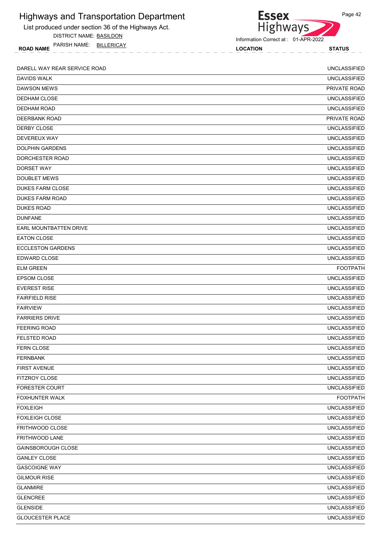| <b>Highways and Transportation Department</b><br>List produced under section 36 of the Highways Act. | <b>Essex</b><br>Highways            | Page 42             |
|------------------------------------------------------------------------------------------------------|-------------------------------------|---------------------|
| DISTRICT NAME: BASILDON<br>PARISH NAME: BILLERICAY                                                   | Information Correct at: 01-APR-2022 |                     |
| <b>ROAD NAME</b>                                                                                     | <b>LOCATION</b>                     | <b>STATUS</b>       |
| DARELL WAY REAR SERVICE ROAD                                                                         |                                     | <b>UNCLASSIFIED</b> |
| DAVIDS WALK                                                                                          |                                     | <b>UNCLASSIFIED</b> |
| <b>DAWSON MEWS</b>                                                                                   |                                     | PRIVATE ROAD        |
| <b>DEDHAM CLOSE</b>                                                                                  |                                     | <b>UNCLASSIFIED</b> |
| <b>DEDHAM ROAD</b>                                                                                   |                                     | <b>UNCLASSIFIED</b> |
| <b>DEERBANK ROAD</b>                                                                                 |                                     | PRIVATE ROAD        |
| DERBY CLOSE                                                                                          |                                     | <b>UNCLASSIFIED</b> |
| DEVEREUX WAY                                                                                         |                                     | <b>UNCLASSIFIED</b> |
| <b>DOLPHIN GARDENS</b>                                                                               |                                     | <b>UNCLASSIFIED</b> |
| DORCHESTER ROAD                                                                                      |                                     | <b>UNCLASSIFIED</b> |
| <b>DORSET WAY</b>                                                                                    |                                     | <b>UNCLASSIFIED</b> |
| <b>DOUBLET MEWS</b>                                                                                  |                                     | <b>UNCLASSIFIED</b> |
| <b>DUKES FARM CLOSE</b>                                                                              |                                     | <b>UNCLASSIFIED</b> |
| <b>DUKES FARM ROAD</b>                                                                               |                                     | <b>UNCLASSIFIED</b> |
| <b>DUKES ROAD</b>                                                                                    |                                     | <b>UNCLASSIFIED</b> |
| <b>DUNFANE</b>                                                                                       |                                     | <b>UNCLASSIFIED</b> |
| EARL MOUNTBATTEN DRIVE                                                                               |                                     | <b>UNCLASSIFIED</b> |
| <b>EATON CLOSE</b>                                                                                   |                                     | <b>UNCLASSIFIED</b> |
| <b>ECCLESTON GARDENS</b>                                                                             |                                     | <b>UNCLASSIFIED</b> |
| <b>EDWARD CLOSE</b>                                                                                  |                                     | <b>UNCLASSIFIED</b> |
| <b>ELM GREEN</b>                                                                                     |                                     | <b>FOOTPATH</b>     |
| EPSOM CLOSE                                                                                          |                                     | <b>UNCLASSIFIED</b> |
| <b>EVEREST RISE</b>                                                                                  |                                     | <b>UNCLASSIFIED</b> |
| <b>FAIRFIELD RISE</b>                                                                                |                                     | <b>UNCLASSIFIED</b> |
| <b>FAIRVIEW</b>                                                                                      |                                     | <b>UNCLASSIFIED</b> |
| <b>FARRIERS DRIVE</b>                                                                                |                                     | <b>UNCLASSIFIED</b> |
| <b>FEERING ROAD</b>                                                                                  |                                     | <b>UNCLASSIFIED</b> |
| <b>FELSTED ROAD</b>                                                                                  |                                     | <b>UNCLASSIFIED</b> |
| <b>FERN CLOSE</b>                                                                                    |                                     | <b>UNCLASSIFIED</b> |
| <b>FERNBANK</b>                                                                                      |                                     | <b>UNCLASSIFIED</b> |
| <b>FIRST AVENUE</b>                                                                                  |                                     | <b>UNCLASSIFIED</b> |
| <b>FITZROY CLOSE</b>                                                                                 |                                     | <b>UNCLASSIFIED</b> |
| <b>FORESTER COURT</b>                                                                                |                                     | <b>UNCLASSIFIED</b> |
| <b>FOXHUNTER WALK</b>                                                                                |                                     | <b>FOOTPATH</b>     |
| <b>FOXLEIGH</b>                                                                                      |                                     | <b>UNCLASSIFIED</b> |
| <b>FOXLEIGH CLOSE</b>                                                                                |                                     | <b>UNCLASSIFIED</b> |
| FRITHWOOD CLOSE                                                                                      |                                     | <b>UNCLASSIFIED</b> |
| <b>FRITHWOOD LANE</b>                                                                                |                                     | <b>UNCLASSIFIED</b> |
| <b>GAINSBOROUGH CLOSE</b>                                                                            |                                     | <b>UNCLASSIFIED</b> |
| <b>GANLEY CLOSE</b>                                                                                  |                                     | <b>UNCLASSIFIED</b> |
| <b>GASCOIGNE WAY</b>                                                                                 |                                     | <b>UNCLASSIFIED</b> |
| <b>GILMOUR RISE</b>                                                                                  |                                     | <b>UNCLASSIFIED</b> |
| <b>GLANMIRE</b>                                                                                      |                                     | <b>UNCLASSIFIED</b> |
| <b>GLENCREE</b>                                                                                      |                                     | <b>UNCLASSIFIED</b> |
| <b>GLENSIDE</b>                                                                                      |                                     | <b>UNCLASSIFIED</b> |
| <b>GLOUCESTER PLACE</b>                                                                              |                                     | <b>UNCLASSIFIED</b> |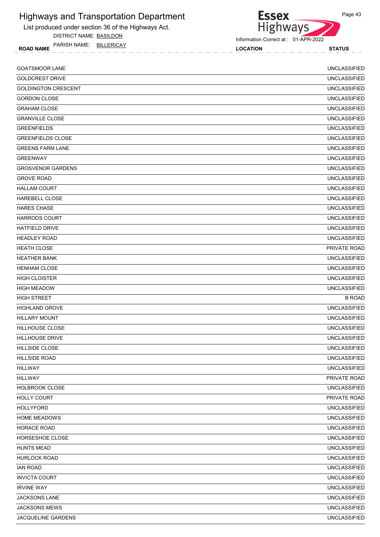List produced under section 36 of the Highways Act.

DISTRICT NAME: BASILDON

ROAD NAME LOCATION STATUS PARISH NAME: BILLERICAY



Information Correct at : 01-APR-2022

| <b>GOATSMOOR LANE</b>      | <b>UNCLASSIFIED</b> |
|----------------------------|---------------------|
| <b>GOLDCREST DRIVE</b>     | <b>UNCLASSIFIED</b> |
| <b>GOLDINGTON CRESCENT</b> | <b>UNCLASSIFIED</b> |
| <b>GORDON CLOSE</b>        | <b>UNCLASSIFIED</b> |
| <b>GRAHAM CLOSE</b>        | <b>UNCLASSIFIED</b> |
| <b>GRANVILLE CLOSE</b>     | <b>UNCLASSIFIED</b> |
| <b>GREENFIELDS</b>         | <b>UNCLASSIFIED</b> |
| <b>GREENFIELDS CLOSE</b>   | <b>UNCLASSIFIED</b> |
| <b>GREENS FARM LANE</b>    | <b>UNCLASSIFIED</b> |
| <b>GREENWAY</b>            | <b>UNCLASSIFIED</b> |
| <b>GROSVENOR GARDENS</b>   | <b>UNCLASSIFIED</b> |
| <b>GROVE ROAD</b>          | <b>UNCLASSIFIED</b> |
| <b>HALLAM COURT</b>        | <b>UNCLASSIFIED</b> |
| HAREBELL CLOSE             | <b>UNCLASSIFIED</b> |
| <b>HARES CHASE</b>         | <b>UNCLASSIFIED</b> |
| <b>HARRODS COURT</b>       | <b>UNCLASSIFIED</b> |
| <b>HATFIELD DRIVE</b>      | <b>UNCLASSIFIED</b> |
| <b>HEADLEY ROAD</b>        | <b>UNCLASSIFIED</b> |
| <b>HEATH CLOSE</b>         | PRIVATE ROAD        |
| <b>HEATHER BANK</b>        | <b>UNCLASSIFIED</b> |
| <b>HENHAM CLOSE</b>        | <b>UNCLASSIFIED</b> |
| <b>HIGH CLOISTER</b>       | <b>UNCLASSIFIED</b> |
| <b>HIGH MEADOW</b>         | <b>UNCLASSIFIED</b> |
| <b>HIGH STREET</b>         | <b>B ROAD</b>       |
| <b>HIGHLAND GROVE</b>      | <b>UNCLASSIFIED</b> |
| <b>HILLARY MOUNT</b>       | <b>UNCLASSIFIED</b> |
| HILLHOUSE CLOSE            | <b>UNCLASSIFIED</b> |
| <b>HILLHOUSE DRIVE</b>     | <b>UNCLASSIFIED</b> |
| <b>HILLSIDE CLOSE</b>      | <b>UNCLASSIFIED</b> |
| <b>HILLSIDE ROAD</b>       | <b>UNCLASSIFIED</b> |
| <b>HILLWAY</b>             | <b>UNCLASSIFIED</b> |
| <b>HILLWAY</b>             | PRIVATE ROAD        |
| <b>HOLBROOK CLOSE</b>      | <b>UNCLASSIFIED</b> |
| <b>HOLLY COURT</b>         | PRIVATE ROAD        |
| <b>HOLLYFORD</b>           | <b>UNCLASSIFIED</b> |
| HOME MEADOWS               | <b>UNCLASSIFIED</b> |
| HORACE ROAD                | <b>UNCLASSIFIED</b> |
| HORSESHOE CLOSE            | <b>UNCLASSIFIED</b> |
| <b>HUNTS MEAD</b>          | <b>UNCLASSIFIED</b> |
| <b>HURLOCK ROAD</b>        | <b>UNCLASSIFIED</b> |
| <b>IAN ROAD</b>            | <b>UNCLASSIFIED</b> |
| <b>INVICTA COURT</b>       | <b>UNCLASSIFIED</b> |
| <b>IRVINE WAY</b>          | <b>UNCLASSIFIED</b> |
| JACKSONS LANE              | <b>UNCLASSIFIED</b> |
| <b>JACKSONS MEWS</b>       | <b>UNCLASSIFIED</b> |
| JACQUELINE GARDENS         | <b>UNCLASSIFIED</b> |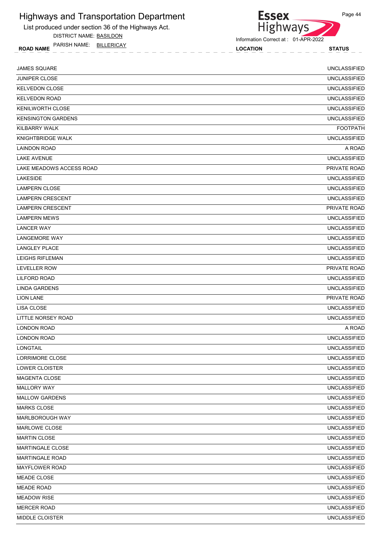List produced under section 36 of the Highways Act.

DISTRICT NAME: BASILDON

ROAD NAME LOCATION STATUS PARISH NAME: BILLERICAY



Information Correct at : 01-APR-2022

| <b>JAMES SQUARE</b>       | <b>UNCLASSIFIED</b> |
|---------------------------|---------------------|
| <b>JUNIPER CLOSE</b>      | <b>UNCLASSIFIED</b> |
| <b>KELVEDON CLOSE</b>     | <b>UNCLASSIFIED</b> |
| <b>KELVEDON ROAD</b>      | <b>UNCLASSIFIED</b> |
| <b>KENILWORTH CLOSE</b>   | <b>UNCLASSIFIED</b> |
| <b>KENSINGTON GARDENS</b> | <b>UNCLASSIFIED</b> |
| KILBARRY WALK             | <b>FOOTPATH</b>     |
| KNIGHTBRIDGE WALK         | <b>UNCLASSIFIED</b> |
| <b>LAINDON ROAD</b>       | A ROAD              |
| <b>LAKE AVENUE</b>        | <b>UNCLASSIFIED</b> |
| LAKE MEADOWS ACCESS ROAD  | PRIVATE ROAD        |
| <b>LAKESIDE</b>           | <b>UNCLASSIFIED</b> |
| <b>LAMPERN CLOSE</b>      | <b>UNCLASSIFIED</b> |
| <b>LAMPERN CRESCENT</b>   | <b>UNCLASSIFIED</b> |
| <b>LAMPERN CRESCENT</b>   | PRIVATE ROAD        |
| <b>LAMPERN MEWS</b>       | <b>UNCLASSIFIED</b> |
| <b>LANCER WAY</b>         | <b>UNCLASSIFIED</b> |
| <b>LANGEMORE WAY</b>      | <b>UNCLASSIFIED</b> |
| <b>LANGLEY PLACE</b>      | <b>UNCLASSIFIED</b> |
| <b>LEIGHS RIFLEMAN</b>    | <b>UNCLASSIFIED</b> |
| LEVELLER ROW              | PRIVATE ROAD        |
| LILFORD ROAD              | <b>UNCLASSIFIED</b> |
| <b>LINDA GARDENS</b>      | <b>UNCLASSIFIED</b> |
| <b>LION LANE</b>          | PRIVATE ROAD        |
| LISA CLOSE                | <b>UNCLASSIFIED</b> |
| LITTLE NORSEY ROAD        | <b>UNCLASSIFIED</b> |
| <b>LONDON ROAD</b>        | A ROAD              |
| <b>LONDON ROAD</b>        | <b>UNCLASSIFIED</b> |
| LONGTAIL                  | <b>UNCLASSIFIED</b> |
| LORRIMORE CLOSE           | <b>UNCLASSIFIED</b> |
| LOWER CLOISTER            | <b>UNCLASSIFIED</b> |
| <b>MAGENTA CLOSE</b>      | <b>UNCLASSIFIED</b> |
| MALLORY WAY               | <b>UNCLASSIFIED</b> |
| <b>MALLOW GARDENS</b>     | <b>UNCLASSIFIED</b> |
| <b>MARKS CLOSE</b>        | <b>UNCLASSIFIED</b> |
| MARLBOROUGH WAY           | <b>UNCLASSIFIED</b> |
| MARLOWE CLOSE             | <b>UNCLASSIFIED</b> |
| <b>MARTIN CLOSE</b>       | <b>UNCLASSIFIED</b> |
| MARTINGALE CLOSE          | <b>UNCLASSIFIED</b> |
| <b>MARTINGALE ROAD</b>    | <b>UNCLASSIFIED</b> |
| <b>MAYFLOWER ROAD</b>     | <b>UNCLASSIFIED</b> |
| MEADE CLOSE               | <b>UNCLASSIFIED</b> |
| <b>MEADE ROAD</b>         | <b>UNCLASSIFIED</b> |
| <b>MEADOW RISE</b>        | <b>UNCLASSIFIED</b> |
| <b>MERCER ROAD</b>        | <b>UNCLASSIFIED</b> |
| MIDDLE CLOISTER           | <b>UNCLASSIFIED</b> |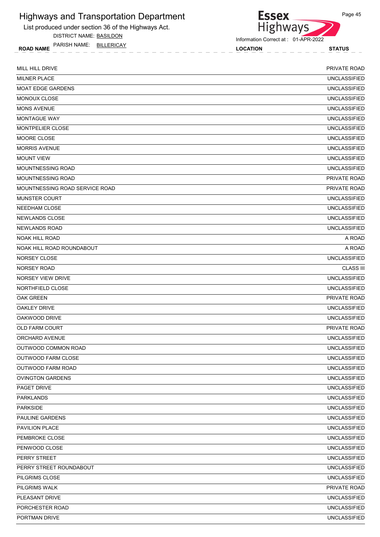List produced under section 36 of the Highways Act.

DISTRICT NAME: BASILDON

ROAD NAME LOCATION STATUS PARISH NAME: BILLERICAY

**Essex** Highways

Information Correct at : 01-APR-2022

| MILL HILL DRIVE                | PRIVATE ROAD        |
|--------------------------------|---------------------|
| <b>MILNER PLACE</b>            | <b>UNCLASSIFIED</b> |
| <b>MOAT EDGE GARDENS</b>       | <b>UNCLASSIFIED</b> |
| MONOUX CLOSE                   | <b>UNCLASSIFIED</b> |
| <b>MONS AVENUE</b>             | <b>UNCLASSIFIED</b> |
| <b>MONTAGUE WAY</b>            | <b>UNCLASSIFIED</b> |
| MONTPELIER CLOSE               | <b>UNCLASSIFIED</b> |
| MOORE CLOSE                    | <b>UNCLASSIFIED</b> |
| <b>MORRIS AVENUE</b>           | <b>UNCLASSIFIED</b> |
| <b>MOUNT VIEW</b>              | <b>UNCLASSIFIED</b> |
| <b>MOUNTNESSING ROAD</b>       | <b>UNCLASSIFIED</b> |
| MOUNTNESSING ROAD              | PRIVATE ROAD        |
| MOUNTNESSING ROAD SERVICE ROAD | <b>PRIVATE ROAD</b> |
| <b>MUNSTER COURT</b>           | <b>UNCLASSIFIED</b> |
| NEEDHAM CLOSE                  | <b>UNCLASSIFIED</b> |
| NEWLANDS CLOSE                 | <b>UNCLASSIFIED</b> |
| <b>NEWLANDS ROAD</b>           | <b>UNCLASSIFIED</b> |
| <b>NOAK HILL ROAD</b>          | A ROAD              |
| NOAK HILL ROAD ROUNDABOUT      | A ROAD              |
| NORSEY CLOSE                   | <b>UNCLASSIFIED</b> |
| NORSEY ROAD                    | <b>CLASS III</b>    |
| NORSEY VIEW DRIVE              | <b>UNCLASSIFIED</b> |
| NORTHFIELD CLOSE               | <b>UNCLASSIFIED</b> |
| <b>OAK GREEN</b>               | PRIVATE ROAD        |
| <b>OAKLEY DRIVE</b>            | <b>UNCLASSIFIED</b> |
| OAKWOOD DRIVE                  | <b>UNCLASSIFIED</b> |
| <b>OLD FARM COURT</b>          | PRIVATE ROAD        |
| <b>ORCHARD AVENUE</b>          | <b>UNCLASSIFIED</b> |
| OUTWOOD COMMON ROAD            | <b>UNCLASSIFIED</b> |
| OUTWOOD FARM CLOSE             | <b>UNCLASSIFIED</b> |
| OUTWOOD FARM ROAD              | <b>UNCLASSIFIED</b> |
| <b>OVINGTON GARDENS</b>        | <b>UNCLASSIFIED</b> |
| PAGET DRIVE                    | <b>UNCLASSIFIED</b> |
| <b>PARKLANDS</b>               | <b>UNCLASSIFIED</b> |
| <b>PARKSIDE</b>                | <b>UNCLASSIFIED</b> |
| PAULINE GARDENS                | <b>UNCLASSIFIED</b> |
| PAVILION PLACE                 | <b>UNCLASSIFIED</b> |
| PEMBROKE CLOSE                 | <b>UNCLASSIFIED</b> |
| PENWOOD CLOSE                  | <b>UNCLASSIFIED</b> |
| PERRY STREET                   | <b>UNCLASSIFIED</b> |
| PERRY STREET ROUNDABOUT        | <b>UNCLASSIFIED</b> |
| PILGRIMS CLOSE                 | <b>UNCLASSIFIED</b> |
| PILGRIMS WALK                  | PRIVATE ROAD        |
| PLEASANT DRIVE                 | <b>UNCLASSIFIED</b> |
| PORCHESTER ROAD                | <b>UNCLASSIFIED</b> |
| PORTMAN DRIVE                  | <b>UNCLASSIFIED</b> |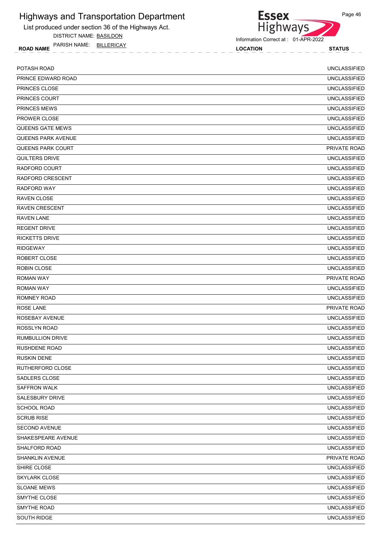List produced under section 36 of the Highways Act.

DISTRICT NAME: BASILDON

ROAD NAME LOCATION STATUS PARISH NAME: BILLERICAY



Information Correct at : 01-APR-2022

| POTASH ROAD               | <b>UNCLASSIFIED</b> |
|---------------------------|---------------------|
| PRINCE EDWARD ROAD        | <b>UNCLASSIFIED</b> |
| PRINCES CLOSE             | <b>UNCLASSIFIED</b> |
| PRINCES COURT             | <b>UNCLASSIFIED</b> |
| <b>PRINCES MEWS</b>       | <b>UNCLASSIFIED</b> |
| <b>PROWER CLOSE</b>       | <b>UNCLASSIFIED</b> |
| <b>QUEENS GATE MEWS</b>   | <b>UNCLASSIFIED</b> |
| <b>QUEENS PARK AVENUE</b> | <b>UNCLASSIFIED</b> |
| <b>QUEENS PARK COURT</b>  | PRIVATE ROAD        |
| QUILTERS DRIVE            | <b>UNCLASSIFIED</b> |
| RADFORD COURT             | <b>UNCLASSIFIED</b> |
| <b>RADFORD CRESCENT</b>   | <b>UNCLASSIFIED</b> |
| RADFORD WAY               | <b>UNCLASSIFIED</b> |
| <b>RAVEN CLOSE</b>        | <b>UNCLASSIFIED</b> |
| <b>RAVEN CRESCENT</b>     | <b>UNCLASSIFIED</b> |
| <b>RAVEN LANE</b>         | <b>UNCLASSIFIED</b> |
| <b>REGENT DRIVE</b>       | <b>UNCLASSIFIED</b> |
| <b>RICKETTS DRIVE</b>     | <b>UNCLASSIFIED</b> |
| <b>RIDGEWAY</b>           | <b>UNCLASSIFIED</b> |
| ROBERT CLOSE              | <b>UNCLASSIFIED</b> |
| ROBIN CLOSE               | <b>UNCLASSIFIED</b> |
| <b>ROMAN WAY</b>          | PRIVATE ROAD        |
| ROMAN WAY                 | <b>UNCLASSIFIED</b> |
| <b>ROMNEY ROAD</b>        | <b>UNCLASSIFIED</b> |
| ROSE LANE                 | PRIVATE ROAD        |
| <b>ROSEBAY AVENUE</b>     | <b>UNCLASSIFIED</b> |
| ROSSLYN ROAD              | <b>UNCLASSIFIED</b> |
| <b>RUMBULLION DRIVE</b>   | <b>UNCLASSIFIED</b> |
| <b>RUSHDENE ROAD</b>      | <b>UNCLASSIFIED</b> |
| <b>RUSKIN DENE</b>        | <b>UNCLASSIFIED</b> |
| RUTHERFORD CLOSE          | <b>UNCLASSIFIED</b> |
| SADLERS CLOSE             | <b>UNCLASSIFIED</b> |
| <b>SAFFRON WALK</b>       | <b>UNCLASSIFIED</b> |
| SALESBURY DRIVE           | <b>UNCLASSIFIED</b> |
| <b>SCHOOL ROAD</b>        | <b>UNCLASSIFIED</b> |
| <b>SCRUB RISE</b>         | <b>UNCLASSIFIED</b> |
| SECOND AVENUE             | <b>UNCLASSIFIED</b> |
| SHAKESPEARE AVENUE        | <b>UNCLASSIFIED</b> |
| SHALFORD ROAD             | <b>UNCLASSIFIED</b> |
| SHANKLIN AVENUE           | PRIVATE ROAD        |
| SHIRE CLOSE               | <b>UNCLASSIFIED</b> |
| SKYLARK CLOSE             | <b>UNCLASSIFIED</b> |
| <b>SLOANE MEWS</b>        | <b>UNCLASSIFIED</b> |
| SMYTHE CLOSE              | <b>UNCLASSIFIED</b> |
| SMYTHE ROAD               | <b>UNCLASSIFIED</b> |
| SOUTH RIDGE               | <b>UNCLASSIFIED</b> |
|                           |                     |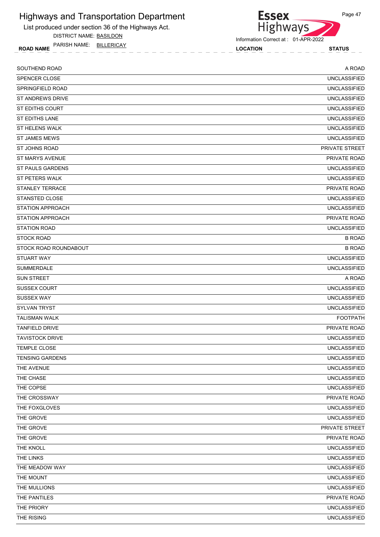List produced under section 36 of the Highways Act.

DISTRICT NAME: BASILDON

ROAD NAME LOCATION STATUS PARISH NAME: BILLERICAY



Information Correct at : 01-APR-2022

| SOUTHEND ROAD           | A ROAD              |
|-------------------------|---------------------|
| <b>SPENCER CLOSE</b>    | <b>UNCLASSIFIED</b> |
| SPRINGFIELD ROAD        | <b>UNCLASSIFIED</b> |
| ST ANDREWS DRIVE        | <b>UNCLASSIFIED</b> |
| ST EDITHS COURT         | <b>UNCLASSIFIED</b> |
| <b>ST EDITHS LANE</b>   | <b>UNCLASSIFIED</b> |
| ST HELENS WALK          | <b>UNCLASSIFIED</b> |
| <b>ST JAMES MEWS</b>    | <b>UNCLASSIFIED</b> |
| <b>ST JOHNS ROAD</b>    | PRIVATE STREET      |
| <b>ST MARYS AVENUE</b>  | <b>PRIVATE ROAD</b> |
| ST PAULS GARDENS        | <b>UNCLASSIFIED</b> |
| ST PETERS WALK          | <b>UNCLASSIFIED</b> |
| <b>STANLEY TERRACE</b>  | <b>PRIVATE ROAD</b> |
| STANSTED CLOSE          | <b>UNCLASSIFIED</b> |
| <b>STATION APPROACH</b> | <b>UNCLASSIFIED</b> |
| <b>STATION APPROACH</b> | PRIVATE ROAD        |
| <b>STATION ROAD</b>     | <b>UNCLASSIFIED</b> |
| <b>STOCK ROAD</b>       | <b>B ROAD</b>       |
| STOCK ROAD ROUNDABOUT   | <b>B ROAD</b>       |
| <b>STUART WAY</b>       | <b>UNCLASSIFIED</b> |
| <b>SUMMERDALE</b>       | <b>UNCLASSIFIED</b> |
| <b>SUN STREET</b>       | A ROAD              |
| <b>SUSSEX COURT</b>     | <b>UNCLASSIFIED</b> |
| <b>SUSSEX WAY</b>       | <b>UNCLASSIFIED</b> |
| <b>SYLVAN TRYST</b>     | <b>UNCLASSIFIED</b> |
| <b>TALISMAN WALK</b>    | <b>FOOTPATH</b>     |
| <b>TANFIELD DRIVE</b>   | PRIVATE ROAD        |
| <b>TAVISTOCK DRIVE</b>  | <b>UNCLASSIFIED</b> |
| <b>TEMPLE CLOSE</b>     | <b>UNCLASSIFIED</b> |
| <b>TENSING GARDENS</b>  | <b>UNCLASSIFIED</b> |
| THE AVENUE              | <b>UNCLASSIFIED</b> |
| THE CHASE               | <b>UNCLASSIFIED</b> |
| THE COPSE               | <b>UNCLASSIFIED</b> |
| THE CROSSWAY            | PRIVATE ROAD        |
| THE FOXGLOVES           | <b>UNCLASSIFIED</b> |
| THE GROVE               | <b>UNCLASSIFIED</b> |
| THE GROVE               | PRIVATE STREET      |
| THE GROVE               | PRIVATE ROAD        |
| THE KNOLL               | <b>UNCLASSIFIED</b> |
| THE LINKS               | <b>UNCLASSIFIED</b> |
| THE MEADOW WAY          | <b>UNCLASSIFIED</b> |
| THE MOUNT               | <b>UNCLASSIFIED</b> |
| THE MULLIONS            | <b>UNCLASSIFIED</b> |
| THE PANTILES            | PRIVATE ROAD        |
| THE PRIORY              | <b>UNCLASSIFIED</b> |
| THE RISING              | <b>UNCLASSIFIED</b> |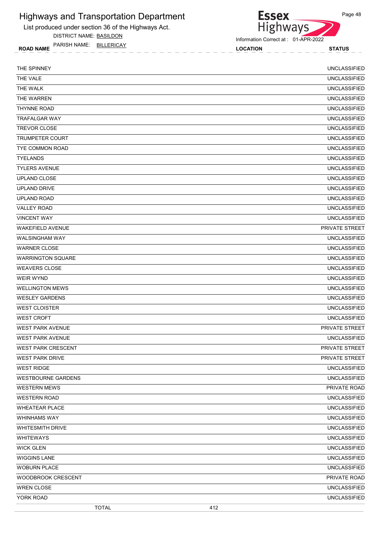List produced under section 36 of the Highways Act.

DISTRICT NAME: BASILDON

**Essex** Highways

Information Correct at : 01-APR-2022

ROAD NAME LOCATION STATUS PARISH NAME: BILLERICAY

| THE SPINNEY               | <b>UNCLASSIFIED</b> |
|---------------------------|---------------------|
| THE VALE                  | <b>UNCLASSIFIED</b> |
| THE WALK                  | <b>UNCLASSIFIED</b> |
| THE WARREN                | <b>UNCLASSIFIED</b> |
| <b>THYNNE ROAD</b>        | <b>UNCLASSIFIED</b> |
| <b>TRAFALGAR WAY</b>      | <b>UNCLASSIFIED</b> |
| <b>TREVOR CLOSE</b>       | <b>UNCLASSIFIED</b> |
| <b>TRUMPETER COURT</b>    | <b>UNCLASSIFIED</b> |
| <b>TYE COMMON ROAD</b>    | <b>UNCLASSIFIED</b> |
| <b>TYELANDS</b>           | <b>UNCLASSIFIED</b> |
| <b>TYLERS AVENUE</b>      | <b>UNCLASSIFIED</b> |
| UPLAND CLOSE              | <b>UNCLASSIFIED</b> |
| <b>UPLAND DRIVE</b>       | <b>UNCLASSIFIED</b> |
| <b>UPLAND ROAD</b>        | <b>UNCLASSIFIED</b> |
| <b>VALLEY ROAD</b>        | <b>UNCLASSIFIED</b> |
| <b>VINCENT WAY</b>        | <b>UNCLASSIFIED</b> |
| <b>WAKEFIELD AVENUE</b>   | PRIVATE STREET      |
| <b>WALSINGHAM WAY</b>     | <b>UNCLASSIFIED</b> |
| <b>WARNER CLOSE</b>       | <b>UNCLASSIFIED</b> |
| <b>WARRINGTON SQUARE</b>  | <b>UNCLASSIFIED</b> |
| <b>WEAVERS CLOSE</b>      | <b>UNCLASSIFIED</b> |
| <b>WEIR WYND</b>          | <b>UNCLASSIFIED</b> |
| <b>WELLINGTON MEWS</b>    | <b>UNCLASSIFIED</b> |
| <b>WESLEY GARDENS</b>     | <b>UNCLASSIFIED</b> |
| <b>WEST CLOISTER</b>      | <b>UNCLASSIFIED</b> |
| <b>WEST CROFT</b>         | <b>UNCLASSIFIED</b> |
| <b>WEST PARK AVENUE</b>   | PRIVATE STREET      |
| <b>WEST PARK AVENUE</b>   | <b>UNCLASSIFIED</b> |
| WEST PARK CRESCENT        | PRIVATE STREET      |
| <b>WEST PARK DRIVE</b>    | PRIVATE STREET      |
| <b>WEST RIDGE</b>         | <b>UNCLASSIFIED</b> |
| <b>WESTBOURNE GARDENS</b> | <b>UNCLASSIFIED</b> |
| <b>WESTERN MEWS</b>       | PRIVATE ROAD        |
| <b>WESTERN ROAD</b>       | <b>UNCLASSIFIED</b> |
| <b>WHEATEAR PLACE</b>     | <b>UNCLASSIFIED</b> |
| <b>WHINHAMS WAY</b>       | <b>UNCLASSIFIED</b> |
| <b>WHITESMITH DRIVE</b>   | <b>UNCLASSIFIED</b> |
| <b>WHITEWAYS</b>          | <b>UNCLASSIFIED</b> |
| <b>WICK GLEN</b>          | <b>UNCLASSIFIED</b> |
| <b>WIGGINS LANE</b>       | <b>UNCLASSIFIED</b> |
| <b>WOBURN PLACE</b>       | <b>UNCLASSIFIED</b> |
| WOODBROOK CRESCENT        | PRIVATE ROAD        |
| <b>WREN CLOSE</b>         | <b>UNCLASSIFIED</b> |
| YORK ROAD                 | <b>UNCLASSIFIED</b> |
| <b>TOTAL</b>              | 412                 |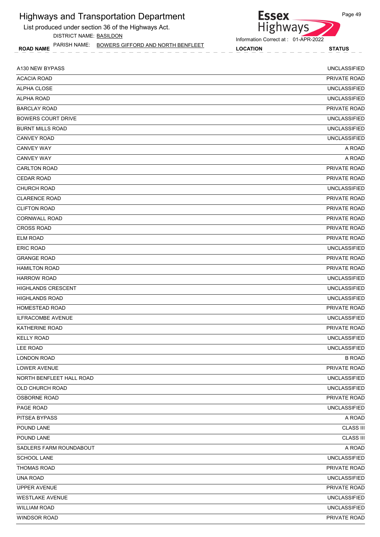List produced under section 36 of the Highways Act.

DISTRICT NAME: BASILDON

ROAD NAME PARISH NAME: <u>BOWERS GIFFORD AND NORTH BENFLEET</u> LOCATION STATUS



| A130 NEW BYPASS           | <b>UNCLASSIFIED</b> |
|---------------------------|---------------------|
| <b>ACACIA ROAD</b>        | PRIVATE ROAD        |
| ALPHA CLOSE               | <b>UNCLASSIFIED</b> |
| ALPHA ROAD                | <b>UNCLASSIFIED</b> |
| <b>BARCLAY ROAD</b>       | PRIVATE ROAD        |
| <b>BOWERS COURT DRIVE</b> | <b>UNCLASSIFIED</b> |
| <b>BURNT MILLS ROAD</b>   | <b>UNCLASSIFIED</b> |
| <b>CANVEY ROAD</b>        | <b>UNCLASSIFIED</b> |
| <b>CANVEY WAY</b>         | A ROAD              |
| <b>CANVEY WAY</b>         | A ROAD              |
| <b>CARLTON ROAD</b>       | PRIVATE ROAD        |
| <b>CEDAR ROAD</b>         | <b>PRIVATE ROAD</b> |
| <b>CHURCH ROAD</b>        | <b>UNCLASSIFIED</b> |
| <b>CLARENCE ROAD</b>      | PRIVATE ROAD        |
| <b>CLIFTON ROAD</b>       | PRIVATE ROAD        |
| <b>CORNWALL ROAD</b>      | <b>PRIVATE ROAD</b> |
| <b>CROSS ROAD</b>         | PRIVATE ROAD        |
| <b>ELM ROAD</b>           | PRIVATE ROAD        |
| <b>ERIC ROAD</b>          | <b>UNCLASSIFIED</b> |
| <b>GRANGE ROAD</b>        | PRIVATE ROAD        |
| <b>HAMILTON ROAD</b>      | PRIVATE ROAD        |
| HARROW ROAD               | <b>UNCLASSIFIED</b> |
| <b>HIGHLANDS CRESCENT</b> | <b>UNCLASSIFIED</b> |
| <b>HIGHLANDS ROAD</b>     | <b>UNCLASSIFIED</b> |
| <b>HOMESTEAD ROAD</b>     | PRIVATE ROAD        |
| <b>ILFRACOMBE AVENUE</b>  | <b>UNCLASSIFIED</b> |
| <b>KATHERINE ROAD</b>     | PRIVATE ROAD        |
| <b>KELLY ROAD</b>         | <b>UNCLASSIFIED</b> |
| LEE ROAD                  | <b>UNCLASSIFIED</b> |
| <b>LONDON ROAD</b>        | <b>B ROAD</b>       |
| LOWER AVENUE              | PRIVATE ROAD        |
| NORTH BENFLEET HALL ROAD  | <b>UNCLASSIFIED</b> |
| OLD CHURCH ROAD           | <b>UNCLASSIFIED</b> |
| <b>OSBORNE ROAD</b>       | PRIVATE ROAD        |
| PAGE ROAD                 | <b>UNCLASSIFIED</b> |
| PITSEA BYPASS             | A ROAD              |
| POUND LANE                | <b>CLASS III</b>    |
| POUND LANE                | <b>CLASS III</b>    |
| SADLERS FARM ROUNDABOUT   | A ROAD              |
| <b>SCHOOL LANE</b>        | <b>UNCLASSIFIED</b> |
| THOMAS ROAD               | PRIVATE ROAD        |
| <b>UNA ROAD</b>           | <b>UNCLASSIFIED</b> |
| UPPER AVENUE              | PRIVATE ROAD        |
| <b>WESTLAKE AVENUE</b>    | <b>UNCLASSIFIED</b> |
| <b>WILLIAM ROAD</b>       | <b>UNCLASSIFIED</b> |
| WINDSOR ROAD              | PRIVATE ROAD        |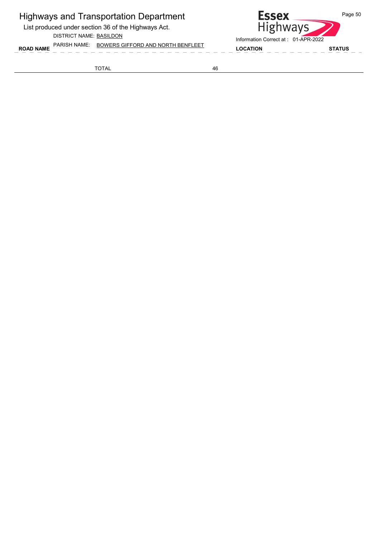List produced under section 36 of the Highways Act.

DISTRICT NAME: BASILDON

ROAD NAME PARISH NAME: <u>BOWERS GIFFORD AND NORTH BENFLEET</u> LOCATION STATUS

**Essex** Page 50 Highways Information Correct at : 01-APR-2022

TOTAL 46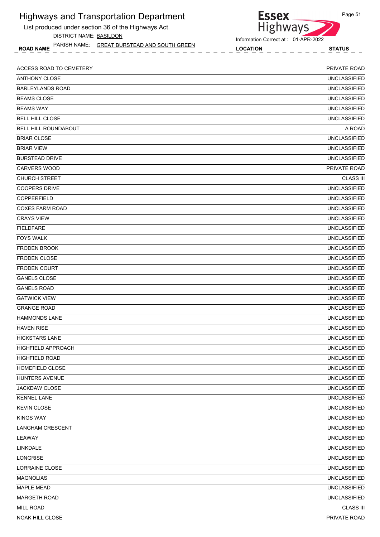| <b>Highways and Transportation Department</b>                   | <b>Essex</b>                                           | Page 51             |
|-----------------------------------------------------------------|--------------------------------------------------------|---------------------|
| List produced under section 36 of the Highways Act.             | <b>Highways</b>                                        |                     |
| DISTRICT NAME: BASILDON                                         |                                                        |                     |
| PARISH NAME: GREAT BURSTEAD AND SOUTH GREEN<br><b>ROAD NAME</b> | Information Correct at: 01-APR-2022<br><b>LOCATION</b> | <b>STATUS</b>       |
|                                                                 |                                                        |                     |
| ACCESS ROAD TO CEMETERY                                         |                                                        | PRIVATE ROAD        |
| <b>ANTHONY CLOSE</b>                                            |                                                        | <b>UNCLASSIFIED</b> |
| <b>BARLEYLANDS ROAD</b>                                         |                                                        | <b>UNCLASSIFIED</b> |
| <b>BEAMS CLOSE</b>                                              |                                                        | <b>UNCLASSIFIED</b> |
| <b>BEAMS WAY</b>                                                |                                                        | <b>UNCLASSIFIED</b> |
| BELL HILL CLOSE                                                 |                                                        | <b>UNCLASSIFIED</b> |
| <b>BELL HILL ROUNDABOUT</b>                                     |                                                        | A ROAD              |
| <b>BRIAR CLOSE</b>                                              |                                                        | <b>UNCLASSIFIED</b> |
| <b>BRIAR VIEW</b>                                               |                                                        | <b>UNCLASSIFIED</b> |
| <b>BURSTEAD DRIVE</b>                                           |                                                        | <b>UNCLASSIFIED</b> |
| <b>CARVERS WOOD</b>                                             |                                                        | PRIVATE ROAD        |
| <b>CHURCH STREET</b>                                            |                                                        | <b>CLASS III</b>    |
| <b>COOPERS DRIVE</b>                                            |                                                        | <b>UNCLASSIFIED</b> |
| COPPERFIELD                                                     |                                                        | <b>UNCLASSIFIED</b> |
| <b>COXES FARM ROAD</b>                                          |                                                        | <b>UNCLASSIFIED</b> |
| <b>CRAYS VIEW</b>                                               |                                                        | <b>UNCLASSIFIED</b> |
| <b>FIELDFARE</b>                                                |                                                        | <b>UNCLASSIFIED</b> |
| <b>FOYS WALK</b>                                                |                                                        | <b>UNCLASSIFIED</b> |
| <b>FRODEN BROOK</b>                                             |                                                        | <b>UNCLASSIFIED</b> |
| <b>FRODEN CLOSE</b>                                             |                                                        | <b>UNCLASSIFIED</b> |
| <b>FRODEN COURT</b>                                             |                                                        | <b>UNCLASSIFIED</b> |
| <b>GANELS CLOSE</b>                                             |                                                        | <b>UNCLASSIFIED</b> |
| <b>GANELS ROAD</b>                                              |                                                        | <b>UNCLASSIFIED</b> |
| <b>GATWICK VIEW</b>                                             |                                                        | <b>UNCLASSIFIED</b> |
| <b>GRANGE ROAD</b>                                              |                                                        | <b>UNCLASSIFIED</b> |
| <b>HAMMONDS LANE</b>                                            |                                                        | <b>UNCLASSIFIED</b> |
| <b>HAVEN RISE</b>                                               |                                                        | <b>UNCLASSIFIED</b> |
| <b>HICKSTARS LANE</b>                                           |                                                        | <b>UNCLASSIFIED</b> |
| HIGHFIELD APPROACH                                              |                                                        | <b>UNCLASSIFIED</b> |
| <b>HIGHFIELD ROAD</b>                                           |                                                        | <b>UNCLASSIFIED</b> |
| <b>HOMEFIELD CLOSE</b>                                          |                                                        | <b>UNCLASSIFIED</b> |
| <b>HUNTERS AVENUE</b>                                           |                                                        | <b>UNCLASSIFIED</b> |
| <b>JACKDAW CLOSE</b>                                            |                                                        | <b>UNCLASSIFIED</b> |
| <b>KENNEL LANE</b>                                              |                                                        | <b>UNCLASSIFIED</b> |
| <b>KEVIN CLOSE</b>                                              |                                                        | <b>UNCLASSIFIED</b> |
| <b>KINGS WAY</b>                                                |                                                        | <b>UNCLASSIFIED</b> |
| <b>LANGHAM CRESCENT</b>                                         |                                                        | <b>UNCLASSIFIED</b> |
| LEAWAY                                                          |                                                        | <b>UNCLASSIFIED</b> |
| LINKDALE                                                        |                                                        | <b>UNCLASSIFIED</b> |
| <b>LONGRISE</b>                                                 |                                                        | <b>UNCLASSIFIED</b> |
| <b>LORRAINE CLOSE</b>                                           |                                                        | <b>UNCLASSIFIED</b> |
| <b>MAGNOLIAS</b>                                                |                                                        | <b>UNCLASSIFIED</b> |
| <b>MAPLE MEAD</b>                                               |                                                        | <b>UNCLASSIFIED</b> |
| <b>MARGETH ROAD</b>                                             |                                                        | <b>UNCLASSIFIED</b> |
| <b>MILL ROAD</b>                                                |                                                        | <b>CLASS III</b>    |
| NOAK HILL CLOSE                                                 |                                                        | PRIVATE ROAD        |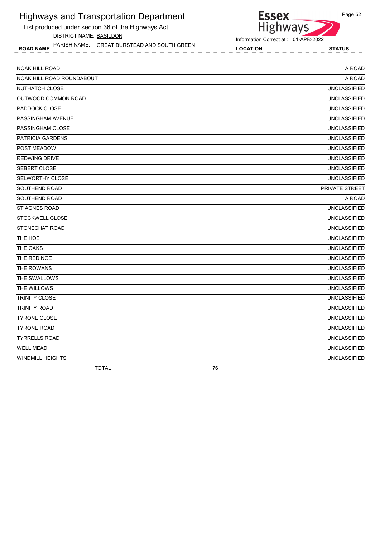List produced under section 36 of the Highways Act.

DISTRICT NAME: BASILDON

ROAD NAME PARISH NAME: <u>GREAT BURSTEAD AND SOUTH GREEN</u> LOCATION STATUS



| <b>NOAK HILL ROAD</b>     | A ROAD              |
|---------------------------|---------------------|
| NOAK HILL ROAD ROUNDABOUT | A ROAD              |
| NUTHATCH CLOSE            | <b>UNCLASSIFIED</b> |
| OUTWOOD COMMON ROAD       | <b>UNCLASSIFIED</b> |
| PADDOCK CLOSE             | <b>UNCLASSIFIED</b> |
| PASSINGHAM AVENUE         | <b>UNCLASSIFIED</b> |
| PASSINGHAM CLOSE          | <b>UNCLASSIFIED</b> |
| <b>PATRICIA GARDENS</b>   | <b>UNCLASSIFIED</b> |
| <b>POST MEADOW</b>        | <b>UNCLASSIFIED</b> |
| <b>REDWING DRIVE</b>      | <b>UNCLASSIFIED</b> |
| SEBERT CLOSE              | <b>UNCLASSIFIED</b> |
| <b>SELWORTHY CLOSE</b>    | <b>UNCLASSIFIED</b> |
| SOUTHEND ROAD             | PRIVATE STREET      |
| SOUTHEND ROAD             | A ROAD              |
| <b>ST AGNES ROAD</b>      | <b>UNCLASSIFIED</b> |
| <b>STOCKWELL CLOSE</b>    | <b>UNCLASSIFIED</b> |
| STONECHAT ROAD            | <b>UNCLASSIFIED</b> |
| THE HOE                   | <b>UNCLASSIFIED</b> |
| THE OAKS                  | <b>UNCLASSIFIED</b> |
| THE REDINGE               | <b>UNCLASSIFIED</b> |
| THE ROWANS                | <b>UNCLASSIFIED</b> |
| THE SWALLOWS              | <b>UNCLASSIFIED</b> |
| THE WILLOWS               | <b>UNCLASSIFIED</b> |
| <b>TRINITY CLOSE</b>      | <b>UNCLASSIFIED</b> |
| <b>TRINITY ROAD</b>       | <b>UNCLASSIFIED</b> |
| <b>TYRONE CLOSE</b>       | <b>UNCLASSIFIED</b> |
| <b>TYRONE ROAD</b>        | <b>UNCLASSIFIED</b> |
| <b>TYRRELLS ROAD</b>      | <b>UNCLASSIFIED</b> |
| <b>WELL MEAD</b>          | <b>UNCLASSIFIED</b> |
| <b>WINDMILL HEIGHTS</b>   | <b>UNCLASSIFIED</b> |
| <b>TOTAL</b>              | 76                  |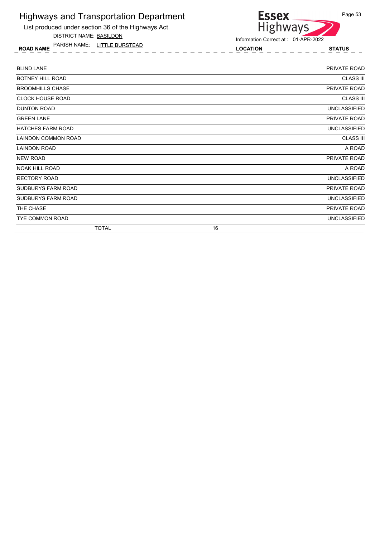List produced under section 36 of the Highways Act.

DISTRICT NAME: BASILDON

ROAD NAME LOCATION STATUS PARISH NAME: LITTLE BURSTEAD



| <b>BLIND LANE</b>        | PRIVATE ROAD        |
|--------------------------|---------------------|
| BOTNEY HILL ROAD         | <b>CLASS III</b>    |
| <b>BROOMHILLS CHASE</b>  | PRIVATE ROAD        |
| <b>CLOCK HOUSE ROAD</b>  | <b>CLASS III</b>    |
| <b>DUNTON ROAD</b>       | <b>UNCLASSIFIED</b> |
| <b>GREEN LANE</b>        | PRIVATE ROAD        |
| <b>HATCHES FARM ROAD</b> | <b>UNCLASSIFIED</b> |
| LAINDON COMMON ROAD      | <b>CLASS III</b>    |
| <b>LAINDON ROAD</b>      | A ROAD              |
| <b>NEW ROAD</b>          | PRIVATE ROAD        |
| <b>NOAK HILL ROAD</b>    | A ROAD              |
| <b>RECTORY ROAD</b>      | <b>UNCLASSIFIED</b> |
| SUDBURYS FARM ROAD       | PRIVATE ROAD        |
| SUDBURYS FARM ROAD       | <b>UNCLASSIFIED</b> |
| THE CHASE                | PRIVATE ROAD        |
| TYE COMMON ROAD          | <b>UNCLASSIFIED</b> |
| <b>TOTAL</b>             | 16                  |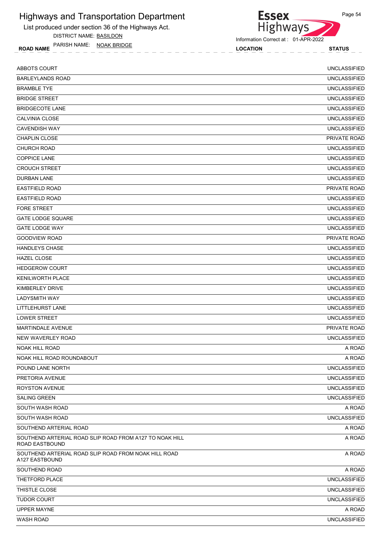List produced under section 36 of the Highways Act.

DISTRICT NAME: BASILDON

ROAD NAME LOCATION STATUS PARISH NAME: NOAK BRIDGE

**Essex** 

| ABBOTS COURT                                                              | <b>UNCLASSIFIED</b> |
|---------------------------------------------------------------------------|---------------------|
| <b>BARLEYLANDS ROAD</b>                                                   | <b>UNCLASSIFIED</b> |
| <b>BRAMBLE TYE</b>                                                        | <b>UNCLASSIFIED</b> |
| <b>BRIDGE STREET</b>                                                      | <b>UNCLASSIFIED</b> |
| <b>BRIDGECOTE LANE</b>                                                    | <b>UNCLASSIFIED</b> |
| CALVINIA CLOSE                                                            | <b>UNCLASSIFIED</b> |
| <b>CAVENDISH WAY</b>                                                      | <b>UNCLASSIFIED</b> |
| <b>CHAPLIN CLOSE</b>                                                      | PRIVATE ROAD        |
| <b>CHURCH ROAD</b>                                                        | <b>UNCLASSIFIED</b> |
| <b>COPPICE LANE</b>                                                       | <b>UNCLASSIFIED</b> |
| <b>CROUCH STREET</b>                                                      | <b>UNCLASSIFIED</b> |
| <b>DURBAN LANE</b>                                                        | <b>UNCLASSIFIED</b> |
| <b>EASTFIELD ROAD</b>                                                     | <b>PRIVATE ROAD</b> |
| <b>EASTFIELD ROAD</b>                                                     | <b>UNCLASSIFIED</b> |
| <b>FORE STREET</b>                                                        | <b>UNCLASSIFIED</b> |
| <b>GATE LODGE SQUARE</b>                                                  | <b>UNCLASSIFIED</b> |
| <b>GATE LODGE WAY</b>                                                     | <b>UNCLASSIFIED</b> |
| <b>GOODVIEW ROAD</b>                                                      | PRIVATE ROAD        |
| <b>HANDLEYS CHASE</b>                                                     | <b>UNCLASSIFIED</b> |
| <b>HAZEL CLOSE</b>                                                        | <b>UNCLASSIFIED</b> |
| <b>HEDGEROW COURT</b>                                                     | <b>UNCLASSIFIED</b> |
| <b>KENILWORTH PLACE</b>                                                   | <b>UNCLASSIFIED</b> |
| KIMBERLEY DRIVE                                                           | <b>UNCLASSIFIED</b> |
| <b>LADYSMITH WAY</b>                                                      | <b>UNCLASSIFIED</b> |
| LITTLEHURST LANE                                                          | <b>UNCLASSIFIED</b> |
| <b>LOWER STREET</b>                                                       | <b>UNCLASSIFIED</b> |
| MARTINDALE AVENUE                                                         | PRIVATE ROAD        |
| NEW WAVERLEY ROAD                                                         | <b>UNCLASSIFIED</b> |
| <b>NOAK HILL ROAD</b>                                                     | A ROAD              |
| NOAK HILL ROAD ROUNDABOUT                                                 | A ROAD              |
| POUND LANE NORTH                                                          | <b>UNCLASSIFIED</b> |
| PRETORIA AVENUE                                                           | <b>UNCLASSIFIED</b> |
| <b>ROYSTON AVENUE</b>                                                     | <b>UNCLASSIFIED</b> |
| <b>SALING GREEN</b>                                                       | <b>UNCLASSIFIED</b> |
| SOUTH WASH ROAD                                                           | A ROAD              |
| SOUTH WASH ROAD                                                           | <b>UNCLASSIFIED</b> |
| SOUTHEND ARTERIAL ROAD                                                    | A ROAD              |
| SOUTHEND ARTERIAL ROAD SLIP ROAD FROM A127 TO NOAK HILL<br>ROAD EASTBOUND | A ROAD              |
| SOUTHEND ARTERIAL ROAD SLIP ROAD FROM NOAK HILL ROAD<br>A127 EASTBOUND    | A ROAD              |
| SOUTHEND ROAD                                                             | A ROAD              |
| THETFORD PLACE                                                            | <b>UNCLASSIFIED</b> |
| THISTLE CLOSE                                                             | <b>UNCLASSIFIED</b> |
| <b>TUDOR COURT</b>                                                        | <b>UNCLASSIFIED</b> |
| <b>UPPER MAYNE</b>                                                        | A ROAD              |
| <b>WASH ROAD</b>                                                          | <b>UNCLASSIFIED</b> |
|                                                                           |                     |

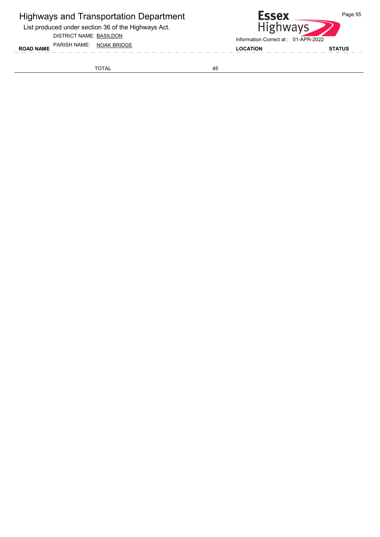List produced under section 36 of the Highways Act.

DISTRICT NAME: BASILDON

TOTAL 45

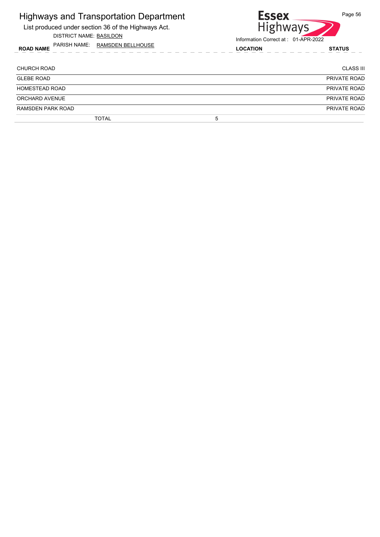| Page 56<br><b>Essex</b><br><b>Highways</b><br>Information Correct at: 01-APR-2022 |  |
|-----------------------------------------------------------------------------------|--|
| <b>LOCATION</b><br><b>STATUS</b>                                                  |  |
| <b>CLASS III</b>                                                                  |  |
| PRIVATE ROAD                                                                      |  |
| PRIVATE ROAD                                                                      |  |
| PRIVATE ROAD                                                                      |  |
| PRIVATE ROAD                                                                      |  |
|                                                                                   |  |
|                                                                                   |  |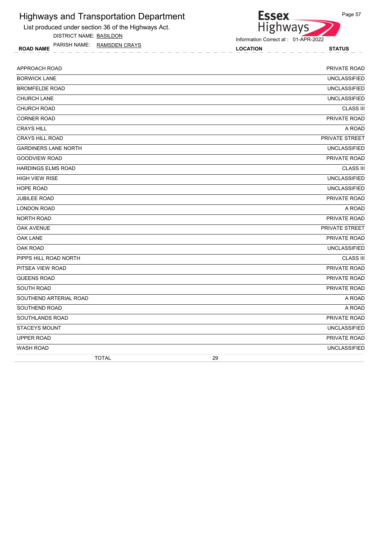List produced under section 36 of the Highways Act.

DISTRICT NAME: BASILDON

ROAD NAME LOCATION STATUS PARISH NAME: RAMSDEN CRAYS



| <b>TOTAL</b>                | 29                  |
|-----------------------------|---------------------|
| <b>WASH ROAD</b>            | <b>UNCLASSIFIED</b> |
| <b>UPPER ROAD</b>           | PRIVATE ROAD        |
| <b>STACEYS MOUNT</b>        | <b>UNCLASSIFIED</b> |
| SOUTHLANDS ROAD             | PRIVATE ROAD        |
| SOUTHEND ROAD               | A ROAD              |
| SOUTHEND ARTERIAL ROAD      | A ROAD              |
| <b>SOUTH ROAD</b>           | PRIVATE ROAD        |
| <b>QUEENS ROAD</b>          | <b>PRIVATE ROAD</b> |
| PITSEA VIEW ROAD            | PRIVATE ROAD        |
| PIPPS HILL ROAD NORTH       | <b>CLASS III</b>    |
| <b>OAK ROAD</b>             | <b>UNCLASSIFIED</b> |
| <b>OAK LANE</b>             | PRIVATE ROAD        |
| <b>OAK AVENUE</b>           | PRIVATE STREET      |
| <b>NORTH ROAD</b>           | PRIVATE ROAD        |
| <b>LONDON ROAD</b>          | A ROAD              |
| <b>JUBILEE ROAD</b>         | PRIVATE ROAD        |
| <b>HOPE ROAD</b>            | <b>UNCLASSIFIED</b> |
| <b>HIGH VIEW RISE</b>       | <b>UNCLASSIFIED</b> |
| <b>HARDINGS ELMS ROAD</b>   | <b>CLASS III</b>    |
| <b>GOODVIEW ROAD</b>        | PRIVATE ROAD        |
| <b>GARDINERS LANE NORTH</b> | <b>UNCLASSIFIED</b> |
| <b>CRAYS HILL ROAD</b>      | PRIVATE STREET      |
| <b>CRAYS HILL</b>           | A ROAD              |
| <b>CORNER ROAD</b>          | PRIVATE ROAD        |
| <b>CHURCH ROAD</b>          | <b>CLASS III</b>    |
| <b>CHURCH LANE</b>          | <b>UNCLASSIFIED</b> |
| <b>BROMFELDE ROAD</b>       | <b>UNCLASSIFIED</b> |
| <b>BORWICK LANE</b>         | <b>UNCLASSIFIED</b> |
| APPROACH ROAD               | PRIVATE ROAD        |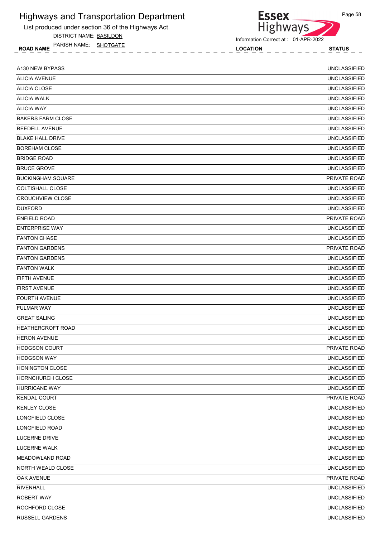List produced under section 36 of the Highways Act.

DISTRICT NAME: BASILDON

ROAD NAME LOCATION STATUS PARISH NAME: SHOTGATE



Information Correct at : 01-APR-2022

| A130 NEW BYPASS          | <b>UNCLASSIFIED</b> |
|--------------------------|---------------------|
| <b>ALICIA AVENUE</b>     | <b>UNCLASSIFIED</b> |
| <b>ALICIA CLOSE</b>      | <b>UNCLASSIFIED</b> |
| <b>ALICIA WALK</b>       | <b>UNCLASSIFIED</b> |
| <b>ALICIA WAY</b>        | <b>UNCLASSIFIED</b> |
| <b>BAKERS FARM CLOSE</b> | <b>UNCLASSIFIED</b> |
| <b>BEEDELL AVENUE</b>    | <b>UNCLASSIFIED</b> |
| <b>BLAKE HALL DRIVE</b>  | <b>UNCLASSIFIED</b> |
| <b>BOREHAM CLOSE</b>     | <b>UNCLASSIFIED</b> |
| <b>BRIDGE ROAD</b>       | <b>UNCLASSIFIED</b> |
| <b>BRUCE GROVE</b>       | <b>UNCLASSIFIED</b> |
| <b>BUCKINGHAM SQUARE</b> | PRIVATE ROAD        |
| <b>COLTISHALL CLOSE</b>  | <b>UNCLASSIFIED</b> |
| <b>CROUCHVIEW CLOSE</b>  | <b>UNCLASSIFIED</b> |
| <b>DUXFORD</b>           | <b>UNCLASSIFIED</b> |
| <b>ENFIELD ROAD</b>      | PRIVATE ROAD        |
| <b>ENTERPRISE WAY</b>    | <b>UNCLASSIFIED</b> |
| <b>FANTON CHASE</b>      | <b>UNCLASSIFIED</b> |
| <b>FANTON GARDENS</b>    | <b>PRIVATE ROAD</b> |
| <b>FANTON GARDENS</b>    | <b>UNCLASSIFIED</b> |
| <b>FANTON WALK</b>       | <b>UNCLASSIFIED</b> |
| <b>FIFTH AVENUE</b>      | <b>UNCLASSIFIED</b> |
| <b>FIRST AVENUE</b>      | <b>UNCLASSIFIED</b> |
| <b>FOURTH AVENUE</b>     | <b>UNCLASSIFIED</b> |
| <b>FULMAR WAY</b>        | <b>UNCLASSIFIED</b> |
| <b>GREAT SALING</b>      | <b>UNCLASSIFIED</b> |
| <b>HEATHERCROFT ROAD</b> | <b>UNCLASSIFIED</b> |
| <b>HERON AVENUE</b>      | <b>UNCLASSIFIED</b> |
| <b>HODGSON COURT</b>     | PRIVATE ROAD        |
| <b>HODGSON WAY</b>       | <b>UNCLASSIFIED</b> |
| HONINGTON CLOSE          | <b>UNCLASSIFIED</b> |
| HORNCHURCH CLOSE         | <b>UNCLASSIFIED</b> |
| <b>HURRICANE WAY</b>     | <b>UNCLASSIFIED</b> |
| <b>KENDAL COURT</b>      | PRIVATE ROAD        |
| <b>KENLEY CLOSE</b>      | <b>UNCLASSIFIED</b> |
| LONGFIELD CLOSE          | <b>UNCLASSIFIED</b> |
| LONGFIELD ROAD           | <b>UNCLASSIFIED</b> |
| LUCERNE DRIVE            | <b>UNCLASSIFIED</b> |
| LUCERNE WALK             | <b>UNCLASSIFIED</b> |
| MEADOWLAND ROAD          | <b>UNCLASSIFIED</b> |
| NORTH WEALD CLOSE        | <b>UNCLASSIFIED</b> |
| OAK AVENUE               | PRIVATE ROAD        |
| <b>RIVENHALL</b>         | <b>UNCLASSIFIED</b> |
| ROBERT WAY               | <b>UNCLASSIFIED</b> |
| ROCHFORD CLOSE           | <b>UNCLASSIFIED</b> |
| RUSSELL GARDENS          | <b>UNCLASSIFIED</b> |